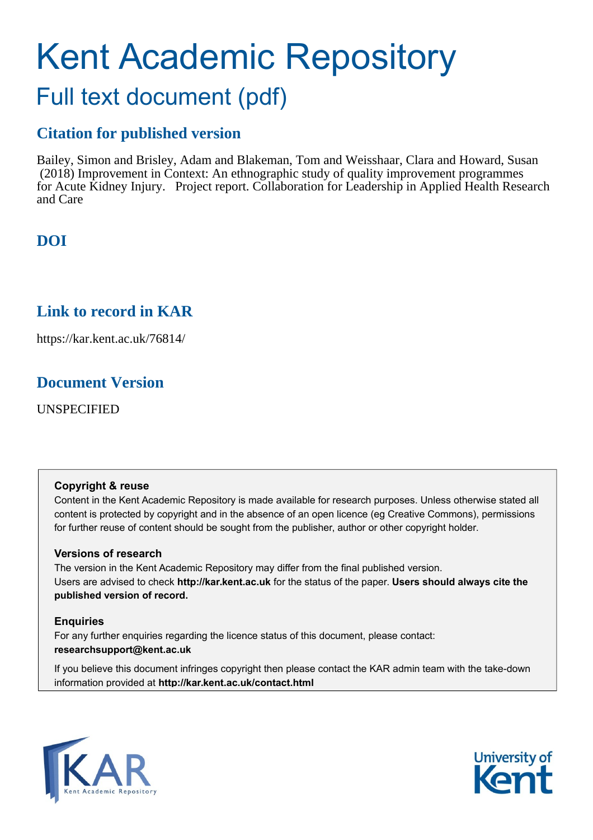# Kent Academic Repository

## Full text document (pdf)

#### **Citation for published version**

Bailey, Simon and Brisley, Adam and Blakeman, Tom and Weisshaar, Clara and Howard, Susan (2018) Improvement in Context: An ethnographic study of quality improvement programmes for Acute Kidney Injury. Project report. Collaboration for Leadership in Applied Health Research and Care

### **DOI**

#### **Link to record in KAR**

https://kar.kent.ac.uk/76814/

#### **Document Version**

UNSPECIFIED

#### **Copyright & reuse**

Content in the Kent Academic Repository is made available for research purposes. Unless otherwise stated all content is protected by copyright and in the absence of an open licence (eg Creative Commons), permissions for further reuse of content should be sought from the publisher, author or other copyright holder.

#### **Versions of research**

The version in the Kent Academic Repository may differ from the final published version. Users are advised to check **http://kar.kent.ac.uk** for the status of the paper. **Users should always cite the published version of record.**

#### **Enquiries**

For any further enquiries regarding the licence status of this document, please contact: **researchsupport@kent.ac.uk**

If you believe this document infringes copyright then please contact the KAR admin team with the take-down information provided at **http://kar.kent.ac.uk/contact.html**



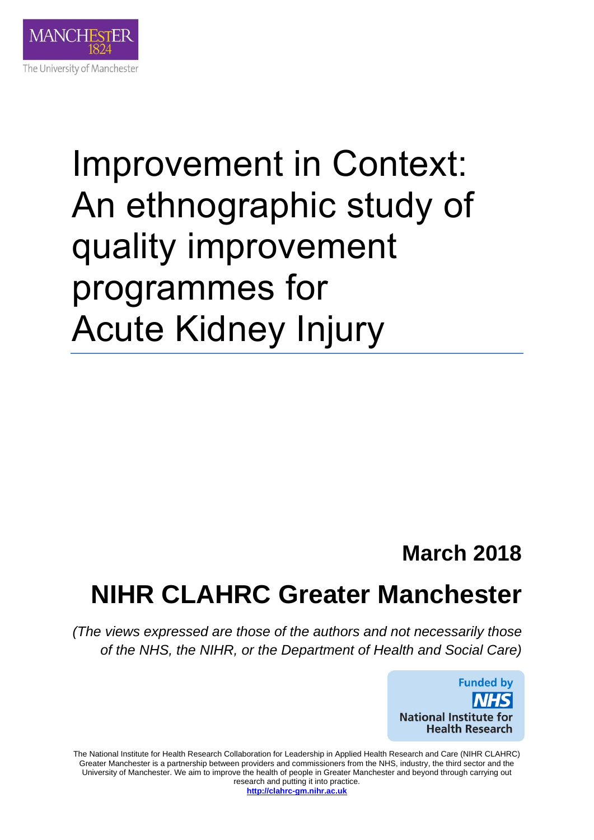

## Improvement in Context: An ethnographic study of quality improvement programmes for Acute Kidney Injury

### **March 2018**

## **NIHR CLAHRC Greater Manchester**

*(The views expressed are those of the authors and not necessarily those of the NHS, the NIHR, or the Department of Health and Social Care)* 



The National Institute for Health Research Collaboration for Leadership in Applied Health Research and Care (NIHR CLAHRC) Greater Manchester is a partnership between providers and commissioners from the NHS, industry, the third sector and the University of Manchester. We aim to improve the health of people in Greater Manchester and beyond through carrying out research and putting it into practice. **[http://clahrc-gm.nihr.ac.uk](http://clahrc-gm.nihr.ac.uk/)**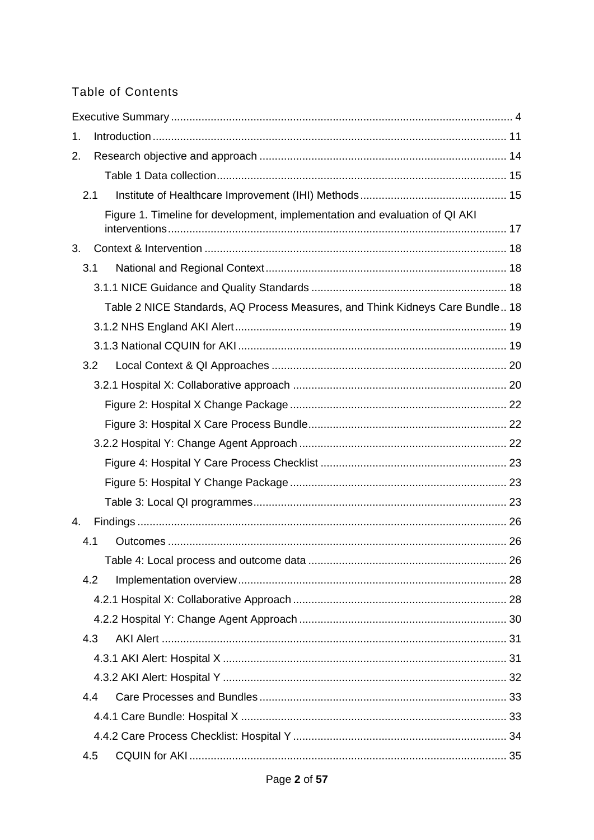#### **Table of Contents**

| 1. |     |                                                                               |  |
|----|-----|-------------------------------------------------------------------------------|--|
| 2. |     |                                                                               |  |
|    |     |                                                                               |  |
|    | 2.1 |                                                                               |  |
|    |     | Figure 1. Timeline for development, implementation and evaluation of QI AKI   |  |
|    |     |                                                                               |  |
| 3. |     |                                                                               |  |
|    | 3.1 |                                                                               |  |
|    |     |                                                                               |  |
|    |     | Table 2 NICE Standards, AQ Process Measures, and Think Kidneys Care Bundle 18 |  |
|    |     |                                                                               |  |
|    |     |                                                                               |  |
|    | 3.2 |                                                                               |  |
|    |     |                                                                               |  |
|    |     |                                                                               |  |
|    |     |                                                                               |  |
|    |     |                                                                               |  |
|    |     |                                                                               |  |
|    |     |                                                                               |  |
|    |     |                                                                               |  |
| 4. |     |                                                                               |  |
|    | 4.1 |                                                                               |  |
|    |     |                                                                               |  |
|    | 4.2 |                                                                               |  |
|    |     |                                                                               |  |
|    |     |                                                                               |  |
|    | 4.3 |                                                                               |  |
|    |     |                                                                               |  |
|    |     |                                                                               |  |
|    | 4.4 |                                                                               |  |
|    |     |                                                                               |  |
|    |     |                                                                               |  |
|    | 4.5 |                                                                               |  |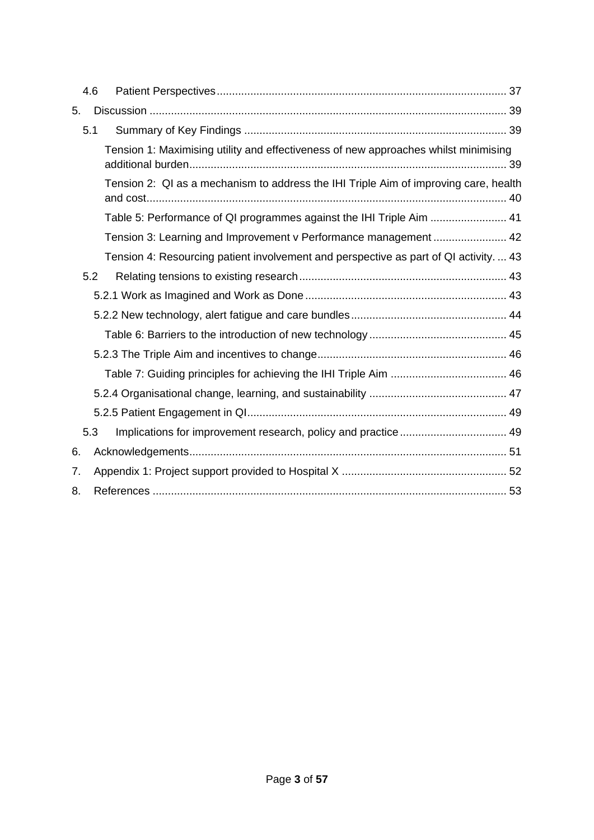|    | 4.6 |                                                                                       |  |
|----|-----|---------------------------------------------------------------------------------------|--|
| 5. |     |                                                                                       |  |
|    | 5.1 |                                                                                       |  |
|    |     | Tension 1: Maximising utility and effectiveness of new approaches whilst minimising   |  |
|    |     | Tension 2: QI as a mechanism to address the IHI Triple Aim of improving care, health  |  |
|    |     | Table 5: Performance of QI programmes against the IHI Triple Aim  41                  |  |
|    |     | Tension 3: Learning and Improvement v Performance management  42                      |  |
|    |     | Tension 4: Resourcing patient involvement and perspective as part of QI activity.  43 |  |
|    | 5.2 |                                                                                       |  |
|    |     |                                                                                       |  |
|    |     |                                                                                       |  |
|    |     |                                                                                       |  |
|    |     |                                                                                       |  |
|    |     |                                                                                       |  |
|    |     |                                                                                       |  |
|    |     |                                                                                       |  |
|    | 5.3 |                                                                                       |  |
| 6. |     |                                                                                       |  |
| 7. |     |                                                                                       |  |
| 8. |     |                                                                                       |  |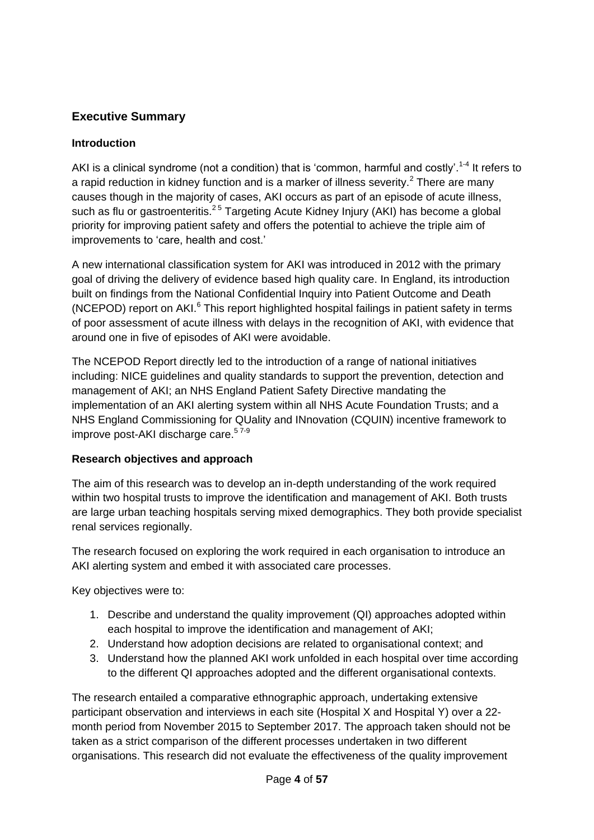#### **Executive Summary**

#### **Introduction**

AKI is a clinical syndrome (not a condition) that is 'common, harmful and costly'.<sup>1-4</sup> It refers to a rapid reduction in kidney function and is a marker of illness severity.<sup>2</sup> There are many causes though in the majority of cases, AKI occurs as part of an episode of acute illness, such as flu or gastroenteritis.<sup>25</sup> Targeting Acute Kidney Injury (AKI) has become a global priority for improving patient safety and offers the potential to achieve the triple aim of improvements to 'care, health and cost.'

A new international classification system for AKI was introduced in 2012 with the primary goal of driving the delivery of evidence based high quality care. In England, its introduction built on findings from the National Confidential Inquiry into Patient Outcome and Death (NCEPOD) report on  $AKI.<sup>6</sup>$  This report highlighted hospital failings in patient safety in terms of poor assessment of acute illness with delays in the recognition of AKI, with evidence that around one in five of episodes of AKI were avoidable.

The NCEPOD Report directly led to the introduction of a range of national initiatives including: NICE guidelines and quality standards to support the prevention, detection and management of AKI; an NHS England Patient Safety Directive mandating the implementation of an AKI alerting system within all NHS Acute Foundation Trusts; and a NHS England Commissioning for QUality and INnovation (CQUIN) incentive framework to improve post-AKI discharge care.<sup>57-9</sup>

#### **Research objectives and approach**

The aim of this research was to develop an in-depth understanding of the work required within two hospital trusts to improve the identification and management of AKI. Both trusts are large urban teaching hospitals serving mixed demographics. They both provide specialist renal services regionally.

The research focused on exploring the work required in each organisation to introduce an AKI alerting system and embed it with associated care processes.

Key objectives were to:

- 1. Describe and understand the quality improvement (QI) approaches adopted within each hospital to improve the identification and management of AKI;
- 2. Understand how adoption decisions are related to organisational context; and
- 3. Understand how the planned AKI work unfolded in each hospital over time according to the different QI approaches adopted and the different organisational contexts.

The research entailed a comparative ethnographic approach, undertaking extensive participant observation and interviews in each site (Hospital X and Hospital Y) over a 22 month period from November 2015 to September 2017. The approach taken should not be taken as a strict comparison of the different processes undertaken in two different organisations. This research did not evaluate the effectiveness of the quality improvement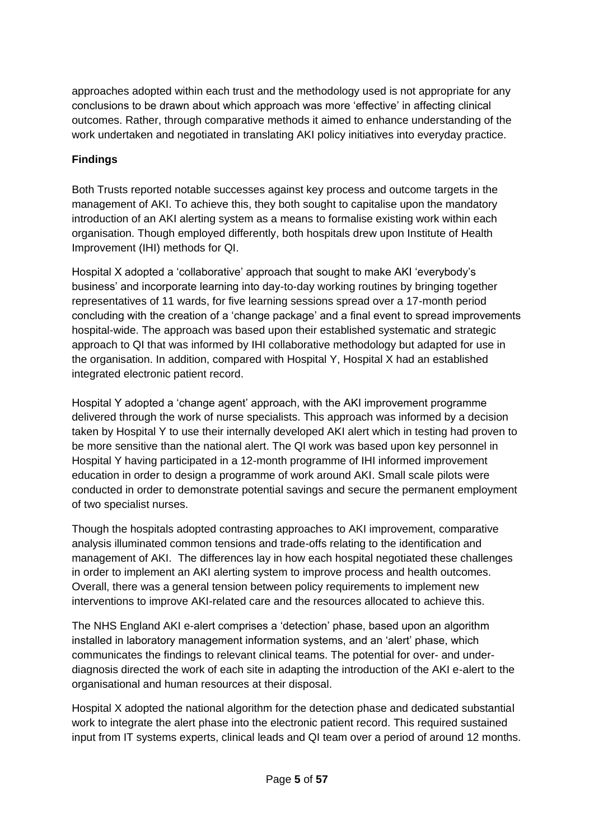approaches adopted within each trust and the methodology used is not appropriate for any conclusions to be drawn about which approach was more 'effective' in affecting clinical outcomes. Rather, through comparative methods it aimed to enhance understanding of the work undertaken and negotiated in translating AKI policy initiatives into everyday practice.

#### **Findings**

Both Trusts reported notable successes against key process and outcome targets in the management of AKI. To achieve this, they both sought to capitalise upon the mandatory introduction of an AKI alerting system as a means to formalise existing work within each organisation. Though employed differently, both hospitals drew upon Institute of Health Improvement (IHI) methods for QI.

Hospital X adopted a 'collaborative' approach that sought to make AKI 'everybody's business' and incorporate learning into day-to-day working routines by bringing together representatives of 11 wards, for five learning sessions spread over a 17-month period concluding with the creation of a 'change package' and a final event to spread improvements hospital-wide. The approach was based upon their established systematic and strategic approach to QI that was informed by IHI collaborative methodology but adapted for use in the organisation. In addition, compared with Hospital Y, Hospital X had an established integrated electronic patient record.

Hospital Y adopted a 'change agent' approach, with the AKI improvement programme delivered through the work of nurse specialists. This approach was informed by a decision taken by Hospital Y to use their internally developed AKI alert which in testing had proven to be more sensitive than the national alert. The QI work was based upon key personnel in Hospital Y having participated in a 12-month programme of IHI informed improvement education in order to design a programme of work around AKI. Small scale pilots were conducted in order to demonstrate potential savings and secure the permanent employment of two specialist nurses.

Though the hospitals adopted contrasting approaches to AKI improvement, comparative analysis illuminated common tensions and trade-offs relating to the identification and management of AKI. The differences lay in how each hospital negotiated these challenges in order to implement an AKI alerting system to improve process and health outcomes. Overall, there was a general tension between policy requirements to implement new interventions to improve AKI-related care and the resources allocated to achieve this.

The NHS England AKI e-alert comprises a 'detection' phase, based upon an algorithm installed in laboratory management information systems, and an 'alert' phase, which communicates the findings to relevant clinical teams. The potential for over- and underdiagnosis directed the work of each site in adapting the introduction of the AKI e-alert to the organisational and human resources at their disposal.

Hospital X adopted the national algorithm for the detection phase and dedicated substantial work to integrate the alert phase into the electronic patient record. This required sustained input from IT systems experts, clinical leads and QI team over a period of around 12 months.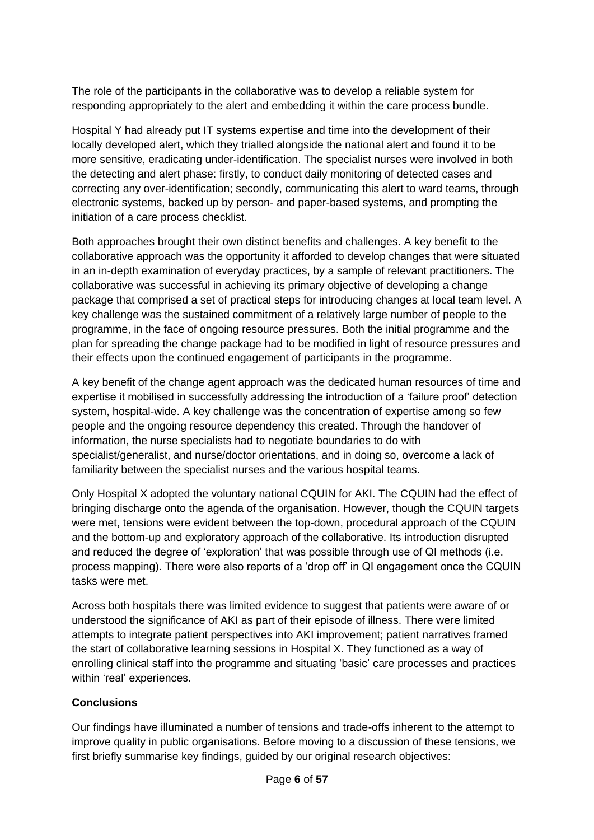The role of the participants in the collaborative was to develop a reliable system for responding appropriately to the alert and embedding it within the care process bundle.

Hospital Y had already put IT systems expertise and time into the development of their locally developed alert, which they trialled alongside the national alert and found it to be more sensitive, eradicating under-identification. The specialist nurses were involved in both the detecting and alert phase: firstly, to conduct daily monitoring of detected cases and correcting any over-identification; secondly, communicating this alert to ward teams, through electronic systems, backed up by person- and paper-based systems, and prompting the initiation of a care process checklist.

Both approaches brought their own distinct benefits and challenges. A key benefit to the collaborative approach was the opportunity it afforded to develop changes that were situated in an in-depth examination of everyday practices, by a sample of relevant practitioners. The collaborative was successful in achieving its primary objective of developing a change package that comprised a set of practical steps for introducing changes at local team level. A key challenge was the sustained commitment of a relatively large number of people to the programme, in the face of ongoing resource pressures. Both the initial programme and the plan for spreading the change package had to be modified in light of resource pressures and their effects upon the continued engagement of participants in the programme.

A key benefit of the change agent approach was the dedicated human resources of time and expertise it mobilised in successfully addressing the introduction of a 'failure proof' detection system, hospital-wide. A key challenge was the concentration of expertise among so few people and the ongoing resource dependency this created. Through the handover of information, the nurse specialists had to negotiate boundaries to do with specialist/generalist, and nurse/doctor orientations, and in doing so, overcome a lack of familiarity between the specialist nurses and the various hospital teams.

Only Hospital X adopted the voluntary national CQUIN for AKI. The CQUIN had the effect of bringing discharge onto the agenda of the organisation. However, though the CQUIN targets were met, tensions were evident between the top-down, procedural approach of the CQUIN and the bottom-up and exploratory approach of the collaborative. Its introduction disrupted and reduced the degree of 'exploration' that was possible through use of QI methods (i.e. process mapping). There were also reports of a 'drop off' in QI engagement once the CQUIN tasks were met.

Across both hospitals there was limited evidence to suggest that patients were aware of or understood the significance of AKI as part of their episode of illness. There were limited attempts to integrate patient perspectives into AKI improvement; patient narratives framed the start of collaborative learning sessions in Hospital X. They functioned as a way of enrolling clinical staff into the programme and situating 'basic' care processes and practices within 'real' experiences.

#### **Conclusions**

Our findings have illuminated a number of tensions and trade-offs inherent to the attempt to improve quality in public organisations. Before moving to a discussion of these tensions, we first briefly summarise key findings, guided by our original research objectives: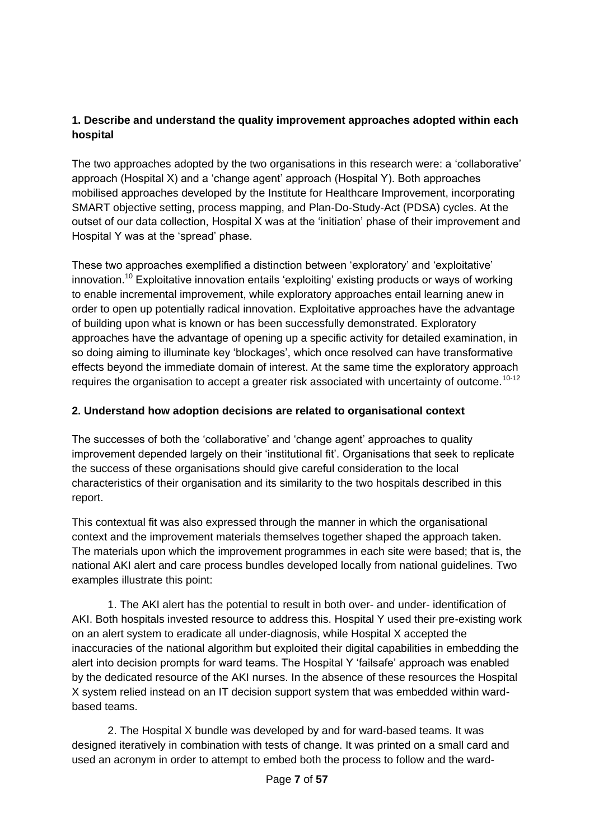#### **1. Describe and understand the quality improvement approaches adopted within each hospital**

The two approaches adopted by the two organisations in this research were: a 'collaborative' approach (Hospital X) and a 'change agent' approach (Hospital Y). Both approaches mobilised approaches developed by the Institute for Healthcare Improvement, incorporating SMART objective setting, process mapping, and Plan-Do-Study-Act (PDSA) cycles. At the outset of our data collection, Hospital X was at the 'initiation' phase of their improvement and Hospital Y was at the 'spread' phase.

These two approaches exemplified a distinction between 'exploratory' and 'exploitative' innovation.<sup>10</sup> Exploitative innovation entails 'exploiting' existing products or ways of working to enable incremental improvement, while exploratory approaches entail learning anew in order to open up potentially radical innovation. Exploitative approaches have the advantage of building upon what is known or has been successfully demonstrated. Exploratory approaches have the advantage of opening up a specific activity for detailed examination, in so doing aiming to illuminate key 'blockages', which once resolved can have transformative effects beyond the immediate domain of interest. At the same time the exploratory approach requires the organisation to accept a greater risk associated with uncertainty of outcome.<sup>10-12</sup>

#### **2. Understand how adoption decisions are related to organisational context**

The successes of both the 'collaborative' and 'change agent' approaches to quality improvement depended largely on their 'institutional fit'. Organisations that seek to replicate the success of these organisations should give careful consideration to the local characteristics of their organisation and its similarity to the two hospitals described in this report.

This contextual fit was also expressed through the manner in which the organisational context and the improvement materials themselves together shaped the approach taken. The materials upon which the improvement programmes in each site were based; that is, the national AKI alert and care process bundles developed locally from national guidelines. Two examples illustrate this point:

1. The AKI alert has the potential to result in both over- and under- identification of AKI. Both hospitals invested resource to address this. Hospital Y used their pre-existing work on an alert system to eradicate all under-diagnosis, while Hospital X accepted the inaccuracies of the national algorithm but exploited their digital capabilities in embedding the alert into decision prompts for ward teams. The Hospital Y 'failsafe' approach was enabled by the dedicated resource of the AKI nurses. In the absence of these resources the Hospital X system relied instead on an IT decision support system that was embedded within wardbased teams.

2. The Hospital X bundle was developed by and for ward-based teams. It was designed iteratively in combination with tests of change. It was printed on a small card and used an acronym in order to attempt to embed both the process to follow and the ward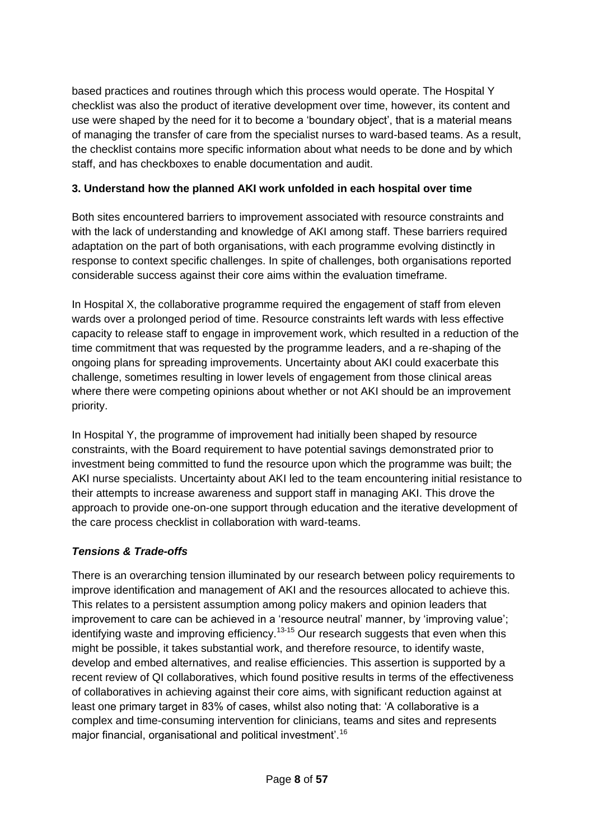based practices and routines through which this process would operate. The Hospital Y checklist was also the product of iterative development over time, however, its content and use were shaped by the need for it to become a 'boundary object', that is a material means of managing the transfer of care from the specialist nurses to ward-based teams. As a result, the checklist contains more specific information about what needs to be done and by which staff, and has checkboxes to enable documentation and audit.

#### **3. Understand how the planned AKI work unfolded in each hospital over time**

Both sites encountered barriers to improvement associated with resource constraints and with the lack of understanding and knowledge of AKI among staff. These barriers required adaptation on the part of both organisations, with each programme evolving distinctly in response to context specific challenges. In spite of challenges, both organisations reported considerable success against their core aims within the evaluation timeframe.

In Hospital X, the collaborative programme required the engagement of staff from eleven wards over a prolonged period of time. Resource constraints left wards with less effective capacity to release staff to engage in improvement work, which resulted in a reduction of the time commitment that was requested by the programme leaders, and a re-shaping of the ongoing plans for spreading improvements. Uncertainty about AKI could exacerbate this challenge, sometimes resulting in lower levels of engagement from those clinical areas where there were competing opinions about whether or not AKI should be an improvement priority.

In Hospital Y, the programme of improvement had initially been shaped by resource constraints, with the Board requirement to have potential savings demonstrated prior to investment being committed to fund the resource upon which the programme was built; the AKI nurse specialists. Uncertainty about AKI led to the team encountering initial resistance to their attempts to increase awareness and support staff in managing AKI. This drove the approach to provide one-on-one support through education and the iterative development of the care process checklist in collaboration with ward-teams.

#### *Tensions & Trade-offs*

There is an overarching tension illuminated by our research between policy requirements to improve identification and management of AKI and the resources allocated to achieve this. This relates to a persistent assumption among policy makers and opinion leaders that improvement to care can be achieved in a 'resource neutral' manner, by 'improving value'; identifying waste and improving efficiency.<sup>13-15</sup> Our research suggests that even when this might be possible, it takes substantial work, and therefore resource, to identify waste, develop and embed alternatives, and realise efficiencies. This assertion is supported by a recent review of QI collaboratives, which found positive results in terms of the effectiveness of collaboratives in achieving against their core aims, with significant reduction against at least one primary target in 83% of cases, whilst also noting that: 'A collaborative is a complex and time-consuming intervention for clinicians, teams and sites and represents major financial, organisational and political investment'.<sup>16</sup>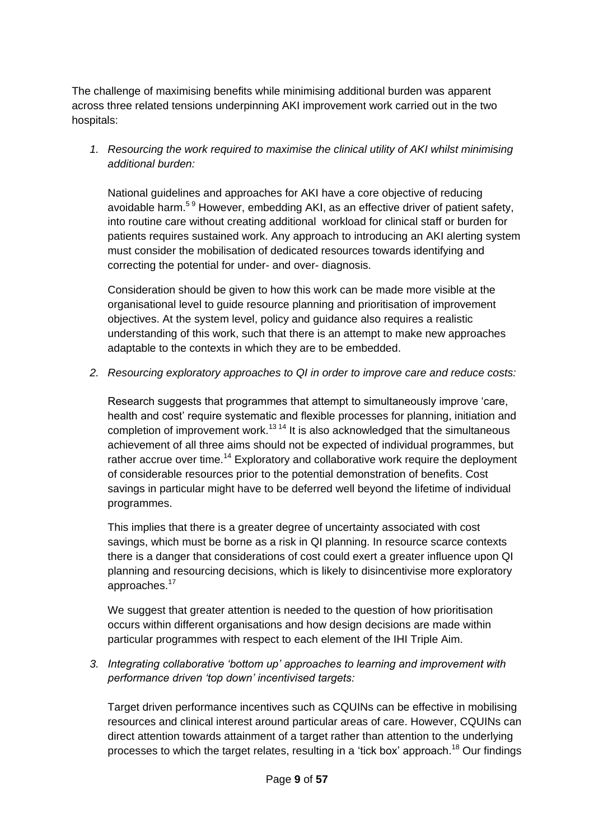The challenge of maximising benefits while minimising additional burden was apparent across three related tensions underpinning AKI improvement work carried out in the two hospitals:

*1. Resourcing the work required to maximise the clinical utility of AKI whilst minimising additional burden:*

National guidelines and approaches for AKI have a core objective of reducing avoidable harm.<sup>59</sup> However, embedding AKI, as an effective driver of patient safety, into routine care without creating additional workload for clinical staff or burden for patients requires sustained work. Any approach to introducing an AKI alerting system must consider the mobilisation of dedicated resources towards identifying and correcting the potential for under- and over- diagnosis.

Consideration should be given to how this work can be made more visible at the organisational level to guide resource planning and prioritisation of improvement objectives. At the system level, policy and guidance also requires a realistic understanding of this work, such that there is an attempt to make new approaches adaptable to the contexts in which they are to be embedded.

*2. Resourcing exploratory approaches to QI in order to improve care and reduce costs:*

Research suggests that programmes that attempt to simultaneously improve 'care, health and cost' require systematic and flexible processes for planning, initiation and completion of improvement work.<sup>13 14</sup> It is also acknowledged that the simultaneous achievement of all three aims should not be expected of individual programmes, but rather accrue over time.<sup>14</sup> Exploratory and collaborative work require the deployment of considerable resources prior to the potential demonstration of benefits. Cost savings in particular might have to be deferred well beyond the lifetime of individual programmes.

This implies that there is a greater degree of uncertainty associated with cost savings, which must be borne as a risk in QI planning. In resource scarce contexts there is a danger that considerations of cost could exert a greater influence upon QI planning and resourcing decisions, which is likely to disincentivise more exploratory approaches.<sup>17</sup>

We suggest that greater attention is needed to the question of how prioritisation occurs within different organisations and how design decisions are made within particular programmes with respect to each element of the IHI Triple Aim.

*3. Integrating collaborative 'bottom up' approaches to learning and improvement with performance driven 'top down' incentivised targets:*

Target driven performance incentives such as CQUINs can be effective in mobilising resources and clinical interest around particular areas of care. However, CQUINs can direct attention towards attainment of a target rather than attention to the underlying processes to which the target relates, resulting in a 'tick box' approach.<sup>18</sup> Our findings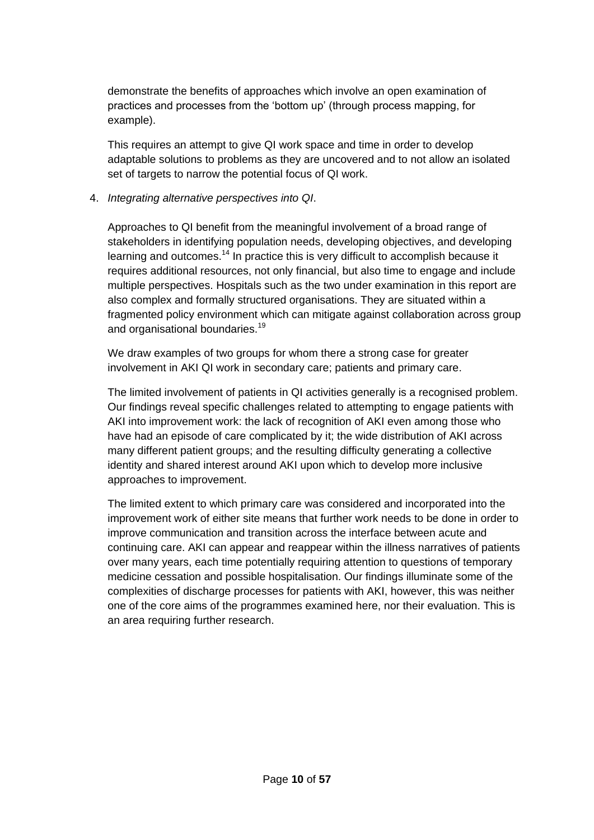demonstrate the benefits of approaches which involve an open examination of practices and processes from the 'bottom up' (through process mapping, for example).

This requires an attempt to give QI work space and time in order to develop adaptable solutions to problems as they are uncovered and to not allow an isolated set of targets to narrow the potential focus of QI work.

#### 4. *Integrating alternative perspectives into QI*.

Approaches to QI benefit from the meaningful involvement of a broad range of stakeholders in identifying population needs, developing objectives, and developing learning and outcomes.<sup>14</sup> In practice this is very difficult to accomplish because it requires additional resources, not only financial, but also time to engage and include multiple perspectives. Hospitals such as the two under examination in this report are also complex and formally structured organisations. They are situated within a fragmented policy environment which can mitigate against collaboration across group and organisational boundaries.<sup>19</sup>

We draw examples of two groups for whom there a strong case for greater involvement in AKI QI work in secondary care; patients and primary care.

The limited involvement of patients in QI activities generally is a recognised problem. Our findings reveal specific challenges related to attempting to engage patients with AKI into improvement work: the lack of recognition of AKI even among those who have had an episode of care complicated by it; the wide distribution of AKI across many different patient groups; and the resulting difficulty generating a collective identity and shared interest around AKI upon which to develop more inclusive approaches to improvement.

The limited extent to which primary care was considered and incorporated into the improvement work of either site means that further work needs to be done in order to improve communication and transition across the interface between acute and continuing care. AKI can appear and reappear within the illness narratives of patients over many years, each time potentially requiring attention to questions of temporary medicine cessation and possible hospitalisation. Our findings illuminate some of the complexities of discharge processes for patients with AKI, however, this was neither one of the core aims of the programmes examined here, nor their evaluation. This is an area requiring further research.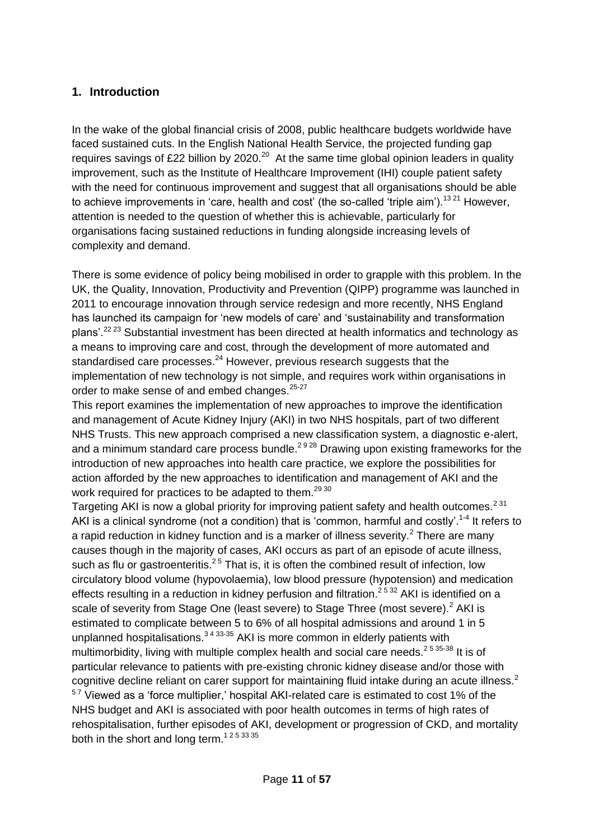#### **1. Introduction**

In the wake of the global financial crisis of 2008, public healthcare budgets worldwide have faced sustained cuts. In the English National Health Service, the projected funding gap requires savings of £22 billion by 2020.<sup>20</sup> At the same time global opinion leaders in quality improvement, such as the Institute of Healthcare Improvement (IHI) couple patient safety with the need for continuous improvement and suggest that all organisations should be able to achieve improvements in 'care, health and cost' (the so-called 'triple aim').<sup>1321</sup> However, attention is needed to the question of whether this is achievable, particularly for organisations facing sustained reductions in funding alongside increasing levels of complexity and demand.

There is some evidence of policy being mobilised in order to grapple with this problem. In the UK, the Quality, Innovation, Productivity and Prevention (QIPP) programme was launched in 2011 to encourage innovation through service redesign and more recently, NHS England has launched its campaign for 'new models of care' and 'sustainability and transformation plans'.22 23 Substantial investment has been directed at health informatics and technology as a means to improving care and cost, through the development of more automated and standardised care processes.<sup>24</sup> However, previous research suggests that the implementation of new technology is not simple, and requires work within organisations in order to make sense of and embed changes.<sup>25-27</sup>

This report examines the implementation of new approaches to improve the identification and management of Acute Kidney Injury (AKI) in two NHS hospitals, part of two different NHS Trusts. This new approach comprised a new classification system, a diagnostic e-alert, and a minimum standard care process bundle.<sup>2928</sup> Drawing upon existing frameworks for the introduction of new approaches into health care practice, we explore the possibilities for action afforded by the new approaches to identification and management of AKI and the work required for practices to be adapted to them.<sup>29 30</sup>

Targeting AKI is now a global priority for improving patient safety and health outcomes.<sup>231</sup> AKI is a clinical syndrome (not a condition) that is 'common, harmful and costly'.<sup>1-4</sup> It refers to a rapid reduction in kidney function and is a marker of illness severity. $2$  There are many causes though in the majority of cases, AKI occurs as part of an episode of acute illness, such as flu or gastroenteritis. $2<sup>5</sup>$  That is, it is often the combined result of infection, low circulatory blood volume (hypovolaemia), low blood pressure (hypotension) and medication effects resulting in a reduction in kidney perfusion and filtration.<sup>2532</sup> AKI is identified on a scale of severity from Stage One (least severe) to Stage Three (most severe).<sup>2</sup> AKI is estimated to complicate between 5 to 6% of all hospital admissions and around 1 in 5 unplanned hospitalisations. $343335$  AKI is more common in elderly patients with multimorbidity, living with multiple complex health and social care needs.<sup>2535-38</sup> It is of particular relevance to patients with pre-existing chronic kidney disease and/or those with cognitive decline reliant on carer support for maintaining fluid intake during an acute illness.<sup>2</sup>  $57$  Viewed as a 'force multiplier,' hospital AKI-related care is estimated to cost 1% of the NHS budget and AKI is associated with poor health outcomes in terms of high rates of rehospitalisation, further episodes of AKI, development or progression of CKD, and mortality both in the short and long term.<sup>1253335</sup>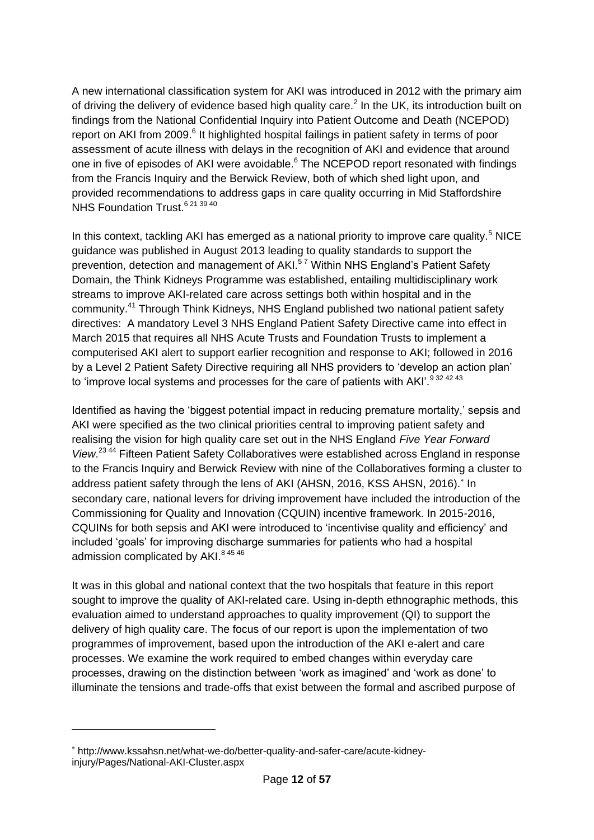A new international classification system for AKI was introduced in 2012 with the primary aim of driving the delivery of evidence based high quality care.<sup>2</sup> In the UK, its introduction built on findings from the National Confidential Inquiry into Patient Outcome and Death (NCEPOD) report on AKI from 2009.<sup>6</sup> It highlighted hospital failings in patient safety in terms of poor assessment of acute illness with delays in the recognition of AKI and evidence that around one in five of episodes of AKI were avoidable.<sup>6</sup> The NCEPOD report resonated with findings from the Francis Inquiry and the Berwick Review, both of which shed light upon, and provided recommendations to address gaps in care quality occurring in Mid Staffordshire NHS Foundation Trust.<sup>6 21 39 40</sup>

In this context, tackling AKI has emerged as a national priority to improve care quality.<sup>5</sup> NICE guidance was published in August 2013 leading to quality standards to support the prevention, detection and management of AKI.<sup>57</sup> Within NHS England's Patient Safety Domain, the Think Kidneys Programme was established, entailing multidisciplinary work streams to improve AKI-related care across settings both within hospital and in the community.<sup>41</sup> Through Think Kidneys, NHS England published two national patient safety directives: A mandatory Level 3 NHS England Patient Safety Directive came into effect in March 2015 that requires all NHS Acute Trusts and Foundation Trusts to implement a computerised AKI alert to support earlier recognition and response to AKI; followed in 2016 by a Level 2 Patient Safety Directive requiring all NHS providers to 'develop an action plan' to 'improve local systems and processes for the care of patients with AKI'.<sup>9324243</sup>

Identified as having the 'biggest potential impact in reducing premature mortality,' sepsis and AKI were specified as the two clinical priorities central to improving patient safety and realising the vision for high quality care set out in the NHS England *Five Year Forward View*. 23 44 Fifteen Patient Safety Collaboratives were established across England in response to the Francis Inquiry and Berwick Review with nine of the Collaboratives forming a cluster to address patient safety through the lens of AKI (AHSN, 2016, KSS AHSN, 2016). In secondary care, national levers for driving improvement have included the introduction of the Commissioning for Quality and Innovation (CQUIN) incentive framework. In 2015-2016, CQUINs for both sepsis and AKI were introduced to 'incentivise quality and efficiency' and included 'goals' for improving discharge summaries for patients who had a hospital admission complicated by AKI.<sup>84546</sup>

It was in this global and national context that the two hospitals that feature in this report sought to improve the quality of AKI-related care. Using in-depth ethnographic methods, this evaluation aimed to understand approaches to quality improvement (QI) to support the delivery of high quality care. The focus of our report is upon the implementation of two programmes of improvement, based upon the introduction of the AKI e-alert and care processes. We examine the work required to embed changes within everyday care processes, drawing on the distinction between 'work as imagined' and 'work as done' to illuminate the tensions and trade-offs that exist between the formal and ascribed purpose of

 $\overline{a}$ 

http://www.kssahsn.net/what-we-do/better-quality-and-safer-care/acute-kidneyinjury/Pages/National-AKI-Cluster.aspx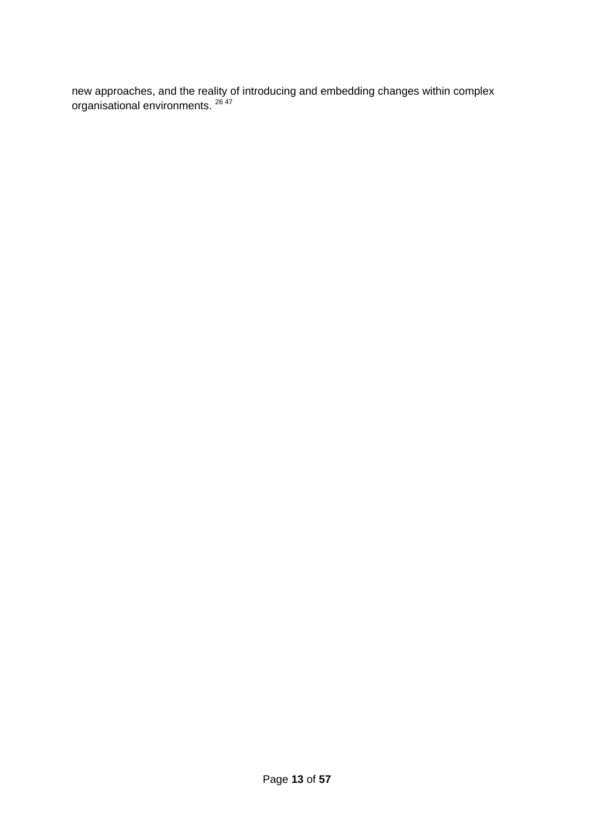new approaches, and the reality of introducing and embedding changes within complex organisational environments. <sup>26 47</sup>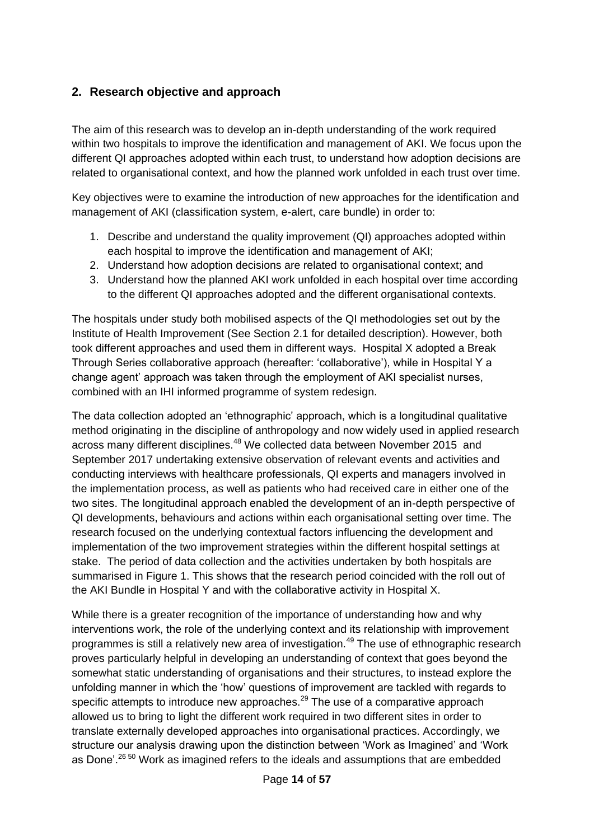#### **2. Research objective and approach**

The aim of this research was to develop an in-depth understanding of the work required within two hospitals to improve the identification and management of AKI. We focus upon the different QI approaches adopted within each trust, to understand how adoption decisions are related to organisational context, and how the planned work unfolded in each trust over time.

Key objectives were to examine the introduction of new approaches for the identification and management of AKI (classification system, e-alert, care bundle) in order to:

- 1. Describe and understand the quality improvement (QI) approaches adopted within each hospital to improve the identification and management of AKI;
- 2. Understand how adoption decisions are related to organisational context; and
- 3. Understand how the planned AKI work unfolded in each hospital over time according to the different QI approaches adopted and the different organisational contexts.

The hospitals under study both mobilised aspects of the QI methodologies set out by the Institute of Health Improvement (See Section 2.1 for detailed description). However, both took different approaches and used them in different ways. Hospital X adopted a Break Through Series collaborative approach (hereafter: 'collaborative'), while in Hospital Y a change agent' approach was taken through the employment of AKI specialist nurses, combined with an IHI informed programme of system redesign.

The data collection adopted an 'ethnographic' approach, which is a longitudinal qualitative method originating in the discipline of anthropology and now widely used in applied research across many different disciplines.<sup>48</sup> We collected data between November 2015 and September 2017 undertaking extensive observation of relevant events and activities and conducting interviews with healthcare professionals, QI experts and managers involved in the implementation process, as well as patients who had received care in either one of the two sites. The longitudinal approach enabled the development of an in-depth perspective of QI developments, behaviours and actions within each organisational setting over time. The research focused on the underlying contextual factors influencing the development and implementation of the two improvement strategies within the different hospital settings at stake. The period of data collection and the activities undertaken by both hospitals are summarised in Figure 1. This shows that the research period coincided with the roll out of the AKI Bundle in Hospital Y and with the collaborative activity in Hospital X.

While there is a greater recognition of the importance of understanding how and why interventions work, the role of the underlying context and its relationship with improvement programmes is still a relatively new area of investigation.<sup>49</sup> The use of ethnographic research proves particularly helpful in developing an understanding of context that goes beyond the somewhat static understanding of organisations and their structures, to instead explore the unfolding manner in which the 'how' questions of improvement are tackled with regards to specific attempts to introduce new approaches.<sup>29</sup> The use of a comparative approach allowed us to bring to light the different work required in two different sites in order to translate externally developed approaches into organisational practices. Accordingly, we structure our analysis drawing upon the distinction between 'Work as Imagined' and 'Work as Done'.<sup>26 50</sup> Work as imagined refers to the ideals and assumptions that are embedded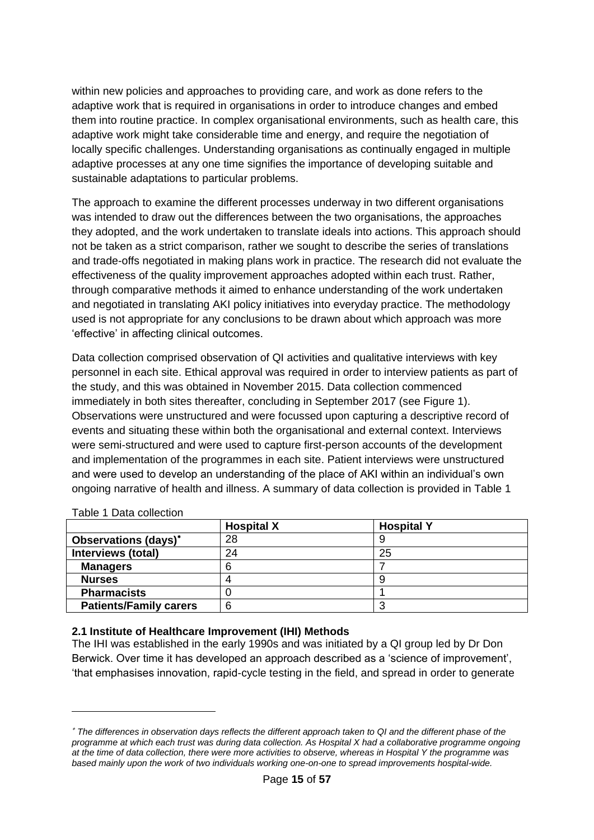within new policies and approaches to providing care, and work as done refers to the adaptive work that is required in organisations in order to introduce changes and embed them into routine practice. In complex organisational environments, such as health care, this adaptive work might take considerable time and energy, and require the negotiation of locally specific challenges. Understanding organisations as continually engaged in multiple adaptive processes at any one time signifies the importance of developing suitable and sustainable adaptations to particular problems.

The approach to examine the different processes underway in two different organisations was intended to draw out the differences between the two organisations, the approaches they adopted, and the work undertaken to translate ideals into actions. This approach should not be taken as a strict comparison, rather we sought to describe the series of translations and trade-offs negotiated in making plans work in practice. The research did not evaluate the effectiveness of the quality improvement approaches adopted within each trust. Rather, through comparative methods it aimed to enhance understanding of the work undertaken and negotiated in translating AKI policy initiatives into everyday practice. The methodology used is not appropriate for any conclusions to be drawn about which approach was more 'effective' in affecting clinical outcomes.

Data collection comprised observation of QI activities and qualitative interviews with key personnel in each site. Ethical approval was required in order to interview patients as part of the study, and this was obtained in November 2015. Data collection commenced immediately in both sites thereafter, concluding in September 2017 (see Figure 1). Observations were unstructured and were focussed upon capturing a descriptive record of events and situating these within both the organisational and external context. Interviews were semi-structured and were used to capture first-person accounts of the development and implementation of the programmes in each site. Patient interviews were unstructured and were used to develop an understanding of the place of AKI within an individual's own ongoing narrative of health and illness. A summary of data collection is provided in Table 1

|                               | <b>Hospital X</b> | <b>Hospital Y</b> |
|-------------------------------|-------------------|-------------------|
| Observations (days)*          | 28                |                   |
| Interviews (total)            | 24                | 25                |
| <b>Managers</b>               |                   |                   |
| <b>Nurses</b>                 |                   |                   |
| <b>Pharmacists</b>            |                   |                   |
| <b>Patients/Family carers</b> | 6                 |                   |

#### Table 1 Data collection

-

#### **2.1 Institute of Healthcare Improvement (IHI) Methods**

The IHI was established in the early 1990s and was initiated by a QI group led by Dr Don Berwick. Over time it has developed an approach described as a 'science of improvement', 'that emphasises innovation, rapid-cycle testing in the field, and spread in order to generate

*The differences in observation days reflects the different approach taken to QI and the different phase of the programme at which each trust was during data collection. As Hospital X had a collaborative programme ongoing at the time of data collection, there were more activities to observe, whereas in Hospital Y the programme was based mainly upon the work of two individuals working one-on-one to spread improvements hospital-wide.*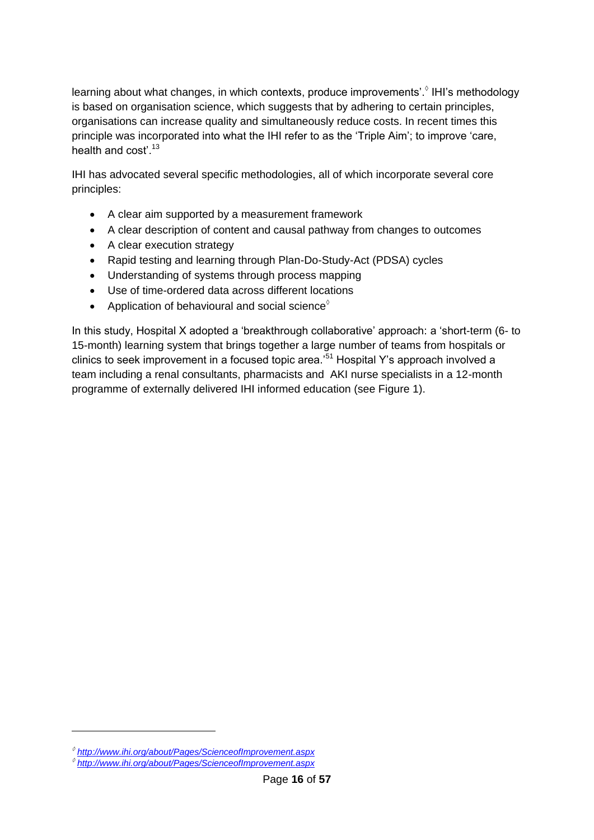learning about what changes, in which contexts, produce improvements'.<sup>6</sup> IHI's methodology is based on organisation science, which suggests that by adhering to certain principles, organisations can increase quality and simultaneously reduce costs. In recent times this principle was incorporated into what the IHI refer to as the 'Triple Aim'; to improve 'care, health and cost' 13

IHI has advocated several specific methodologies, all of which incorporate several core principles:

- A clear aim supported by a measurement framework
- A clear description of content and causal pathway from changes to outcomes
- A clear execution strategy
- Rapid testing and learning through Plan-Do-Study-Act (PDSA) cycles
- Understanding of systems through process mapping
- Use of time-ordered data across different locations
- Application of behavioural and social science $^\diamond$

In this study, Hospital X adopted a 'breakthrough collaborative' approach: a 'short-term (6- to 15-month) learning system that brings together a large number of teams from hospitals or clinics to seek improvement in a focused topic area.'<sup>51</sup> Hospital Y's approach involved a team including a renal consultants, pharmacists and AKI nurse specialists in a 12-month programme of externally delivered IHI informed education (see Figure 1).

1

*<http://www.ihi.org/about/Pages/ScienceofImprovement.aspx> <http://www.ihi.org/about/Pages/ScienceofImprovement.aspx>*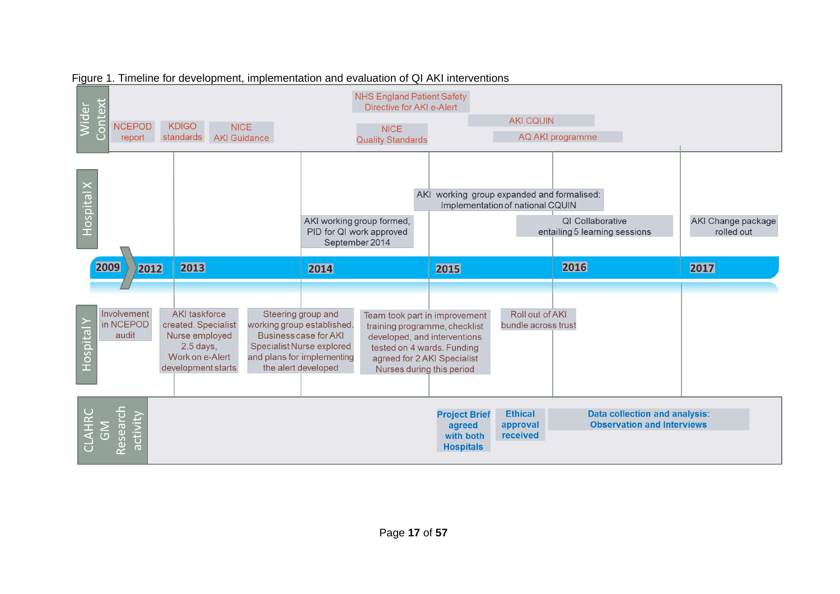

#### Figure 1. Timeline for development, implementation and evaluation of QI AKI interventions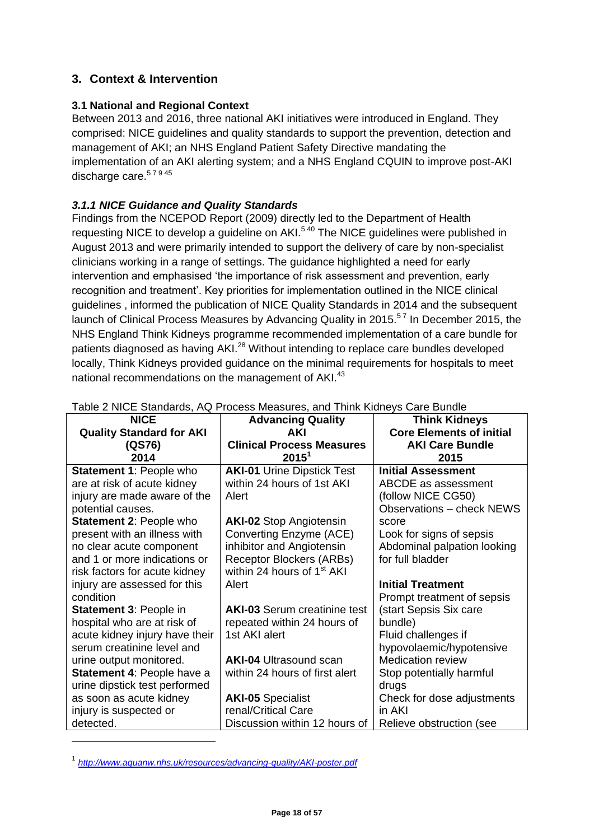#### **3. Context & Intervention**

#### **3.1 National and Regional Context**

Between 2013 and 2016, three national AKI initiatives were introduced in England. They comprised: NICE guidelines and quality standards to support the prevention, detection and management of AKI; an NHS England Patient Safety Directive mandating the implementation of an AKI alerting system; and a NHS England CQUIN to improve post-AKI discharge care.<sup>57945</sup>

#### *3.1.1 NICE Guidance and Quality Standards*

Findings from the NCEPOD Report (2009) directly led to the Department of Health requesting NICE to develop a quideline on AKI.<sup>540</sup> The NICE quidelines were published in August 2013 and were primarily intended to support the delivery of care by non-specialist clinicians working in a range of settings. The guidance highlighted a need for early intervention and emphasised 'the importance of risk assessment and prevention, early recognition and treatment'. Key priorities for implementation outlined in the NICE clinical guidelines , informed the publication of NICE Quality Standards in 2014 and the subsequent launch of Clinical Process Measures by Advancing Quality in 2015.<sup>57</sup> In December 2015, the NHS England Think Kidneys programme recommended implementation of a care bundle for patients diagnosed as having AKI.<sup>28</sup> Without intending to replace care bundles developed locally, Think Kidneys provided guidance on the minimal requirements for hospitals to meet national recommendations on the management of AKI.<sup>43</sup>

|                                 | rabic Z NiOL Olandards, AQ 1 Toccss Mcasures, and Thillin Nuncys Oarc Dundle |                                  |  |
|---------------------------------|------------------------------------------------------------------------------|----------------------------------|--|
| <b>NICE</b>                     | <b>Advancing Quality</b>                                                     | <b>Think Kidneys</b>             |  |
| <b>Quality Standard for AKI</b> | AKI                                                                          | <b>Core Elements of initial</b>  |  |
| (QS76)                          | <b>Clinical Process Measures</b>                                             | <b>AKI Care Bundle</b>           |  |
| 2014                            | $2015^1$                                                                     | 2015                             |  |
| <b>Statement 1: People who</b>  | <b>AKI-01</b> Urine Dipstick Test                                            | <b>Initial Assessment</b>        |  |
| are at risk of acute kidney     | within 24 hours of 1st AKI                                                   | ABCDE as assessment              |  |
| injury are made aware of the    | Alert                                                                        | (follow NICE CG50)               |  |
| potential causes.               |                                                                              | <b>Observations - check NEWS</b> |  |
| <b>Statement 2: People who</b>  | <b>AKI-02 Stop Angiotensin</b>                                               | score                            |  |
| present with an illness with    | Converting Enzyme (ACE)                                                      | Look for signs of sepsis         |  |
| no clear acute component        | inhibitor and Angiotensin                                                    | Abdominal palpation looking      |  |
| and 1 or more indications or    | Receptor Blockers (ARBs)                                                     | for full bladder                 |  |
| risk factors for acute kidney   | within 24 hours of 1 <sup>st</sup> AKI                                       |                                  |  |
| injury are assessed for this    | Alert                                                                        | <b>Initial Treatment</b>         |  |
| condition                       |                                                                              | Prompt treatment of sepsis       |  |
| <b>Statement 3: People in</b>   | <b>AKI-03 Serum creatinine test</b>                                          | (start Sepsis Six care           |  |
| hospital who are at risk of     | repeated within 24 hours of                                                  | bundle)                          |  |
| acute kidney injury have their  | 1st AKI alert                                                                | Fluid challenges if              |  |
| serum creatinine level and      |                                                                              | hypovolaemic/hypotensive         |  |
| urine output monitored.         | <b>AKI-04 Ultrasound scan</b>                                                | <b>Medication review</b>         |  |
| Statement 4: People have a      | within 24 hours of first alert                                               | Stop potentially harmful         |  |
| urine dipstick test performed   |                                                                              | drugs                            |  |
| as soon as acute kidney         | <b>AKI-05 Specialist</b>                                                     | Check for dose adjustments       |  |
| injury is suspected or          | renal/Critical Care                                                          | in AKI                           |  |
| detected.                       | Discussion within 12 hours of                                                | Relieve obstruction (see         |  |

Table 2 NICE Standards, AQ Process Measures, and Think Kidneys Care Bundle

1

<sup>1</sup> *<http://www.aquanw.nhs.uk/resources/advancing-quality/AKI-poster.pdf>*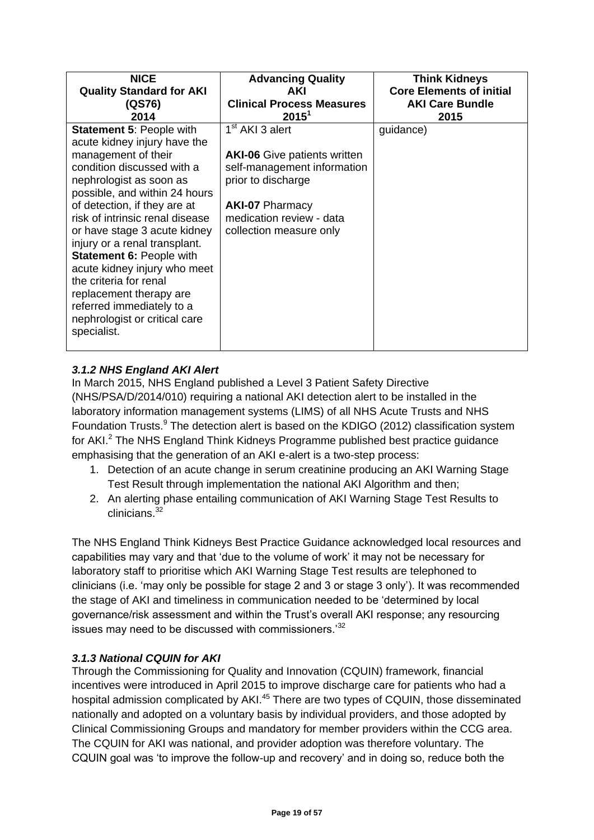| <b>NICE</b>                                                                                                                                                                                                                                                                                                                                                                                                                                                                                                               | <b>Advancing Quality</b>                                                                                                                                                                                 | <b>Think Kidneys</b>            |
|---------------------------------------------------------------------------------------------------------------------------------------------------------------------------------------------------------------------------------------------------------------------------------------------------------------------------------------------------------------------------------------------------------------------------------------------------------------------------------------------------------------------------|----------------------------------------------------------------------------------------------------------------------------------------------------------------------------------------------------------|---------------------------------|
| <b>Quality Standard for AKI</b>                                                                                                                                                                                                                                                                                                                                                                                                                                                                                           | AKI                                                                                                                                                                                                      | <b>Core Elements of initial</b> |
| (QS76)                                                                                                                                                                                                                                                                                                                                                                                                                                                                                                                    | <b>Clinical Process Measures</b>                                                                                                                                                                         | <b>AKI Care Bundle</b>          |
| 2014                                                                                                                                                                                                                                                                                                                                                                                                                                                                                                                      | $2015^1$                                                                                                                                                                                                 | 2015                            |
| <b>Statement 5: People with</b><br>acute kidney injury have the<br>management of their<br>condition discussed with a<br>nephrologist as soon as<br>possible, and within 24 hours<br>of detection, if they are at<br>risk of intrinsic renal disease<br>or have stage 3 acute kidney<br>injury or a renal transplant.<br><b>Statement 6: People with</b><br>acute kidney injury who meet<br>the criteria for renal<br>replacement therapy are<br>referred immediately to a<br>nephrologist or critical care<br>specialist. | 1 <sup>st</sup> AKI 3 alert<br><b>AKI-06</b> Give patients written<br>self-management information<br>prior to discharge<br><b>AKI-07 Pharmacy</b><br>medication review - data<br>collection measure only | guidance)                       |

#### *3.1.2 NHS England AKI Alert*

In March 2015, NHS England published a Level 3 Patient Safety Directive (NHS/PSA/D/2014/010) requiring a national AKI detection alert to be installed in the laboratory information management systems (LIMS) of all NHS Acute Trusts and NHS Foundation Trusts.<sup>9</sup> The detection alert is based on the KDIGO (2012) classification system for AKI.<sup>2</sup> The NHS England Think Kidneys Programme published best practice guidance emphasising that the generation of an AKI e-alert is a two-step process:

- 1. Detection of an acute change in serum creatinine producing an AKI Warning Stage Test Result through implementation the national AKI Algorithm and then;
- 2. An alerting phase entailing communication of AKI Warning Stage Test Results to clinicians<sup>32</sup>

The NHS England Think Kidneys Best Practice Guidance acknowledged local resources and capabilities may vary and that 'due to the volume of work' it may not be necessary for laboratory staff to prioritise which AKI Warning Stage Test results are telephoned to clinicians (i.e. 'may only be possible for stage 2 and 3 or stage 3 only'). It was recommended the stage of AKI and timeliness in communication needed to be 'determined by local governance/risk assessment and within the Trust's overall AKI response; any resourcing issues may need to be discussed with commissioners.<sup>32</sup>

#### *3.1.3 National CQUIN for AKI*

Through the Commissioning for Quality and Innovation (CQUIN) framework, financial incentives were introduced in April 2015 to improve discharge care for patients who had a hospital admission complicated by AKI.<sup>45</sup> There are two types of CQUIN, those disseminated nationally and adopted on a voluntary basis by individual providers, and those adopted by Clinical Commissioning Groups and mandatory for member providers within the CCG area. The CQUIN for AKI was national, and provider adoption was therefore voluntary. The CQUIN goal was 'to improve the follow-up and recovery' and in doing so, reduce both the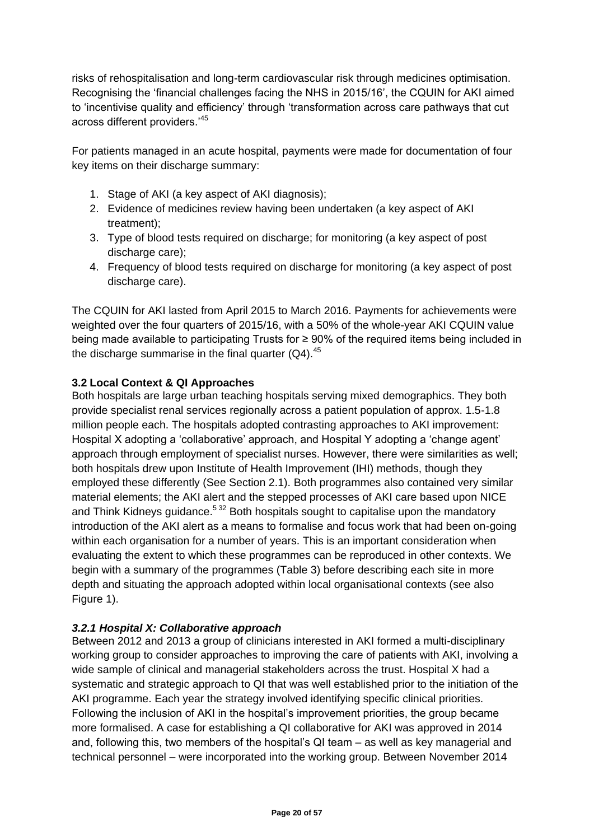risks of rehospitalisation and long-term cardiovascular risk through medicines optimisation. Recognising the 'financial challenges facing the NHS in 2015/16', the CQUIN for AKI aimed to 'incentivise quality and efficiency' through 'transformation across care pathways that cut across different providers.'<sup>45</sup>

For patients managed in an acute hospital, payments were made for documentation of four key items on their discharge summary:

- 1. Stage of AKI (a key aspect of AKI diagnosis);
- 2. Evidence of medicines review having been undertaken (a key aspect of AKI treatment);
- 3. Type of blood tests required on discharge; for monitoring (a key aspect of post discharge care);
- 4. Frequency of blood tests required on discharge for monitoring (a key aspect of post discharge care).

The CQUIN for AKI lasted from April 2015 to March 2016. Payments for achievements were weighted over the four quarters of 2015/16, with a 50% of the whole-year AKI CQUIN value being made available to participating Trusts for ≥ 90% of the required items being included in the discharge summarise in the final quarter  $(Q4)$ .<sup>45</sup>

#### **3.2 Local Context & QI Approaches**

Both hospitals are large urban teaching hospitals serving mixed demographics. They both provide specialist renal services regionally across a patient population of approx. 1.5-1.8 million people each. The hospitals adopted contrasting approaches to AKI improvement: Hospital X adopting a 'collaborative' approach, and Hospital Y adopting a 'change agent' approach through employment of specialist nurses. However, there were similarities as well; both hospitals drew upon Institute of Health Improvement (IHI) methods, though they employed these differently (See Section 2.1). Both programmes also contained very similar material elements; the AKI alert and the stepped processes of AKI care based upon NICE and Think Kidneys guidance.<sup>532</sup> Both hospitals sought to capitalise upon the mandatory introduction of the AKI alert as a means to formalise and focus work that had been on-going within each organisation for a number of years. This is an important consideration when evaluating the extent to which these programmes can be reproduced in other contexts. We begin with a summary of the programmes (Table 3) before describing each site in more depth and situating the approach adopted within local organisational contexts (see also Figure 1).

#### *3.2.1 Hospital X: Collaborative approach*

Between 2012 and 2013 a group of clinicians interested in AKI formed a multi-disciplinary working group to consider approaches to improving the care of patients with AKI, involving a wide sample of clinical and managerial stakeholders across the trust. Hospital X had a systematic and strategic approach to QI that was well established prior to the initiation of the AKI programme. Each year the strategy involved identifying specific clinical priorities. Following the inclusion of AKI in the hospital's improvement priorities, the group became more formalised. A case for establishing a QI collaborative for AKI was approved in 2014 and, following this, two members of the hospital's QI team – as well as key managerial and technical personnel – were incorporated into the working group. Between November 2014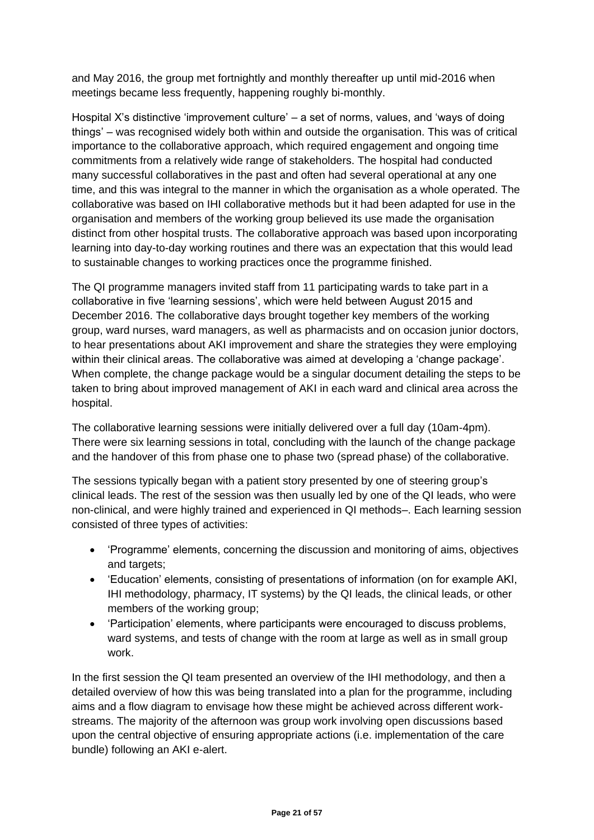and May 2016, the group met fortnightly and monthly thereafter up until mid-2016 when meetings became less frequently, happening roughly bi-monthly.

Hospital X's distinctive 'improvement culture' – a set of norms, values, and 'ways of doing things' – was recognised widely both within and outside the organisation. This was of critical importance to the collaborative approach, which required engagement and ongoing time commitments from a relatively wide range of stakeholders. The hospital had conducted many successful collaboratives in the past and often had several operational at any one time, and this was integral to the manner in which the organisation as a whole operated. The collaborative was based on IHI collaborative methods but it had been adapted for use in the organisation and members of the working group believed its use made the organisation distinct from other hospital trusts. The collaborative approach was based upon incorporating learning into day-to-day working routines and there was an expectation that this would lead to sustainable changes to working practices once the programme finished.

The QI programme managers invited staff from 11 participating wards to take part in a collaborative in five 'learning sessions', which were held between August 2015 and December 2016. The collaborative days brought together key members of the working group, ward nurses, ward managers, as well as pharmacists and on occasion junior doctors, to hear presentations about AKI improvement and share the strategies they were employing within their clinical areas. The collaborative was aimed at developing a 'change package'. When complete, the change package would be a singular document detailing the steps to be taken to bring about improved management of AKI in each ward and clinical area across the hospital.

The collaborative learning sessions were initially delivered over a full day (10am-4pm). There were six learning sessions in total, concluding with the launch of the change package and the handover of this from phase one to phase two (spread phase) of the collaborative.

The sessions typically began with a patient story presented by one of steering group's clinical leads. The rest of the session was then usually led by one of the QI leads, who were non-clinical, and were highly trained and experienced in QI methods–. Each learning session consisted of three types of activities:

- 'Programme' elements, concerning the discussion and monitoring of aims, objectives and targets:
- 'Education' elements, consisting of presentations of information (on for example AKI, IHI methodology, pharmacy, IT systems) by the QI leads, the clinical leads, or other members of the working group;
- 'Participation' elements, where participants were encouraged to discuss problems, ward systems, and tests of change with the room at large as well as in small group work.

In the first session the QI team presented an overview of the IHI methodology, and then a detailed overview of how this was being translated into a plan for the programme, including aims and a flow diagram to envisage how these might be achieved across different workstreams. The majority of the afternoon was group work involving open discussions based upon the central objective of ensuring appropriate actions (i.e. implementation of the care bundle) following an AKI e-alert.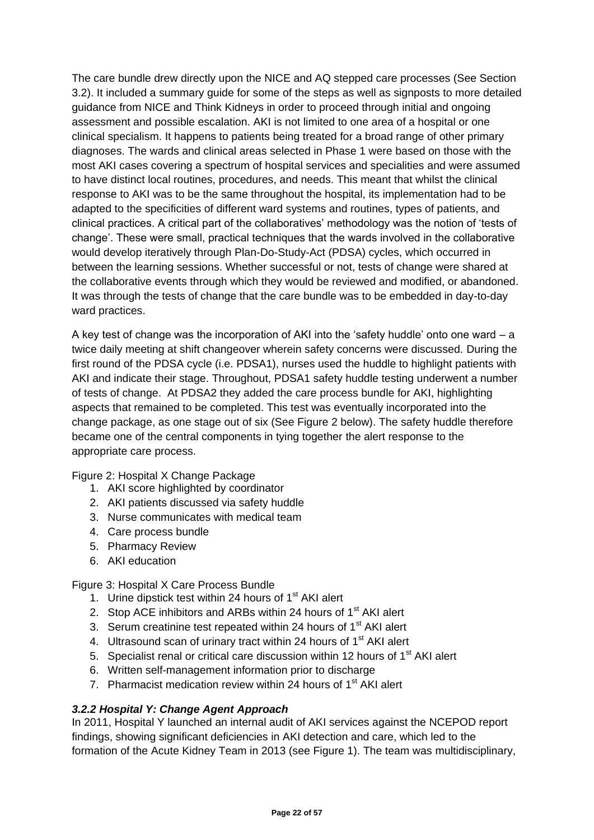The care bundle drew directly upon the NICE and AQ stepped care processes (See Section 3.2). It included a summary guide for some of the steps as well as signposts to more detailed guidance from NICE and Think Kidneys in order to proceed through initial and ongoing assessment and possible escalation. AKI is not limited to one area of a hospital or one clinical specialism. It happens to patients being treated for a broad range of other primary diagnoses. The wards and clinical areas selected in Phase 1 were based on those with the most AKI cases covering a spectrum of hospital services and specialities and were assumed to have distinct local routines, procedures, and needs. This meant that whilst the clinical response to AKI was to be the same throughout the hospital, its implementation had to be adapted to the specificities of different ward systems and routines, types of patients, and clinical practices. A critical part of the collaboratives' methodology was the notion of 'tests of change'. These were small, practical techniques that the wards involved in the collaborative would develop iteratively through Plan-Do-Study-Act (PDSA) cycles, which occurred in between the learning sessions. Whether successful or not, tests of change were shared at the collaborative events through which they would be reviewed and modified, or abandoned. It was through the tests of change that the care bundle was to be embedded in day-to-day ward practices.

A key test of change was the incorporation of AKI into the 'safety huddle' onto one ward – a twice daily meeting at shift changeover wherein safety concerns were discussed. During the first round of the PDSA cycle (i.e. PDSA1), nurses used the huddle to highlight patients with AKI and indicate their stage. Throughout, PDSA1 safety huddle testing underwent a number of tests of change. At PDSA2 they added the care process bundle for AKI, highlighting aspects that remained to be completed. This test was eventually incorporated into the change package, as one stage out of six (See Figure 2 below). The safety huddle therefore became one of the central components in tying together the alert response to the appropriate care process.

#### Figure 2: Hospital X Change Package

- 1. AKI score highlighted by coordinator
- 2. AKI patients discussed via safety huddle
- 3. Nurse communicates with medical team
- 4. Care process bundle
- 5. Pharmacy Review
- 6. AKI education

#### Figure 3: Hospital X Care Process Bundle

- 1. Urine dipstick test within 24 hours of  $1<sup>st</sup>$  AKI alert
- 2. Stop ACE inhibitors and ARBs within 24 hours of  $1<sup>st</sup>$  AKI alert
- 3. Serum creatinine test repeated within 24 hours of  $1<sup>st</sup>$  AKI alert
- 4. Ultrasound scan of urinary tract within 24 hours of 1<sup>st</sup> AKI alert
- 5. Specialist renal or critical care discussion within 12 hours of  $1<sup>st</sup> AKI$  alert
- 6. Written self-management information prior to discharge
- 7. Pharmacist medication review within 24 hours of 1<sup>st</sup> AKI alert

#### *3.2.2 Hospital Y: Change Agent Approach*

In 2011, Hospital Y launched an internal audit of AKI services against the NCEPOD report findings, showing significant deficiencies in AKI detection and care, which led to the formation of the Acute Kidney Team in 2013 (see Figure 1). The team was multidisciplinary,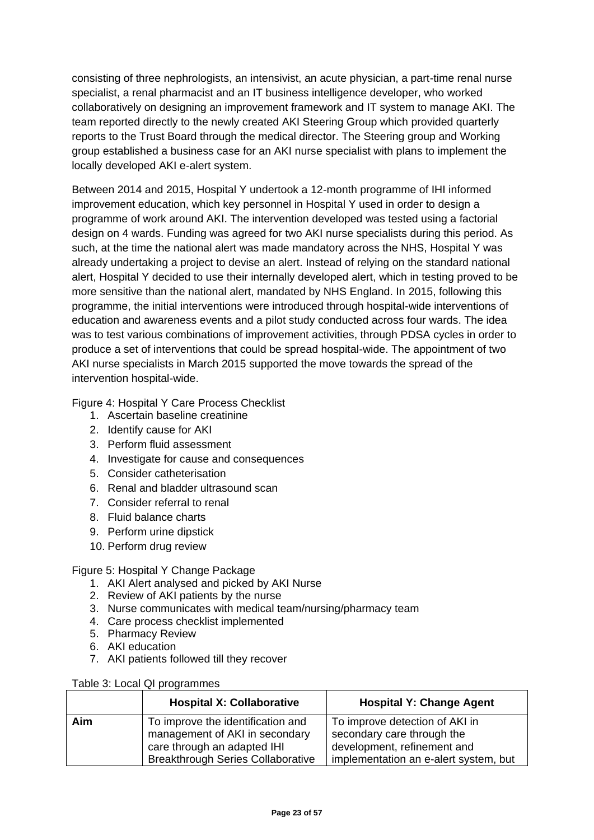consisting of three nephrologists, an intensivist, an acute physician, a part-time renal nurse specialist, a renal pharmacist and an IT business intelligence developer, who worked collaboratively on designing an improvement framework and IT system to manage AKI. The team reported directly to the newly created AKI Steering Group which provided quarterly reports to the Trust Board through the medical director. The Steering group and Working group established a business case for an AKI nurse specialist with plans to implement the locally developed AKI e-alert system.

Between 2014 and 2015, Hospital Y undertook a 12-month programme of IHI informed improvement education, which key personnel in Hospital Y used in order to design a programme of work around AKI. The intervention developed was tested using a factorial design on 4 wards. Funding was agreed for two AKI nurse specialists during this period. As such, at the time the national alert was made mandatory across the NHS, Hospital Y was already undertaking a project to devise an alert. Instead of relying on the standard national alert, Hospital Y decided to use their internally developed alert, which in testing proved to be more sensitive than the national alert, mandated by NHS England. In 2015, following this programme, the initial interventions were introduced through hospital-wide interventions of education and awareness events and a pilot study conducted across four wards. The idea was to test various combinations of improvement activities, through PDSA cycles in order to produce a set of interventions that could be spread hospital-wide. The appointment of two AKI nurse specialists in March 2015 supported the move towards the spread of the intervention hospital-wide.

Figure 4: Hospital Y Care Process Checklist

- 1. Ascertain baseline creatinine
- 2. Identify cause for AKI
- 3. Perform fluid assessment
- 4. Investigate for cause and consequences
- 5. Consider catheterisation
- 6. Renal and bladder ultrasound scan
- 7. Consider referral to renal
- 8. Fluid balance charts
- 9. Perform urine dipstick
- 10. Perform drug review

Figure 5: Hospital Y Change Package

- 1. AKI Alert analysed and picked by AKI Nurse
- 2. Review of AKI patients by the nurse
- 3. Nurse communicates with medical team/nursing/pharmacy team
- 4. Care process checklist implemented
- 5. Pharmacy Review
- 6. AKI education
- 7. AKI patients followed till they recover

| Table 3: Local QI programmes |
|------------------------------|
|                              |

|     | <b>Hospital X: Collaborative</b>                                                                                                               | <b>Hospital Y: Change Agent</b>                                                                                                      |
|-----|------------------------------------------------------------------------------------------------------------------------------------------------|--------------------------------------------------------------------------------------------------------------------------------------|
| Aim | To improve the identification and<br>management of AKI in secondary<br>care through an adapted IHI<br><b>Breakthrough Series Collaborative</b> | To improve detection of AKI in<br>secondary care through the<br>development, refinement and<br>implementation an e-alert system, but |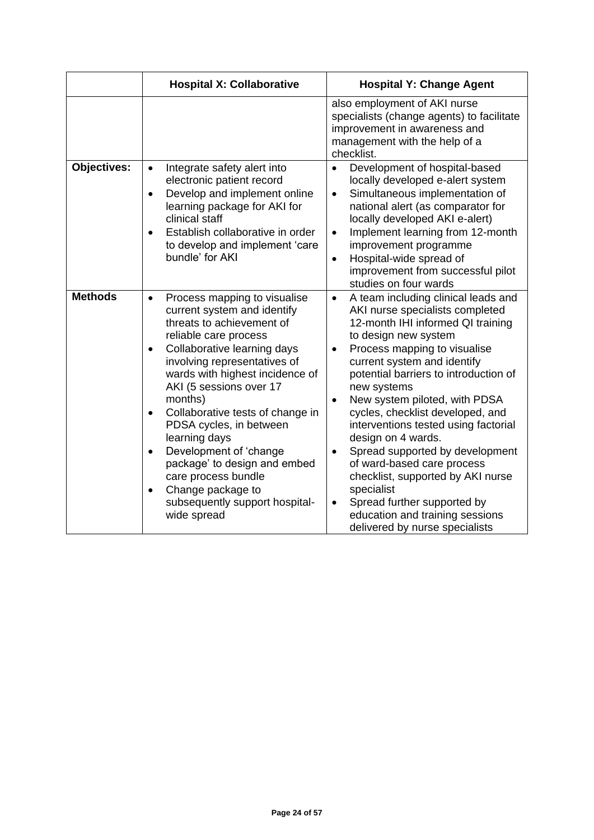|                | <b>Hospital X: Collaborative</b>                                                                                                                                                                                                                                                                                                                                                                                                                                                                                                        | <b>Hospital Y: Change Agent</b>                                                                                                                                                                                                                                                                                                                                                                                                                                                                                                                                                                                                                                                        |  |  |
|----------------|-----------------------------------------------------------------------------------------------------------------------------------------------------------------------------------------------------------------------------------------------------------------------------------------------------------------------------------------------------------------------------------------------------------------------------------------------------------------------------------------------------------------------------------------|----------------------------------------------------------------------------------------------------------------------------------------------------------------------------------------------------------------------------------------------------------------------------------------------------------------------------------------------------------------------------------------------------------------------------------------------------------------------------------------------------------------------------------------------------------------------------------------------------------------------------------------------------------------------------------------|--|--|
|                |                                                                                                                                                                                                                                                                                                                                                                                                                                                                                                                                         | also employment of AKI nurse<br>specialists (change agents) to facilitate<br>improvement in awareness and<br>management with the help of a<br>checklist.                                                                                                                                                                                                                                                                                                                                                                                                                                                                                                                               |  |  |
| Objectives:    | Integrate safety alert into<br>$\bullet$<br>electronic patient record<br>Develop and implement online<br>$\bullet$<br>learning package for AKI for<br>clinical staff<br>Establish collaborative in order<br>to develop and implement 'care<br>bundle' for AKI                                                                                                                                                                                                                                                                           | Development of hospital-based<br>$\bullet$<br>locally developed e-alert system<br>Simultaneous implementation of<br>$\bullet$<br>national alert (as comparator for<br>locally developed AKI e-alert)<br>Implement learning from 12-month<br>$\bullet$<br>improvement programme<br>Hospital-wide spread of<br>$\bullet$<br>improvement from successful pilot<br>studies on four wards                                                                                                                                                                                                                                                                                                   |  |  |
| <b>Methods</b> | Process mapping to visualise<br>$\bullet$<br>current system and identify<br>threats to achievement of<br>reliable care process<br>Collaborative learning days<br>involving representatives of<br>wards with highest incidence of<br>AKI (5 sessions over 17<br>months)<br>Collaborative tests of change in<br>$\bullet$<br>PDSA cycles, in between<br>learning days<br>Development of 'change<br>$\bullet$<br>package' to design and embed<br>care process bundle<br>Change package to<br>subsequently support hospital-<br>wide spread | A team including clinical leads and<br>$\bullet$<br>AKI nurse specialists completed<br>12-month IHI informed QI training<br>to design new system<br>Process mapping to visualise<br>$\bullet$<br>current system and identify<br>potential barriers to introduction of<br>new systems<br>New system piloted, with PDSA<br>$\bullet$<br>cycles, checklist developed, and<br>interventions tested using factorial<br>design on 4 wards.<br>Spread supported by development<br>$\bullet$<br>of ward-based care process<br>checklist, supported by AKI nurse<br>specialist<br>Spread further supported by<br>$\bullet$<br>education and training sessions<br>delivered by nurse specialists |  |  |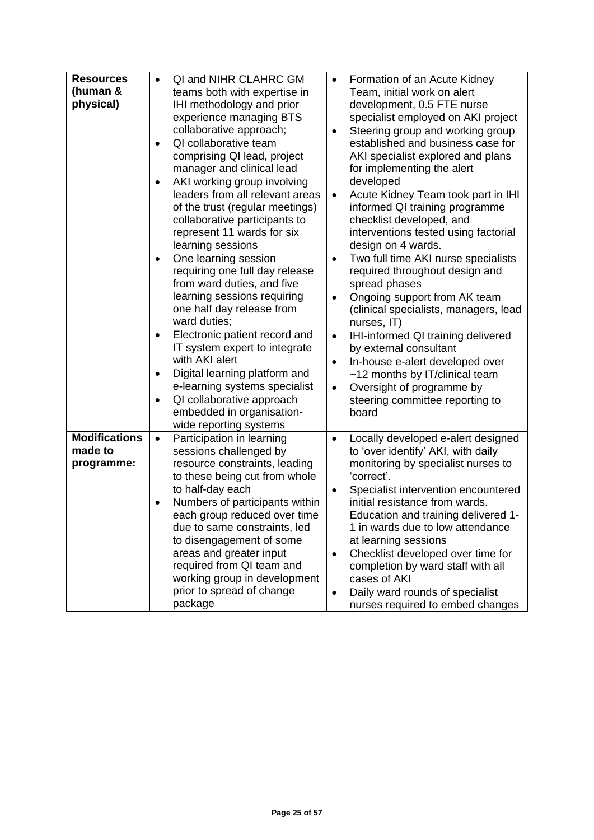| <b>Resources</b><br>(human &<br>physical)     | QI and NIHR CLAHRC GM<br>$\bullet$<br>teams both with expertise in<br>IHI methodology and prior<br>experience managing BTS<br>collaborative approach;<br>QI collaborative team<br>comprising QI lead, project<br>manager and clinical lead<br>AKI working group involving<br>leaders from all relevant areas<br>of the trust (regular meetings)<br>collaborative participants to<br>represent 11 wards for six<br>learning sessions<br>One learning session<br>requiring one full day release<br>from ward duties, and five<br>learning sessions requiring<br>one half day release from<br>ward duties;<br>Electronic patient record and<br>IT system expert to integrate<br>with AKI alert<br>Digital learning platform and<br>e-learning systems specialist<br>QI collaborative approach<br>$\bullet$<br>embedded in organisation-<br>wide reporting systems | Formation of an Acute Kidney<br>$\bullet$<br>Team, initial work on alert<br>development, 0.5 FTE nurse<br>specialist employed on AKI project<br>Steering group and working group<br>$\bullet$<br>established and business case for<br>AKI specialist explored and plans<br>for implementing the alert<br>developed<br>Acute Kidney Team took part in IHI<br>$\bullet$<br>informed QI training programme<br>checklist developed, and<br>interventions tested using factorial<br>design on 4 wards.<br>Two full time AKI nurse specialists<br>$\bullet$<br>required throughout design and<br>spread phases<br>Ongoing support from AK team<br>$\bullet$<br>(clinical specialists, managers, lead<br>nurses, IT)<br>IHI-informed QI training delivered<br>$\bullet$<br>by external consultant<br>In-house e-alert developed over<br>$\bullet$<br>~12 months by IT/clinical team<br>Oversight of programme by<br>$\bullet$<br>steering committee reporting to<br>board |
|-----------------------------------------------|----------------------------------------------------------------------------------------------------------------------------------------------------------------------------------------------------------------------------------------------------------------------------------------------------------------------------------------------------------------------------------------------------------------------------------------------------------------------------------------------------------------------------------------------------------------------------------------------------------------------------------------------------------------------------------------------------------------------------------------------------------------------------------------------------------------------------------------------------------------|--------------------------------------------------------------------------------------------------------------------------------------------------------------------------------------------------------------------------------------------------------------------------------------------------------------------------------------------------------------------------------------------------------------------------------------------------------------------------------------------------------------------------------------------------------------------------------------------------------------------------------------------------------------------------------------------------------------------------------------------------------------------------------------------------------------------------------------------------------------------------------------------------------------------------------------------------------------------|
| <b>Modifications</b><br>made to<br>programme: | Participation in learning<br>$\bullet$<br>sessions challenged by<br>resource constraints, leading<br>to these being cut from whole<br>to half-day each<br>Numbers of participants within<br>each group reduced over time<br>due to same constraints, led<br>to disengagement of some<br>areas and greater input<br>required from QI team and<br>working group in development<br>prior to spread of change<br>package                                                                                                                                                                                                                                                                                                                                                                                                                                           | Locally developed e-alert designed<br>$\bullet$<br>to 'over identify' AKI, with daily<br>monitoring by specialist nurses to<br>'correct'.<br>Specialist intervention encountered<br>$\bullet$<br>initial resistance from wards.<br>Education and training delivered 1-<br>1 in wards due to low attendance<br>at learning sessions<br>Checklist developed over time for<br>$\bullet$<br>completion by ward staff with all<br>cases of AKI<br>Daily ward rounds of specialist<br>$\bullet$<br>nurses required to embed changes                                                                                                                                                                                                                                                                                                                                                                                                                                      |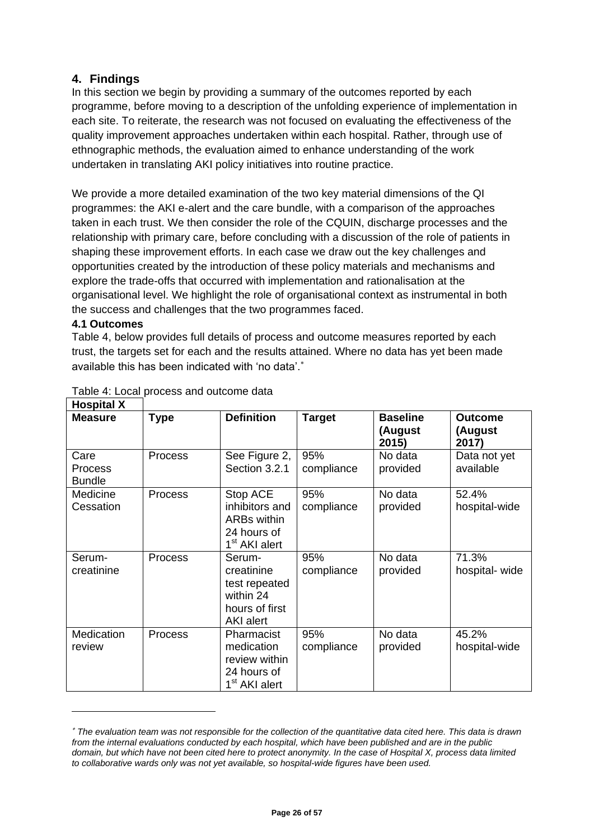#### **4. Findings**

In this section we begin by providing a summary of the outcomes reported by each programme, before moving to a description of the unfolding experience of implementation in each site. To reiterate, the research was not focused on evaluating the effectiveness of the quality improvement approaches undertaken within each hospital. Rather, through use of ethnographic methods, the evaluation aimed to enhance understanding of the work undertaken in translating AKI policy initiatives into routine practice.

We provide a more detailed examination of the two key material dimensions of the QI programmes: the AKI e-alert and the care bundle, with a comparison of the approaches taken in each trust. We then consider the role of the CQUIN, discharge processes and the relationship with primary care, before concluding with a discussion of the role of patients in shaping these improvement efforts. In each case we draw out the key challenges and opportunities created by the introduction of these policy materials and mechanisms and explore the trade-offs that occurred with implementation and rationalisation at the organisational level. We highlight the role of organisational context as instrumental in both the success and challenges that the two programmes faced.

#### **4.1 Outcomes**

-

Table 4, below provides full details of process and outcome measures reported by each trust, the targets set for each and the results attained. Where no data has yet been made available this has been indicated with 'no data'.

| <b>Hospital X</b>                |                |                                                                                       |                   |                                     |                                    |
|----------------------------------|----------------|---------------------------------------------------------------------------------------|-------------------|-------------------------------------|------------------------------------|
| <b>Measure</b>                   | Type           | <b>Definition</b>                                                                     | <b>Target</b>     | <b>Baseline</b><br>(August<br>2015) | <b>Outcome</b><br>(August<br>2017) |
| Care<br>Process<br><b>Bundle</b> | <b>Process</b> | See Figure 2,<br>Section 3.2.1                                                        | 95%<br>compliance | No data<br>provided                 | Data not yet<br>available          |
| Medicine<br>Cessation            | <b>Process</b> | Stop ACE<br>inhibitors and<br>ARBs within<br>24 hours of<br>1 <sup>st</sup> AKI alert | 95%<br>compliance | No data<br>provided                 | 52.4%<br>hospital-wide             |
| Serum-<br>creatinine             | Process        | Serum-<br>creatinine<br>test repeated<br>within 24<br>hours of first<br>AKI alert     | 95%<br>compliance | No data<br>provided                 | 71.3%<br>hospital- wide            |
| <b>Medication</b><br>review      | <b>Process</b> | Pharmacist<br>medication<br>review within<br>24 hours of<br>1 <sup>st</sup> AKI alert | 95%<br>compliance | No data<br>provided                 | 45.2%<br>hospital-wide             |

#### Table 4: Local process and outcome data

*The evaluation team was not responsible for the collection of the quantitative data cited here. This data is drawn from the internal evaluations conducted by each hospital, which have been published and are in the public domain, but which have not been cited here to protect anonymity. In the case of Hospital X, process data limited to collaborative wards only was not yet available, so hospital-wide figures have been used.*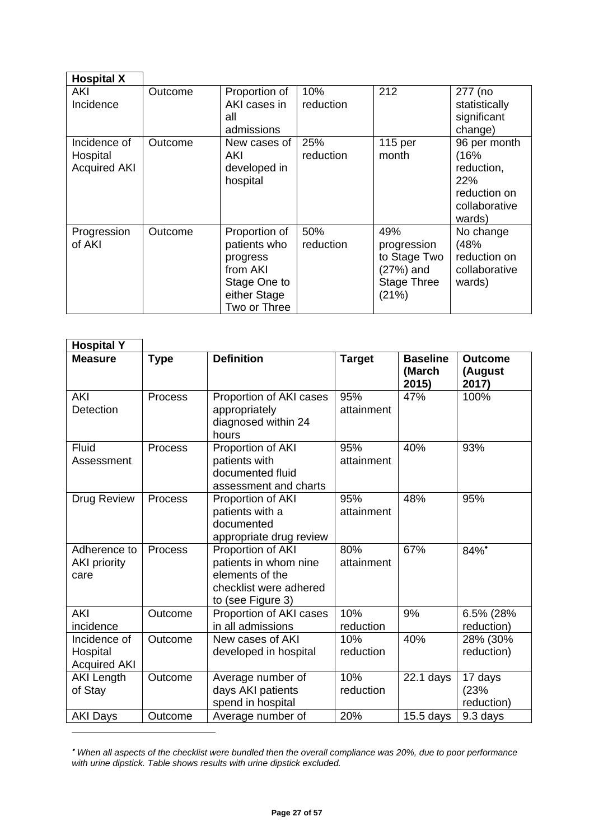| <b>Hospital X</b>                               |         |                                                                                                       |                  |                                                                                |                                                                                      |
|-------------------------------------------------|---------|-------------------------------------------------------------------------------------------------------|------------------|--------------------------------------------------------------------------------|--------------------------------------------------------------------------------------|
| AKI<br>Incidence                                | Outcome | Proportion of<br>AKI cases in<br>all<br>admissions                                                    | 10%<br>reduction | 212                                                                            | 277 (no<br>statistically<br>significant<br>change)                                   |
| Incidence of<br>Hospital<br><b>Acquired AKI</b> | Outcome | New cases of<br>AKI<br>developed in<br>hospital                                                       | 25%<br>reduction | 115 per<br>month                                                               | 96 per month<br>(16%<br>reduction,<br>22%<br>reduction on<br>collaborative<br>wards) |
| Progression<br>of AKI                           | Outcome | Proportion of<br>patients who<br>progress<br>from AKI<br>Stage One to<br>either Stage<br>Two or Three | 50%<br>reduction | 49%<br>progression<br>to Stage Two<br>(27%) and<br><b>Stage Three</b><br>(21%) | No change<br>(48%<br>reduction on<br>collaborative<br>wards)                         |

| <b>Hospital Y</b>                               |                |                                                                                                              |                   |                                    |                                    |
|-------------------------------------------------|----------------|--------------------------------------------------------------------------------------------------------------|-------------------|------------------------------------|------------------------------------|
| <b>Measure</b>                                  | <b>Type</b>    | <b>Definition</b>                                                                                            | <b>Target</b>     | <b>Baseline</b><br>(March<br>2015) | <b>Outcome</b><br>(August<br>2017) |
| <b>AKI</b><br>Detection                         | <b>Process</b> | Proportion of AKI cases<br>appropriately<br>diagnosed within 24<br>hours                                     | 95%<br>attainment | 47%                                | 100%                               |
| Fluid<br>Assessment                             | <b>Process</b> | Proportion of AKI<br>patients with<br>documented fluid<br>assessment and charts                              | 95%<br>attainment | 40%                                | 93%                                |
| Drug Review                                     | Process        | Proportion of AKI<br>patients with a<br>documented<br>appropriate drug review                                | 95%<br>attainment | 48%                                | 95%                                |
| Adherence to<br><b>AKI priority</b><br>care     | Process        | Proportion of AKI<br>patients in whom nine<br>elements of the<br>checklist were adhered<br>to (see Figure 3) | 80%<br>attainment | 67%                                | 84%*                               |
| <b>AKI</b><br>incidence                         | Outcome        | Proportion of AKI cases<br>in all admissions                                                                 | 10%<br>reduction  | 9%                                 | 6.5% (28%<br>reduction)            |
| Incidence of<br>Hospital<br><b>Acquired AKI</b> | Outcome        | New cases of AKI<br>developed in hospital                                                                    | 10%<br>reduction  | 40%                                | 28% (30%<br>reduction)             |
| <b>AKI Length</b><br>of Stay                    | Outcome        | Average number of<br>days AKI patients<br>spend in hospital                                                  | 10%<br>reduction  | $22.1$ days                        | 17 days<br>(23%<br>reduction)      |
| <b>AKI Days</b>                                 | Outcome        | Average number of                                                                                            | 20%               | $15.5$ days                        | 9.3 days                           |

*When all aspects of the checklist were bundled then the overall compliance was 20%, due to poor performance with urine dipstick. Table shows results with urine dipstick excluded.*

1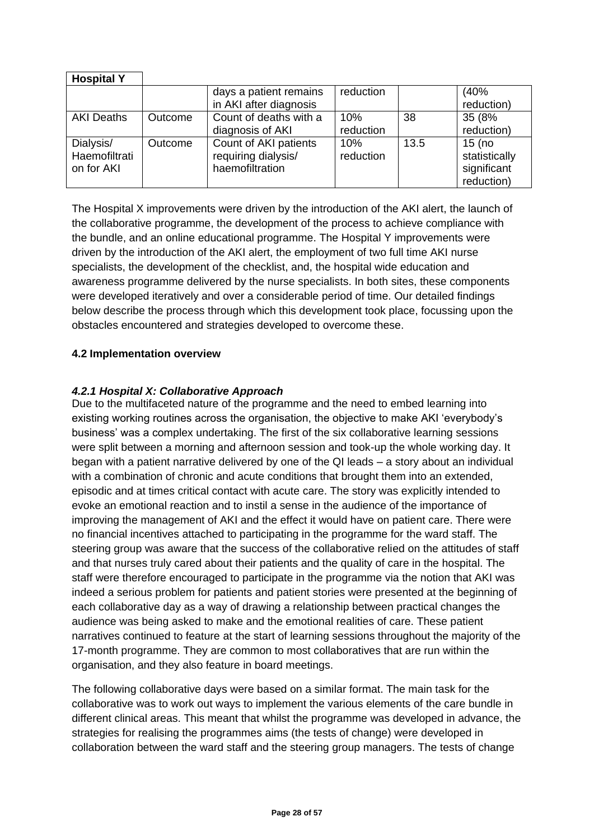| <b>Hospital Y</b>                        |         |                                                                 |                  |      |                                                        |
|------------------------------------------|---------|-----------------------------------------------------------------|------------------|------|--------------------------------------------------------|
|                                          |         | days a patient remains<br>in AKI after diagnosis                | reduction        |      | (40%<br>reduction)                                     |
| <b>AKI Deaths</b>                        | Outcome | Count of deaths with a<br>diagnosis of AKI                      | 10%<br>reduction | 38   | 35 (8%<br>reduction)                                   |
| Dialysis/<br>Haemofiltrati<br>on for AKI | Outcome | Count of AKI patients<br>requiring dialysis/<br>haemofiltration | 10%<br>reduction | 13.5 | $15$ (no<br>statistically<br>significant<br>reduction) |

The Hospital X improvements were driven by the introduction of the AKI alert, the launch of the collaborative programme, the development of the process to achieve compliance with the bundle, and an online educational programme. The Hospital Y improvements were driven by the introduction of the AKI alert, the employment of two full time AKI nurse specialists, the development of the checklist, and, the hospital wide education and awareness programme delivered by the nurse specialists. In both sites, these components were developed iteratively and over a considerable period of time. Our detailed findings below describe the process through which this development took place, focussing upon the obstacles encountered and strategies developed to overcome these.

#### **4.2 Implementation overview**

#### *4.2.1 Hospital X: Collaborative Approach*

Due to the multifaceted nature of the programme and the need to embed learning into existing working routines across the organisation, the objective to make AKI 'everybody's business' was a complex undertaking. The first of the six collaborative learning sessions were split between a morning and afternoon session and took-up the whole working day. It began with a patient narrative delivered by one of the QI leads – a story about an individual with a combination of chronic and acute conditions that brought them into an extended, episodic and at times critical contact with acute care. The story was explicitly intended to evoke an emotional reaction and to instil a sense in the audience of the importance of improving the management of AKI and the effect it would have on patient care. There were no financial incentives attached to participating in the programme for the ward staff. The steering group was aware that the success of the collaborative relied on the attitudes of staff and that nurses truly cared about their patients and the quality of care in the hospital. The staff were therefore encouraged to participate in the programme via the notion that AKI was indeed a serious problem for patients and patient stories were presented at the beginning of each collaborative day as a way of drawing a relationship between practical changes the audience was being asked to make and the emotional realities of care. These patient narratives continued to feature at the start of learning sessions throughout the majority of the 17-month programme. They are common to most collaboratives that are run within the organisation, and they also feature in board meetings.

The following collaborative days were based on a similar format. The main task for the collaborative was to work out ways to implement the various elements of the care bundle in different clinical areas. This meant that whilst the programme was developed in advance, the strategies for realising the programmes aims (the tests of change) were developed in collaboration between the ward staff and the steering group managers. The tests of change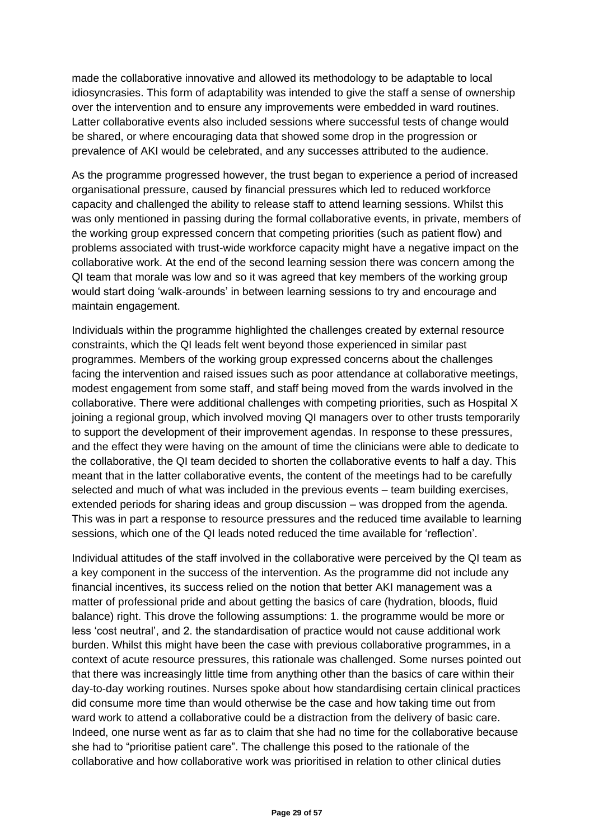made the collaborative innovative and allowed its methodology to be adaptable to local idiosyncrasies. This form of adaptability was intended to give the staff a sense of ownership over the intervention and to ensure any improvements were embedded in ward routines. Latter collaborative events also included sessions where successful tests of change would be shared, or where encouraging data that showed some drop in the progression or prevalence of AKI would be celebrated, and any successes attributed to the audience.

As the programme progressed however, the trust began to experience a period of increased organisational pressure, caused by financial pressures which led to reduced workforce capacity and challenged the ability to release staff to attend learning sessions. Whilst this was only mentioned in passing during the formal collaborative events, in private, members of the working group expressed concern that competing priorities (such as patient flow) and problems associated with trust-wide workforce capacity might have a negative impact on the collaborative work. At the end of the second learning session there was concern among the QI team that morale was low and so it was agreed that key members of the working group would start doing 'walk-arounds' in between learning sessions to try and encourage and maintain engagement.

Individuals within the programme highlighted the challenges created by external resource constraints, which the QI leads felt went beyond those experienced in similar past programmes. Members of the working group expressed concerns about the challenges facing the intervention and raised issues such as poor attendance at collaborative meetings, modest engagement from some staff, and staff being moved from the wards involved in the collaborative. There were additional challenges with competing priorities, such as Hospital X joining a regional group, which involved moving QI managers over to other trusts temporarily to support the development of their improvement agendas. In response to these pressures, and the effect they were having on the amount of time the clinicians were able to dedicate to the collaborative, the QI team decided to shorten the collaborative events to half a day. This meant that in the latter collaborative events, the content of the meetings had to be carefully selected and much of what was included in the previous events – team building exercises, extended periods for sharing ideas and group discussion – was dropped from the agenda. This was in part a response to resource pressures and the reduced time available to learning sessions, which one of the QI leads noted reduced the time available for 'reflection'.

Individual attitudes of the staff involved in the collaborative were perceived by the QI team as a key component in the success of the intervention. As the programme did not include any financial incentives, its success relied on the notion that better AKI management was a matter of professional pride and about getting the basics of care (hydration, bloods, fluid balance) right. This drove the following assumptions: 1. the programme would be more or less 'cost neutral', and 2. the standardisation of practice would not cause additional work burden. Whilst this might have been the case with previous collaborative programmes, in a context of acute resource pressures, this rationale was challenged. Some nurses pointed out that there was increasingly little time from anything other than the basics of care within their day-to-day working routines. Nurses spoke about how standardising certain clinical practices did consume more time than would otherwise be the case and how taking time out from ward work to attend a collaborative could be a distraction from the delivery of basic care. Indeed, one nurse went as far as to claim that she had no time for the collaborative because she had to "prioritise patient care". The challenge this posed to the rationale of the collaborative and how collaborative work was prioritised in relation to other clinical duties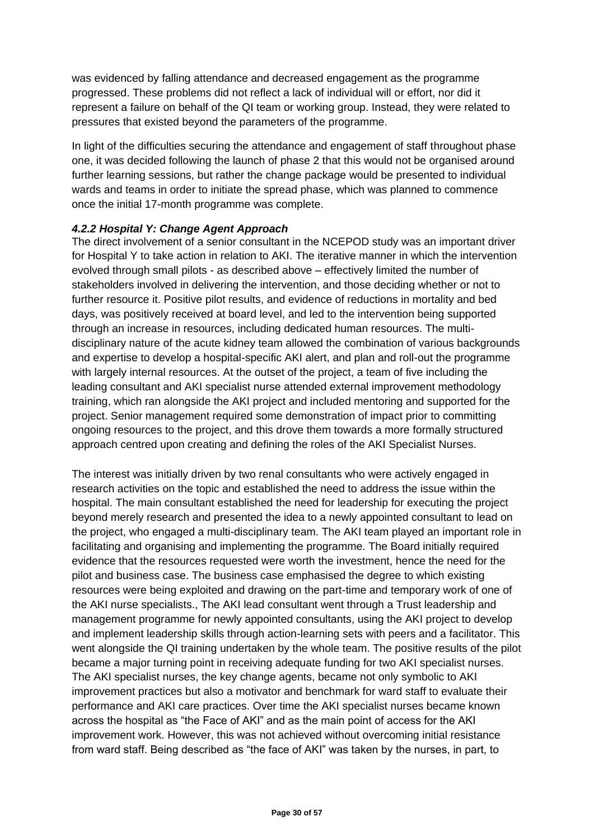was evidenced by falling attendance and decreased engagement as the programme progressed. These problems did not reflect a lack of individual will or effort, nor did it represent a failure on behalf of the QI team or working group. Instead, they were related to pressures that existed beyond the parameters of the programme.

In light of the difficulties securing the attendance and engagement of staff throughout phase one, it was decided following the launch of phase 2 that this would not be organised around further learning sessions, but rather the change package would be presented to individual wards and teams in order to initiate the spread phase, which was planned to commence once the initial 17-month programme was complete.

#### *4.2.2 Hospital Y: Change Agent Approach*

The direct involvement of a senior consultant in the NCEPOD study was an important driver for Hospital Y to take action in relation to AKI. The iterative manner in which the intervention evolved through small pilots - as described above – effectively limited the number of stakeholders involved in delivering the intervention, and those deciding whether or not to further resource it. Positive pilot results, and evidence of reductions in mortality and bed days, was positively received at board level, and led to the intervention being supported through an increase in resources, including dedicated human resources. The multidisciplinary nature of the acute kidney team allowed the combination of various backgrounds and expertise to develop a hospital-specific AKI alert, and plan and roll-out the programme with largely internal resources. At the outset of the project, a team of five including the leading consultant and AKI specialist nurse attended external improvement methodology training, which ran alongside the AKI project and included mentoring and supported for the project. Senior management required some demonstration of impact prior to committing ongoing resources to the project, and this drove them towards a more formally structured approach centred upon creating and defining the roles of the AKI Specialist Nurses.

The interest was initially driven by two renal consultants who were actively engaged in research activities on the topic and established the need to address the issue within the hospital. The main consultant established the need for leadership for executing the project beyond merely research and presented the idea to a newly appointed consultant to lead on the project, who engaged a multi-disciplinary team. The AKI team played an important role in facilitating and organising and implementing the programme. The Board initially required evidence that the resources requested were worth the investment, hence the need for the pilot and business case. The business case emphasised the degree to which existing resources were being exploited and drawing on the part-time and temporary work of one of the AKI nurse specialists., The AKI lead consultant went through a Trust leadership and management programme for newly appointed consultants, using the AKI project to develop and implement leadership skills through action-learning sets with peers and a facilitator. This went alongside the QI training undertaken by the whole team. The positive results of the pilot became a major turning point in receiving adequate funding for two AKI specialist nurses. The AKI specialist nurses, the key change agents, became not only symbolic to AKI improvement practices but also a motivator and benchmark for ward staff to evaluate their performance and AKI care practices. Over time the AKI specialist nurses became known across the hospital as "the Face of AKI" and as the main point of access for the AKI improvement work. However, this was not achieved without overcoming initial resistance from ward staff. Being described as "the face of AKI" was taken by the nurses, in part, to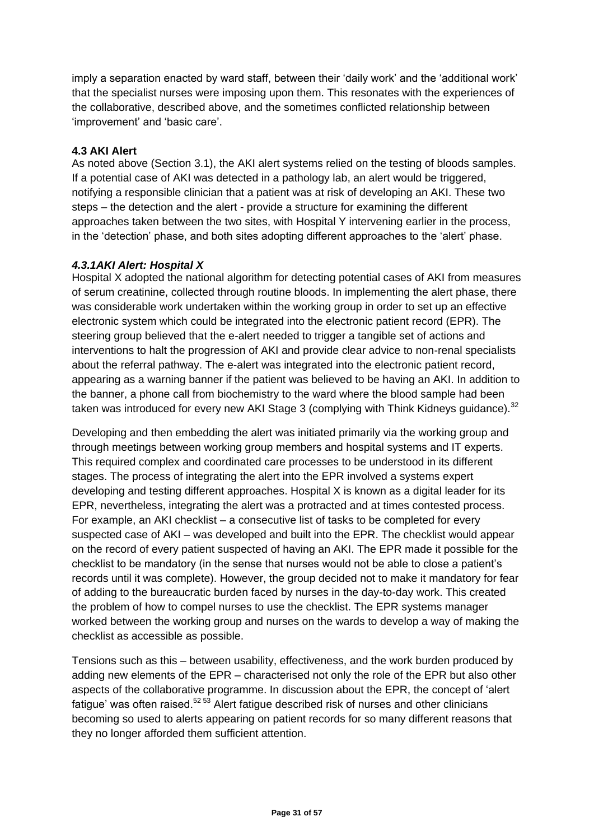imply a separation enacted by ward staff, between their 'daily work' and the 'additional work' that the specialist nurses were imposing upon them. This resonates with the experiences of the collaborative, described above, and the sometimes conflicted relationship between 'improvement' and 'basic care'.

#### **4.3 AKI Alert**

As noted above (Section 3.1), the AKI alert systems relied on the testing of bloods samples. If a potential case of AKI was detected in a pathology lab, an alert would be triggered, notifying a responsible clinician that a patient was at risk of developing an AKI. These two steps – the detection and the alert - provide a structure for examining the different approaches taken between the two sites, with Hospital Y intervening earlier in the process, in the 'detection' phase, and both sites adopting different approaches to the 'alert' phase.

#### *4.3.1AKI Alert: Hospital X*

Hospital X adopted the national algorithm for detecting potential cases of AKI from measures of serum creatinine, collected through routine bloods. In implementing the alert phase, there was considerable work undertaken within the working group in order to set up an effective electronic system which could be integrated into the electronic patient record (EPR). The steering group believed that the e-alert needed to trigger a tangible set of actions and interventions to halt the progression of AKI and provide clear advice to non-renal specialists about the referral pathway. The e-alert was integrated into the electronic patient record, appearing as a warning banner if the patient was believed to be having an AKI. In addition to the banner, a phone call from biochemistry to the ward where the blood sample had been taken was introduced for every new AKI Stage 3 (complying with Think Kidneys guidance).<sup>32</sup>

Developing and then embedding the alert was initiated primarily via the working group and through meetings between working group members and hospital systems and IT experts. This required complex and coordinated care processes to be understood in its different stages. The process of integrating the alert into the EPR involved a systems expert developing and testing different approaches. Hospital X is known as a digital leader for its EPR, nevertheless, integrating the alert was a protracted and at times contested process. For example, an AKI checklist – a consecutive list of tasks to be completed for every suspected case of AKI – was developed and built into the EPR. The checklist would appear on the record of every patient suspected of having an AKI. The EPR made it possible for the checklist to be mandatory (in the sense that nurses would not be able to close a patient's records until it was complete). However, the group decided not to make it mandatory for fear of adding to the bureaucratic burden faced by nurses in the day-to-day work. This created the problem of how to compel nurses to use the checklist. The EPR systems manager worked between the working group and nurses on the wards to develop a way of making the checklist as accessible as possible.

Tensions such as this – between usability, effectiveness, and the work burden produced by adding new elements of the EPR – characterised not only the role of the EPR but also other aspects of the collaborative programme. In discussion about the EPR, the concept of 'alert fatigue' was often raised. $52\,53}$  Alert fatigue described risk of nurses and other clinicians becoming so used to alerts appearing on patient records for so many different reasons that they no longer afforded them sufficient attention.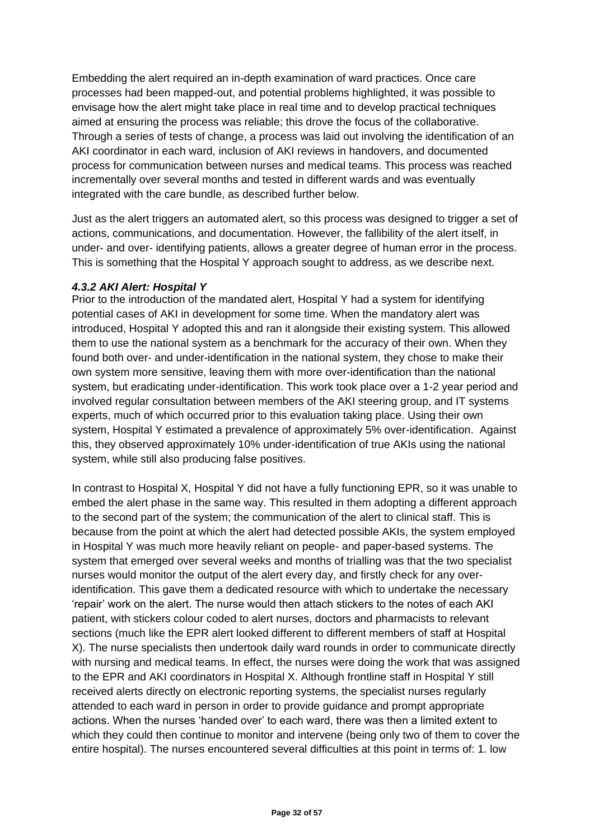Embedding the alert required an in-depth examination of ward practices. Once care processes had been mapped-out, and potential problems highlighted, it was possible to envisage how the alert might take place in real time and to develop practical techniques aimed at ensuring the process was reliable; this drove the focus of the collaborative. Through a series of tests of change, a process was laid out involving the identification of an AKI coordinator in each ward, inclusion of AKI reviews in handovers, and documented process for communication between nurses and medical teams. This process was reached incrementally over several months and tested in different wards and was eventually integrated with the care bundle, as described further below.

Just as the alert triggers an automated alert, so this process was designed to trigger a set of actions, communications, and documentation. However, the fallibility of the alert itself, in under- and over- identifying patients, allows a greater degree of human error in the process. This is something that the Hospital Y approach sought to address, as we describe next.

#### *4.3.2 AKI Alert: Hospital Y*

Prior to the introduction of the mandated alert, Hospital Y had a system for identifying potential cases of AKI in development for some time. When the mandatory alert was introduced, Hospital Y adopted this and ran it alongside their existing system. This allowed them to use the national system as a benchmark for the accuracy of their own. When they found both over- and under-identification in the national system, they chose to make their own system more sensitive, leaving them with more over-identification than the national system, but eradicating under-identification. This work took place over a 1-2 year period and involved regular consultation between members of the AKI steering group, and IT systems experts, much of which occurred prior to this evaluation taking place. Using their own system, Hospital Y estimated a prevalence of approximately 5% over-identification. Against this, they observed approximately 10% under-identification of true AKIs using the national system, while still also producing false positives.

In contrast to Hospital X, Hospital Y did not have a fully functioning EPR, so it was unable to embed the alert phase in the same way. This resulted in them adopting a different approach to the second part of the system; the communication of the alert to clinical staff. This is because from the point at which the alert had detected possible AKIs, the system employed in Hospital Y was much more heavily reliant on people- and paper-based systems. The system that emerged over several weeks and months of trialling was that the two specialist nurses would monitor the output of the alert every day, and firstly check for any overidentification. This gave them a dedicated resource with which to undertake the necessary 'repair' work on the alert. The nurse would then attach stickers to the notes of each AKI patient, with stickers colour coded to alert nurses, doctors and pharmacists to relevant sections (much like the EPR alert looked different to different members of staff at Hospital X). The nurse specialists then undertook daily ward rounds in order to communicate directly with nursing and medical teams. In effect, the nurses were doing the work that was assigned to the EPR and AKI coordinators in Hospital X. Although frontline staff in Hospital Y still received alerts directly on electronic reporting systems, the specialist nurses regularly attended to each ward in person in order to provide guidance and prompt appropriate actions. When the nurses 'handed over' to each ward, there was then a limited extent to which they could then continue to monitor and intervene (being only two of them to cover the entire hospital). The nurses encountered several difficulties at this point in terms of: 1. low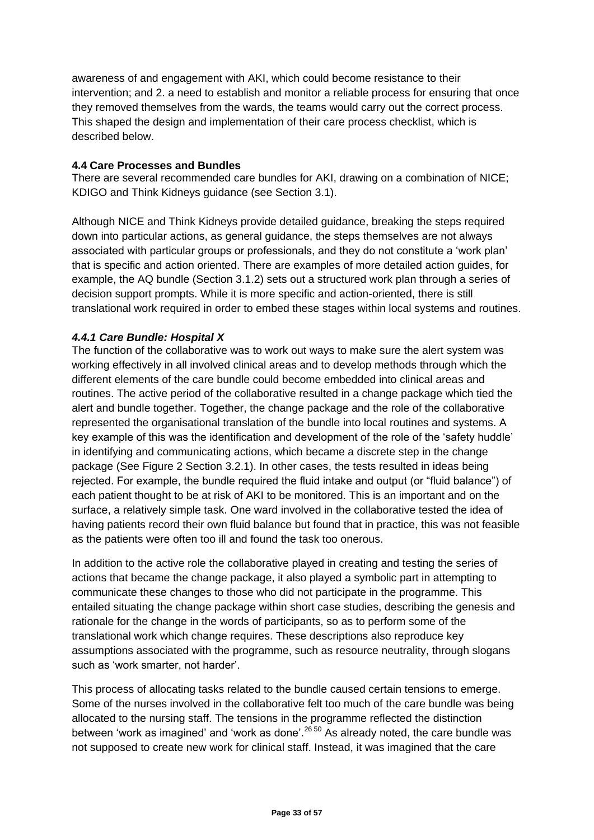awareness of and engagement with AKI, which could become resistance to their intervention; and 2. a need to establish and monitor a reliable process for ensuring that once they removed themselves from the wards, the teams would carry out the correct process. This shaped the design and implementation of their care process checklist, which is described below.

#### **4.4 Care Processes and Bundles**

There are several recommended care bundles for AKI, drawing on a combination of NICE; KDIGO and Think Kidneys guidance (see Section 3.1).

Although NICE and Think Kidneys provide detailed guidance, breaking the steps required down into particular actions, as general guidance, the steps themselves are not always associated with particular groups or professionals, and they do not constitute a 'work plan' that is specific and action oriented. There are examples of more detailed action guides, for example, the AQ bundle (Section 3.1.2) sets out a structured work plan through a series of decision support prompts. While it is more specific and action-oriented, there is still translational work required in order to embed these stages within local systems and routines.

#### *4.4.1 Care Bundle: Hospital X*

The function of the collaborative was to work out ways to make sure the alert system was working effectively in all involved clinical areas and to develop methods through which the different elements of the care bundle could become embedded into clinical areas and routines. The active period of the collaborative resulted in a change package which tied the alert and bundle together. Together, the change package and the role of the collaborative represented the organisational translation of the bundle into local routines and systems. A key example of this was the identification and development of the role of the 'safety huddle' in identifying and communicating actions, which became a discrete step in the change package (See Figure 2 Section 3.2.1). In other cases, the tests resulted in ideas being rejected. For example, the bundle required the fluid intake and output (or "fluid balance") of each patient thought to be at risk of AKI to be monitored. This is an important and on the surface, a relatively simple task. One ward involved in the collaborative tested the idea of having patients record their own fluid balance but found that in practice, this was not feasible as the patients were often too ill and found the task too onerous.

In addition to the active role the collaborative played in creating and testing the series of actions that became the change package, it also played a symbolic part in attempting to communicate these changes to those who did not participate in the programme. This entailed situating the change package within short case studies, describing the genesis and rationale for the change in the words of participants, so as to perform some of the translational work which change requires. These descriptions also reproduce key assumptions associated with the programme, such as resource neutrality, through slogans such as 'work smarter, not harder'.

This process of allocating tasks related to the bundle caused certain tensions to emerge. Some of the nurses involved in the collaborative felt too much of the care bundle was being allocated to the nursing staff. The tensions in the programme reflected the distinction between 'work as imagined' and 'work as done'.<sup>26 50</sup> As already noted, the care bundle was not supposed to create new work for clinical staff. Instead, it was imagined that the care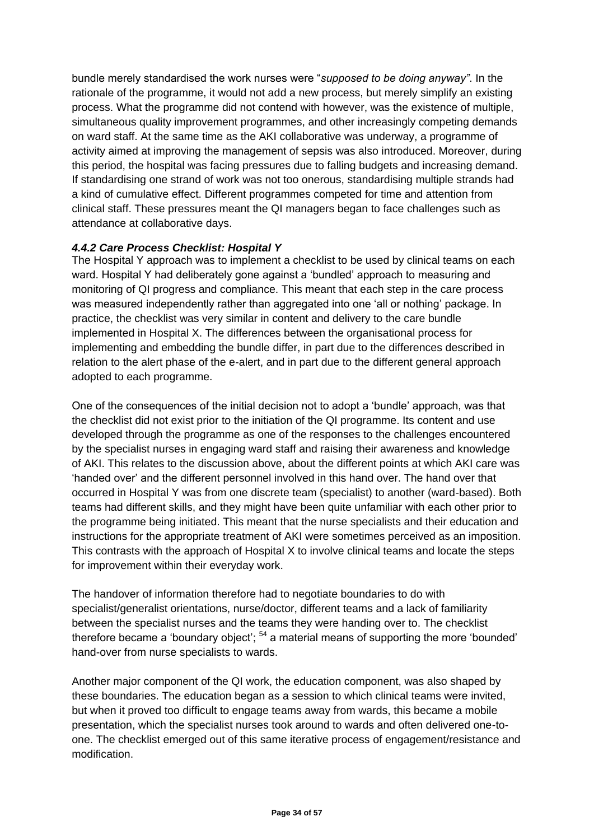bundle merely standardised the work nurses were "*supposed to be doing anyway"*. In the rationale of the programme, it would not add a new process, but merely simplify an existing process. What the programme did not contend with however, was the existence of multiple, simultaneous quality improvement programmes, and other increasingly competing demands on ward staff. At the same time as the AKI collaborative was underway, a programme of activity aimed at improving the management of sepsis was also introduced. Moreover, during this period, the hospital was facing pressures due to falling budgets and increasing demand. If standardising one strand of work was not too onerous, standardising multiple strands had a kind of cumulative effect. Different programmes competed for time and attention from clinical staff. These pressures meant the QI managers began to face challenges such as attendance at collaborative days.

#### *4.4.2 Care Process Checklist: Hospital Y*

The Hospital Y approach was to implement a checklist to be used by clinical teams on each ward. Hospital Y had deliberately gone against a 'bundled' approach to measuring and monitoring of QI progress and compliance. This meant that each step in the care process was measured independently rather than aggregated into one 'all or nothing' package. In practice, the checklist was very similar in content and delivery to the care bundle implemented in Hospital X. The differences between the organisational process for implementing and embedding the bundle differ, in part due to the differences described in relation to the alert phase of the e-alert, and in part due to the different general approach adopted to each programme.

One of the consequences of the initial decision not to adopt a 'bundle' approach, was that the checklist did not exist prior to the initiation of the QI programme. Its content and use developed through the programme as one of the responses to the challenges encountered by the specialist nurses in engaging ward staff and raising their awareness and knowledge of AKI. This relates to the discussion above, about the different points at which AKI care was 'handed over' and the different personnel involved in this hand over. The hand over that occurred in Hospital Y was from one discrete team (specialist) to another (ward-based). Both teams had different skills, and they might have been quite unfamiliar with each other prior to the programme being initiated. This meant that the nurse specialists and their education and instructions for the appropriate treatment of AKI were sometimes perceived as an imposition. This contrasts with the approach of Hospital X to involve clinical teams and locate the steps for improvement within their everyday work.

The handover of information therefore had to negotiate boundaries to do with specialist/generalist orientations, nurse/doctor, different teams and a lack of familiarity between the specialist nurses and the teams they were handing over to. The checklist therefore became a 'boundary object';  $54$  a material means of supporting the more 'bounded' hand-over from nurse specialists to wards.

Another major component of the QI work, the education component, was also shaped by these boundaries. The education began as a session to which clinical teams were invited, but when it proved too difficult to engage teams away from wards, this became a mobile presentation, which the specialist nurses took around to wards and often delivered one-toone. The checklist emerged out of this same iterative process of engagement/resistance and modification.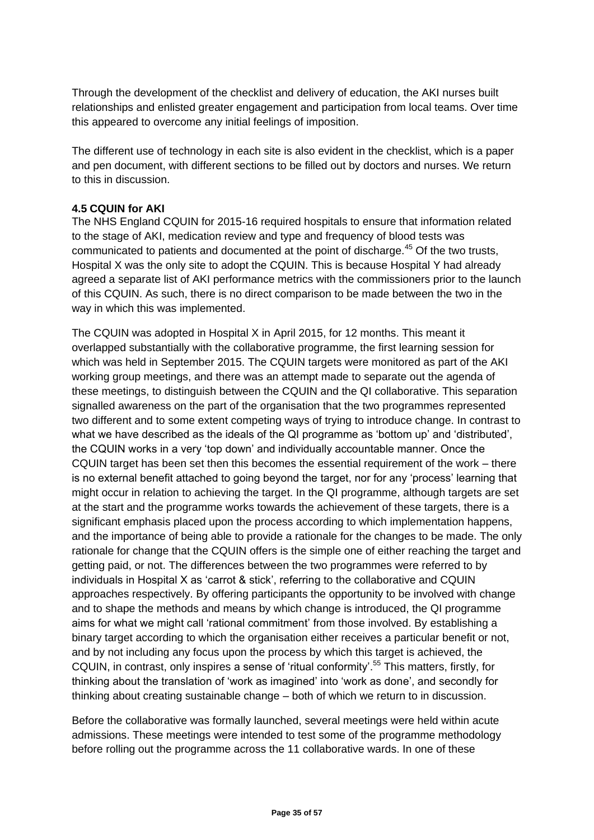Through the development of the checklist and delivery of education, the AKI nurses built relationships and enlisted greater engagement and participation from local teams. Over time this appeared to overcome any initial feelings of imposition.

The different use of technology in each site is also evident in the checklist, which is a paper and pen document, with different sections to be filled out by doctors and nurses. We return to this in discussion.

#### **4.5 CQUIN for AKI**

The NHS England CQUIN for 2015-16 required hospitals to ensure that information related to the stage of AKI, medication review and type and frequency of blood tests was communicated to patients and documented at the point of discharge.<sup>45</sup> Of the two trusts, Hospital X was the only site to adopt the CQUIN. This is because Hospital Y had already agreed a separate list of AKI performance metrics with the commissioners prior to the launch of this CQUIN. As such, there is no direct comparison to be made between the two in the way in which this was implemented.

The CQUIN was adopted in Hospital X in April 2015, for 12 months. This meant it overlapped substantially with the collaborative programme, the first learning session for which was held in September 2015. The CQUIN targets were monitored as part of the AKI working group meetings, and there was an attempt made to separate out the agenda of these meetings, to distinguish between the CQUIN and the QI collaborative. This separation signalled awareness on the part of the organisation that the two programmes represented two different and to some extent competing ways of trying to introduce change. In contrast to what we have described as the ideals of the QI programme as 'bottom up' and 'distributed', the CQUIN works in a very 'top down' and individually accountable manner. Once the CQUIN target has been set then this becomes the essential requirement of the work – there is no external benefit attached to going beyond the target, nor for any 'process' learning that might occur in relation to achieving the target. In the QI programme, although targets are set at the start and the programme works towards the achievement of these targets, there is a significant emphasis placed upon the process according to which implementation happens, and the importance of being able to provide a rationale for the changes to be made. The only rationale for change that the CQUIN offers is the simple one of either reaching the target and getting paid, or not. The differences between the two programmes were referred to by individuals in Hospital X as 'carrot & stick', referring to the collaborative and CQUIN approaches respectively. By offering participants the opportunity to be involved with change and to shape the methods and means by which change is introduced, the QI programme aims for what we might call 'rational commitment' from those involved. By establishing a binary target according to which the organisation either receives a particular benefit or not, and by not including any focus upon the process by which this target is achieved, the CQUIN, in contrast, only inspires a sense of 'ritual conformity'.<sup>55</sup> This matters, firstly, for thinking about the translation of 'work as imagined' into 'work as done', and secondly for thinking about creating sustainable change – both of which we return to in discussion.

Before the collaborative was formally launched, several meetings were held within acute admissions. These meetings were intended to test some of the programme methodology before rolling out the programme across the 11 collaborative wards. In one of these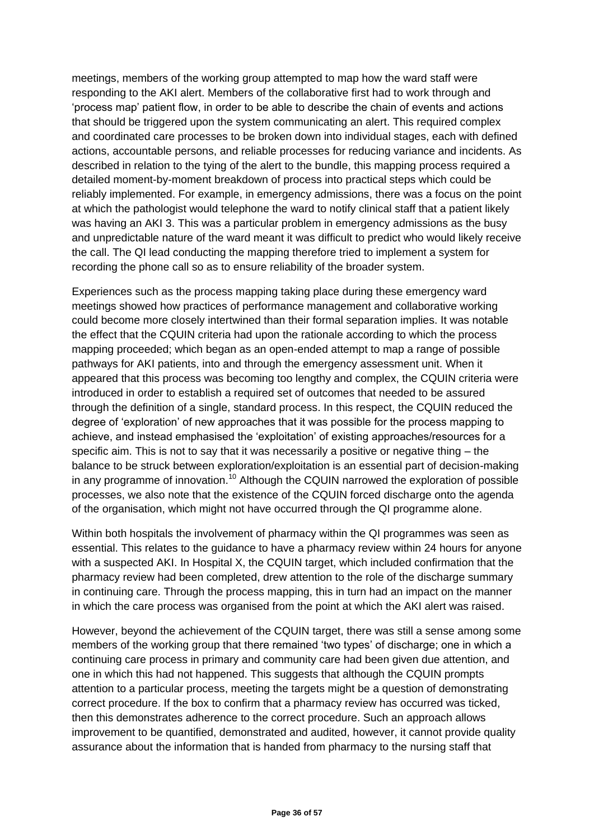meetings, members of the working group attempted to map how the ward staff were responding to the AKI alert. Members of the collaborative first had to work through and 'process map' patient flow, in order to be able to describe the chain of events and actions that should be triggered upon the system communicating an alert. This required complex and coordinated care processes to be broken down into individual stages, each with defined actions, accountable persons, and reliable processes for reducing variance and incidents. As described in relation to the tying of the alert to the bundle, this mapping process required a detailed moment-by-moment breakdown of process into practical steps which could be reliably implemented. For example, in emergency admissions, there was a focus on the point at which the pathologist would telephone the ward to notify clinical staff that a patient likely was having an AKI 3. This was a particular problem in emergency admissions as the busy and unpredictable nature of the ward meant it was difficult to predict who would likely receive the call. The QI lead conducting the mapping therefore tried to implement a system for recording the phone call so as to ensure reliability of the broader system.

Experiences such as the process mapping taking place during these emergency ward meetings showed how practices of performance management and collaborative working could become more closely intertwined than their formal separation implies. It was notable the effect that the CQUIN criteria had upon the rationale according to which the process mapping proceeded; which began as an open-ended attempt to map a range of possible pathways for AKI patients, into and through the emergency assessment unit. When it appeared that this process was becoming too lengthy and complex, the CQUIN criteria were introduced in order to establish a required set of outcomes that needed to be assured through the definition of a single, standard process. In this respect, the CQUIN reduced the degree of 'exploration' of new approaches that it was possible for the process mapping to achieve, and instead emphasised the 'exploitation' of existing approaches/resources for a specific aim. This is not to say that it was necessarily a positive or negative thing – the balance to be struck between exploration/exploitation is an essential part of decision-making in any programme of innovation.<sup>10</sup> Although the CQUIN narrowed the exploration of possible processes, we also note that the existence of the CQUIN forced discharge onto the agenda of the organisation, which might not have occurred through the QI programme alone.

Within both hospitals the involvement of pharmacy within the QI programmes was seen as essential. This relates to the guidance to have a pharmacy review within 24 hours for anyone with a suspected AKI. In Hospital X, the CQUIN target, which included confirmation that the pharmacy review had been completed, drew attention to the role of the discharge summary in continuing care. Through the process mapping, this in turn had an impact on the manner in which the care process was organised from the point at which the AKI alert was raised.

However, beyond the achievement of the CQUIN target, there was still a sense among some members of the working group that there remained 'two types' of discharge; one in which a continuing care process in primary and community care had been given due attention, and one in which this had not happened. This suggests that although the CQUIN prompts attention to a particular process, meeting the targets might be a question of demonstrating correct procedure. If the box to confirm that a pharmacy review has occurred was ticked, then this demonstrates adherence to the correct procedure. Such an approach allows improvement to be quantified, demonstrated and audited, however, it cannot provide quality assurance about the information that is handed from pharmacy to the nursing staff that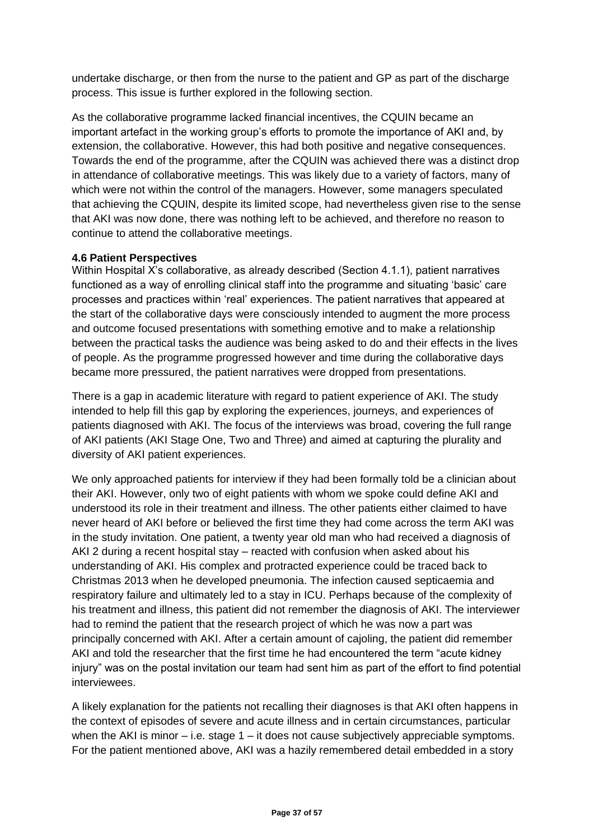undertake discharge, or then from the nurse to the patient and GP as part of the discharge process. This issue is further explored in the following section.

As the collaborative programme lacked financial incentives, the CQUIN became an important artefact in the working group's efforts to promote the importance of AKI and, by extension, the collaborative. However, this had both positive and negative consequences. Towards the end of the programme, after the CQUIN was achieved there was a distinct drop in attendance of collaborative meetings. This was likely due to a variety of factors, many of which were not within the control of the managers. However, some managers speculated that achieving the CQUIN, despite its limited scope, had nevertheless given rise to the sense that AKI was now done, there was nothing left to be achieved, and therefore no reason to continue to attend the collaborative meetings.

#### **4.6 Patient Perspectives**

Within Hospital X's collaborative, as already described (Section 4.1.1), patient narratives functioned as a way of enrolling clinical staff into the programme and situating 'basic' care processes and practices within 'real' experiences. The patient narratives that appeared at the start of the collaborative days were consciously intended to augment the more process and outcome focused presentations with something emotive and to make a relationship between the practical tasks the audience was being asked to do and their effects in the lives of people. As the programme progressed however and time during the collaborative days became more pressured, the patient narratives were dropped from presentations.

There is a gap in academic literature with regard to patient experience of AKI. The study intended to help fill this gap by exploring the experiences, journeys, and experiences of patients diagnosed with AKI. The focus of the interviews was broad, covering the full range of AKI patients (AKI Stage One, Two and Three) and aimed at capturing the plurality and diversity of AKI patient experiences.

We only approached patients for interview if they had been formally told be a clinician about their AKI. However, only two of eight patients with whom we spoke could define AKI and understood its role in their treatment and illness. The other patients either claimed to have never heard of AKI before or believed the first time they had come across the term AKI was in the study invitation. One patient, a twenty year old man who had received a diagnosis of AKI 2 during a recent hospital stay – reacted with confusion when asked about his understanding of AKI. His complex and protracted experience could be traced back to Christmas 2013 when he developed pneumonia. The infection caused septicaemia and respiratory failure and ultimately led to a stay in ICU. Perhaps because of the complexity of his treatment and illness, this patient did not remember the diagnosis of AKI. The interviewer had to remind the patient that the research project of which he was now a part was principally concerned with AKI. After a certain amount of cajoling, the patient did remember AKI and told the researcher that the first time he had encountered the term "acute kidney injury" was on the postal invitation our team had sent him as part of the effort to find potential interviewees.

A likely explanation for the patients not recalling their diagnoses is that AKI often happens in the context of episodes of severe and acute illness and in certain circumstances, particular when the AKI is minor  $-$  i.e. stage 1  $-$  it does not cause subjectively appreciable symptoms. For the patient mentioned above, AKI was a hazily remembered detail embedded in a story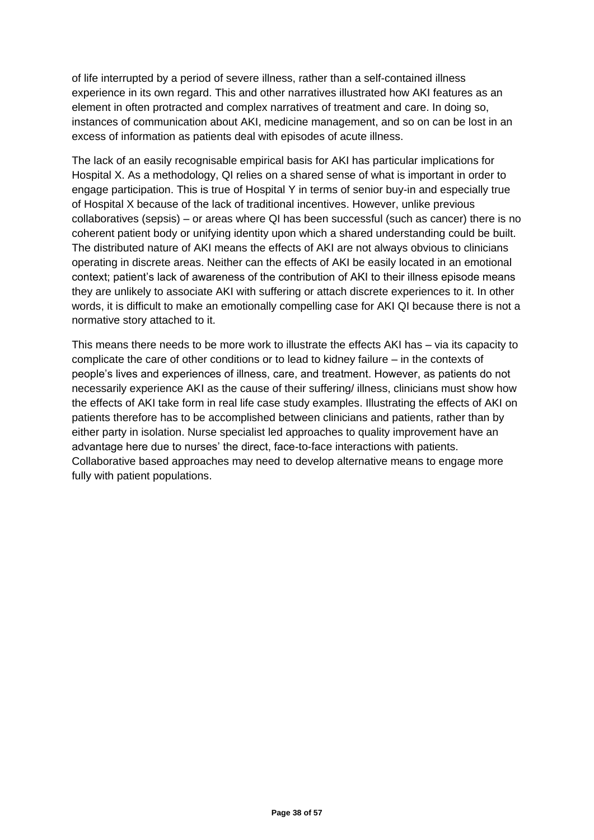of life interrupted by a period of severe illness, rather than a self-contained illness experience in its own regard. This and other narratives illustrated how AKI features as an element in often protracted and complex narratives of treatment and care. In doing so, instances of communication about AKI, medicine management, and so on can be lost in an excess of information as patients deal with episodes of acute illness.

The lack of an easily recognisable empirical basis for AKI has particular implications for Hospital X. As a methodology, QI relies on a shared sense of what is important in order to engage participation. This is true of Hospital Y in terms of senior buy-in and especially true of Hospital X because of the lack of traditional incentives. However, unlike previous collaboratives (sepsis) – or areas where QI has been successful (such as cancer) there is no coherent patient body or unifying identity upon which a shared understanding could be built. The distributed nature of AKI means the effects of AKI are not always obvious to clinicians operating in discrete areas. Neither can the effects of AKI be easily located in an emotional context; patient's lack of awareness of the contribution of AKI to their illness episode means they are unlikely to associate AKI with suffering or attach discrete experiences to it. In other words, it is difficult to make an emotionally compelling case for AKI QI because there is not a normative story attached to it.

This means there needs to be more work to illustrate the effects AKI has – via its capacity to complicate the care of other conditions or to lead to kidney failure – in the contexts of people's lives and experiences of illness, care, and treatment. However, as patients do not necessarily experience AKI as the cause of their suffering/ illness, clinicians must show how the effects of AKI take form in real life case study examples. Illustrating the effects of AKI on patients therefore has to be accomplished between clinicians and patients, rather than by either party in isolation. Nurse specialist led approaches to quality improvement have an advantage here due to nurses' the direct, face-to-face interactions with patients. Collaborative based approaches may need to develop alternative means to engage more fully with patient populations.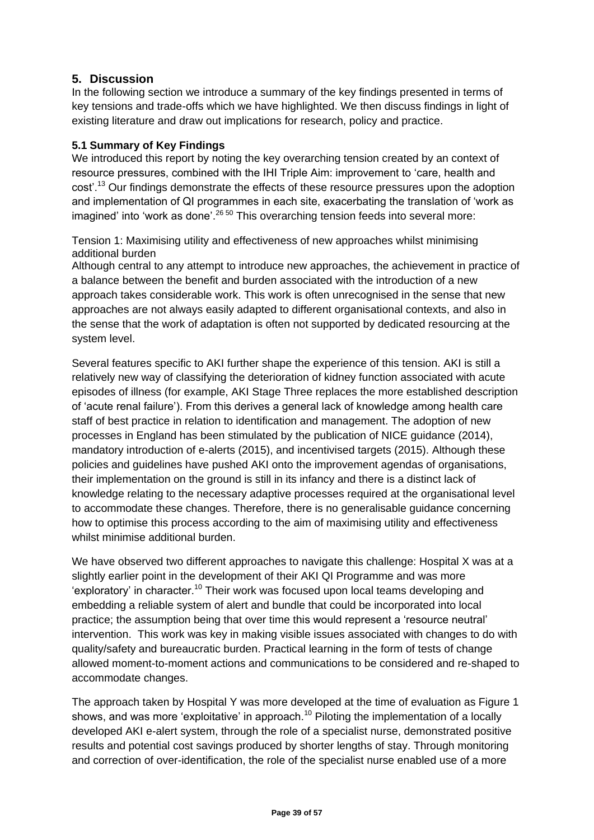#### **5. Discussion**

In the following section we introduce a summary of the key findings presented in terms of key tensions and trade-offs which we have highlighted. We then discuss findings in light of existing literature and draw out implications for research, policy and practice.

#### **5.1 Summary of Key Findings**

We introduced this report by noting the key overarching tension created by an context of resource pressures, combined with the IHI Triple Aim: improvement to 'care, health and cost'.<sup>13</sup> Our findings demonstrate the effects of these resource pressures upon the adoption and implementation of QI programmes in each site, exacerbating the translation of 'work as  $i$ magined' into 'work as done'.<sup>26 50</sup> This overarching tension feeds into several more:

Tension 1: Maximising utility and effectiveness of new approaches whilst minimising additional burden

Although central to any attempt to introduce new approaches, the achievement in practice of a balance between the benefit and burden associated with the introduction of a new approach takes considerable work. This work is often unrecognised in the sense that new approaches are not always easily adapted to different organisational contexts, and also in the sense that the work of adaptation is often not supported by dedicated resourcing at the system level.

Several features specific to AKI further shape the experience of this tension. AKI is still a relatively new way of classifying the deterioration of kidney function associated with acute episodes of illness (for example, AKI Stage Three replaces the more established description of 'acute renal failure'). From this derives a general lack of knowledge among health care staff of best practice in relation to identification and management. The adoption of new processes in England has been stimulated by the publication of NICE guidance (2014), mandatory introduction of e-alerts (2015), and incentivised targets (2015). Although these policies and guidelines have pushed AKI onto the improvement agendas of organisations, their implementation on the ground is still in its infancy and there is a distinct lack of knowledge relating to the necessary adaptive processes required at the organisational level to accommodate these changes. Therefore, there is no generalisable guidance concerning how to optimise this process according to the aim of maximising utility and effectiveness whilst minimise additional burden.

We have observed two different approaches to navigate this challenge: Hospital X was at a slightly earlier point in the development of their AKI QI Programme and was more 'exploratory' in character.<sup>10</sup> Their work was focused upon local teams developing and embedding a reliable system of alert and bundle that could be incorporated into local practice; the assumption being that over time this would represent a 'resource neutral' intervention. This work was key in making visible issues associated with changes to do with quality/safety and bureaucratic burden. Practical learning in the form of tests of change allowed moment-to-moment actions and communications to be considered and re-shaped to accommodate changes.

The approach taken by Hospital Y was more developed at the time of evaluation as Figure 1 shows, and was more 'exploitative' in approach.<sup>10</sup> Piloting the implementation of a locally developed AKI e-alert system, through the role of a specialist nurse, demonstrated positive results and potential cost savings produced by shorter lengths of stay. Through monitoring and correction of over-identification, the role of the specialist nurse enabled use of a more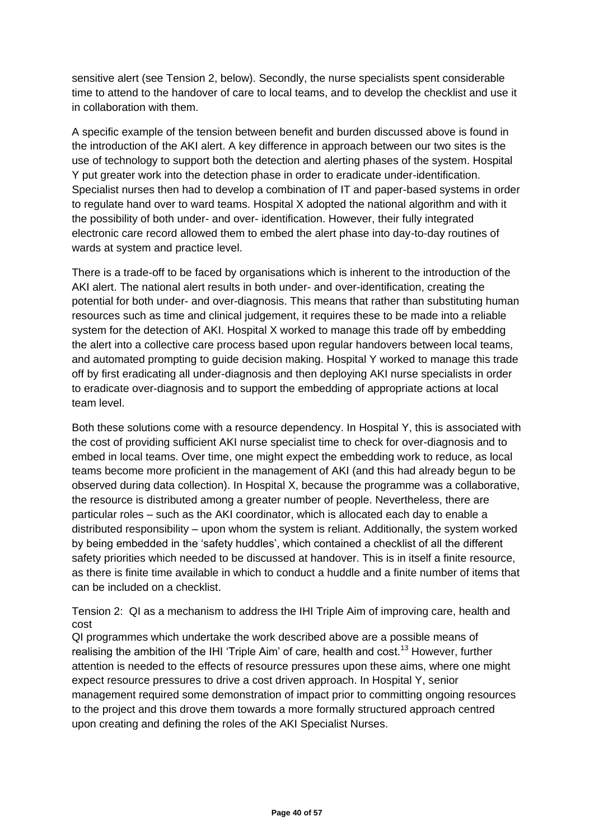sensitive alert (see Tension 2, below). Secondly, the nurse specialists spent considerable time to attend to the handover of care to local teams, and to develop the checklist and use it in collaboration with them.

A specific example of the tension between benefit and burden discussed above is found in the introduction of the AKI alert. A key difference in approach between our two sites is the use of technology to support both the detection and alerting phases of the system. Hospital Y put greater work into the detection phase in order to eradicate under-identification. Specialist nurses then had to develop a combination of IT and paper-based systems in order to regulate hand over to ward teams. Hospital X adopted the national algorithm and with it the possibility of both under- and over- identification. However, their fully integrated electronic care record allowed them to embed the alert phase into day-to-day routines of wards at system and practice level.

There is a trade-off to be faced by organisations which is inherent to the introduction of the AKI alert. The national alert results in both under- and over-identification, creating the potential for both under- and over-diagnosis. This means that rather than substituting human resources such as time and clinical judgement, it requires these to be made into a reliable system for the detection of AKI. Hospital X worked to manage this trade off by embedding the alert into a collective care process based upon regular handovers between local teams, and automated prompting to guide decision making. Hospital Y worked to manage this trade off by first eradicating all under-diagnosis and then deploying AKI nurse specialists in order to eradicate over-diagnosis and to support the embedding of appropriate actions at local team level.

Both these solutions come with a resource dependency. In Hospital Y, this is associated with the cost of providing sufficient AKI nurse specialist time to check for over-diagnosis and to embed in local teams. Over time, one might expect the embedding work to reduce, as local teams become more proficient in the management of AKI (and this had already begun to be observed during data collection). In Hospital X, because the programme was a collaborative, the resource is distributed among a greater number of people. Nevertheless, there are particular roles – such as the AKI coordinator, which is allocated each day to enable a distributed responsibility – upon whom the system is reliant. Additionally, the system worked by being embedded in the 'safety huddles', which contained a checklist of all the different safety priorities which needed to be discussed at handover. This is in itself a finite resource, as there is finite time available in which to conduct a huddle and a finite number of items that can be included on a checklist.

Tension 2: QI as a mechanism to address the IHI Triple Aim of improving care, health and cost

QI programmes which undertake the work described above are a possible means of realising the ambition of the IHI 'Triple Aim' of care, health and cost.<sup>13</sup> However, further attention is needed to the effects of resource pressures upon these aims, where one might expect resource pressures to drive a cost driven approach. In Hospital Y, senior management required some demonstration of impact prior to committing ongoing resources to the project and this drove them towards a more formally structured approach centred upon creating and defining the roles of the AKI Specialist Nurses.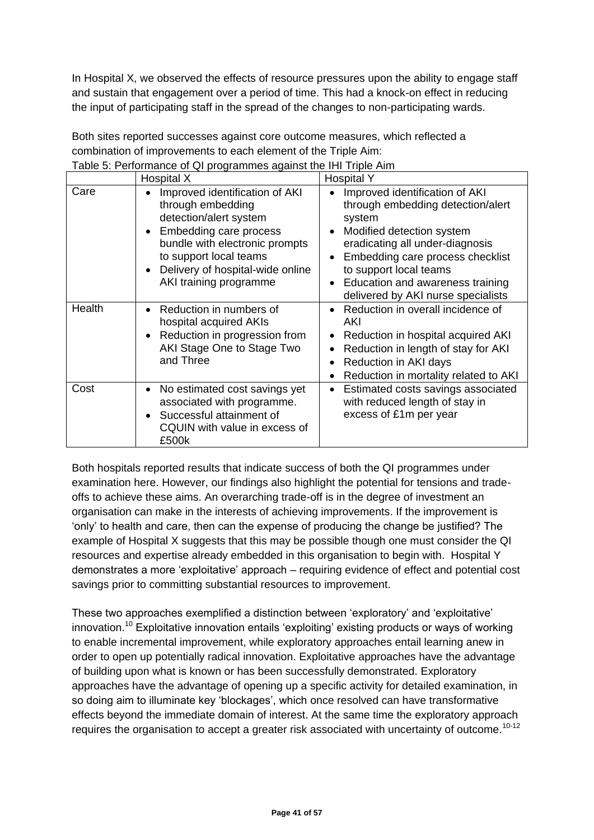In Hospital X, we observed the effects of resource pressures upon the ability to engage staff and sustain that engagement over a period of time. This had a knock-on effect in reducing the input of participating staff in the spread of the changes to non-participating wards.

| Both sites reported successes against core outcome measures, which reflected a |
|--------------------------------------------------------------------------------|
| combination of improvements to each element of the Triple Aim:                 |
| Table 5: Performance of QI programmes against the IHI Triple Aim               |

|        | Hospital X                                                                                                                                                                                                                        | <b>Hospital Y</b>                                                                                                                                                                                                                                                                                  |  |  |
|--------|-----------------------------------------------------------------------------------------------------------------------------------------------------------------------------------------------------------------------------------|----------------------------------------------------------------------------------------------------------------------------------------------------------------------------------------------------------------------------------------------------------------------------------------------------|--|--|
| Care   | Improved identification of AKI<br>through embedding<br>detection/alert system<br>Embedding care process<br>bundle with electronic prompts<br>to support local teams<br>Delivery of hospital-wide online<br>AKI training programme | Improved identification of AKI<br>through embedding detection/alert<br>system<br>Modified detection system<br>eradicating all under-diagnosis<br>Embedding care process checklist<br>to support local teams<br>Education and awareness training<br>$\bullet$<br>delivered by AKI nurse specialists |  |  |
| Health | Reduction in numbers of<br>hospital acquired AKIs<br>Reduction in progression from<br>AKI Stage One to Stage Two<br>and Three                                                                                                     | Reduction in overall incidence of<br>$\bullet$<br>AKI<br>Reduction in hospital acquired AKI<br>Reduction in length of stay for AKI<br>Reduction in AKI days<br>Reduction in mortality related to AKI                                                                                               |  |  |
| Cost   | No estimated cost savings yet<br>associated with programme.<br>Successful attainment of<br>CQUIN with value in excess of<br>£500k                                                                                                 | Estimated costs savings associated<br>with reduced length of stay in<br>excess of £1m per year                                                                                                                                                                                                     |  |  |

Both hospitals reported results that indicate success of both the QI programmes under examination here. However, our findings also highlight the potential for tensions and tradeoffs to achieve these aims. An overarching trade-off is in the degree of investment an organisation can make in the interests of achieving improvements. If the improvement is 'only' to health and care, then can the expense of producing the change be justified? The example of Hospital X suggests that this may be possible though one must consider the QI resources and expertise already embedded in this organisation to begin with. Hospital Y demonstrates a more 'exploitative' approach – requiring evidence of effect and potential cost savings prior to committing substantial resources to improvement.

These two approaches exemplified a distinction between 'exploratory' and 'exploitative' innovation.<sup>10</sup> Exploitative innovation entails 'exploiting' existing products or ways of working to enable incremental improvement, while exploratory approaches entail learning anew in order to open up potentially radical innovation. Exploitative approaches have the advantage of building upon what is known or has been successfully demonstrated. Exploratory approaches have the advantage of opening up a specific activity for detailed examination, in so doing aim to illuminate key 'blockages', which once resolved can have transformative effects beyond the immediate domain of interest. At the same time the exploratory approach requires the organisation to accept a greater risk associated with uncertainty of outcome.<sup>10-12</sup>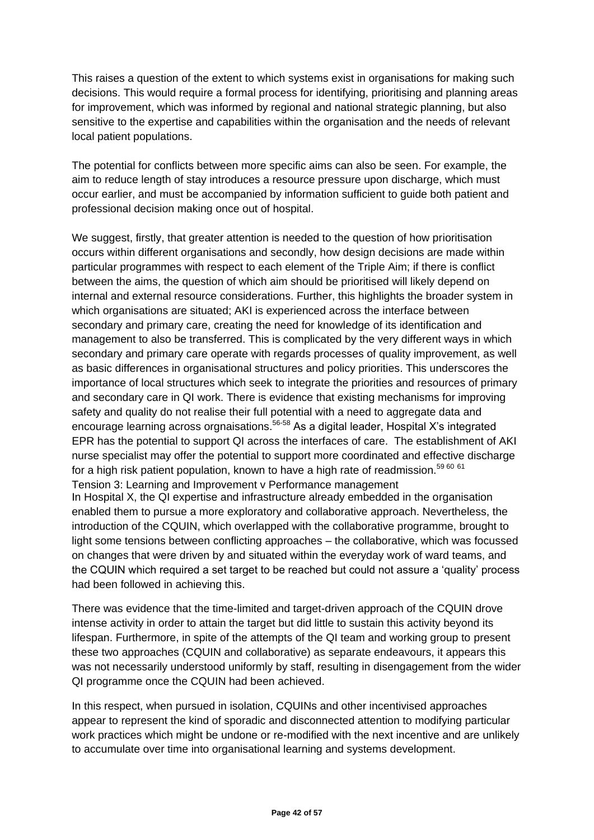This raises a question of the extent to which systems exist in organisations for making such decisions. This would require a formal process for identifying, prioritising and planning areas for improvement, which was informed by regional and national strategic planning, but also sensitive to the expertise and capabilities within the organisation and the needs of relevant local patient populations.

The potential for conflicts between more specific aims can also be seen. For example, the aim to reduce length of stay introduces a resource pressure upon discharge, which must occur earlier, and must be accompanied by information sufficient to guide both patient and professional decision making once out of hospital.

We suggest, firstly, that greater attention is needed to the question of how prioritisation occurs within different organisations and secondly, how design decisions are made within particular programmes with respect to each element of the Triple Aim; if there is conflict between the aims, the question of which aim should be prioritised will likely depend on internal and external resource considerations. Further, this highlights the broader system in which organisations are situated; AKI is experienced across the interface between secondary and primary care, creating the need for knowledge of its identification and management to also be transferred. This is complicated by the very different ways in which secondary and primary care operate with regards processes of quality improvement, as well as basic differences in organisational structures and policy priorities. This underscores the importance of local structures which seek to integrate the priorities and resources of primary and secondary care in QI work. There is evidence that existing mechanisms for improving safety and quality do not realise their full potential with a need to aggregate data and encourage learning across orgnaisations.<sup>56-58</sup> As a digital leader, Hospital X's integrated EPR has the potential to support QI across the interfaces of care. The establishment of AKI nurse specialist may offer the potential to support more coordinated and effective discharge for a high risk patient population, known to have a high rate of readmission.<sup>59 60</sup> <sup>61</sup> Tension 3: Learning and Improvement v Performance management In Hospital X, the QI expertise and infrastructure already embedded in the organisation enabled them to pursue a more exploratory and collaborative approach. Nevertheless, the introduction of the CQUIN, which overlapped with the collaborative programme, brought to light some tensions between conflicting approaches – the collaborative, which was focussed on changes that were driven by and situated within the everyday work of ward teams, and the CQUIN which required a set target to be reached but could not assure a 'quality' process

There was evidence that the time-limited and target-driven approach of the CQUIN drove intense activity in order to attain the target but did little to sustain this activity beyond its lifespan. Furthermore, in spite of the attempts of the QI team and working group to present these two approaches (CQUIN and collaborative) as separate endeavours, it appears this was not necessarily understood uniformly by staff, resulting in disengagement from the wider QI programme once the CQUIN had been achieved.

had been followed in achieving this.

In this respect, when pursued in isolation, CQUINs and other incentivised approaches appear to represent the kind of sporadic and disconnected attention to modifying particular work practices which might be undone or re-modified with the next incentive and are unlikely to accumulate over time into organisational learning and systems development.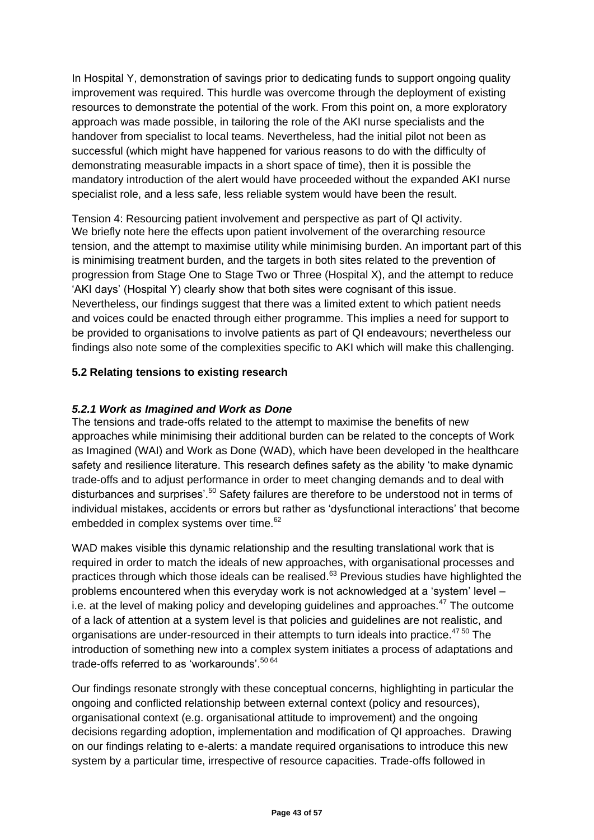In Hospital Y, demonstration of savings prior to dedicating funds to support ongoing quality improvement was required. This hurdle was overcome through the deployment of existing resources to demonstrate the potential of the work. From this point on, a more exploratory approach was made possible, in tailoring the role of the AKI nurse specialists and the handover from specialist to local teams. Nevertheless, had the initial pilot not been as successful (which might have happened for various reasons to do with the difficulty of demonstrating measurable impacts in a short space of time), then it is possible the mandatory introduction of the alert would have proceeded without the expanded AKI nurse specialist role, and a less safe, less reliable system would have been the result.

Tension 4: Resourcing patient involvement and perspective as part of QI activity. We briefly note here the effects upon patient involvement of the overarching resource tension, and the attempt to maximise utility while minimising burden. An important part of this is minimising treatment burden, and the targets in both sites related to the prevention of progression from Stage One to Stage Two or Three (Hospital X), and the attempt to reduce 'AKI days' (Hospital Y) clearly show that both sites were cognisant of this issue. Nevertheless, our findings suggest that there was a limited extent to which patient needs and voices could be enacted through either programme. This implies a need for support to be provided to organisations to involve patients as part of QI endeavours; nevertheless our findings also note some of the complexities specific to AKI which will make this challenging.

#### **5.2 Relating tensions to existing research**

#### *5.2.1 Work as Imagined and Work as Done*

The tensions and trade-offs related to the attempt to maximise the benefits of new approaches while minimising their additional burden can be related to the concepts of Work as Imagined (WAI) and Work as Done (WAD), which have been developed in the healthcare safety and resilience literature. This research defines safety as the ability 'to make dynamic trade-offs and to adjust performance in order to meet changing demands and to deal with disturbances and surprises'.<sup>50</sup> Safety failures are therefore to be understood not in terms of individual mistakes, accidents or errors but rather as 'dysfunctional interactions' that become embedded in complex systems over time.<sup>62</sup>

WAD makes visible this dynamic relationship and the resulting translational work that is required in order to match the ideals of new approaches, with organisational processes and practices through which those ideals can be realised.<sup>63</sup> Previous studies have highlighted the problems encountered when this everyday work is not acknowledged at a 'system' level – i.e. at the level of making policy and developing guidelines and approaches. $47$  The outcome of a lack of attention at a system level is that policies and guidelines are not realistic, and organisations are under-resourced in their attempts to turn ideals into practice.<sup>47 50</sup> The introduction of something new into a complex system initiates a process of adaptations and trade-offs referred to as 'workarounds'.<sup>50 64</sup>

Our findings resonate strongly with these conceptual concerns, highlighting in particular the ongoing and conflicted relationship between external context (policy and resources), organisational context (e.g. organisational attitude to improvement) and the ongoing decisions regarding adoption, implementation and modification of QI approaches. Drawing on our findings relating to e-alerts: a mandate required organisations to introduce this new system by a particular time, irrespective of resource capacities. Trade-offs followed in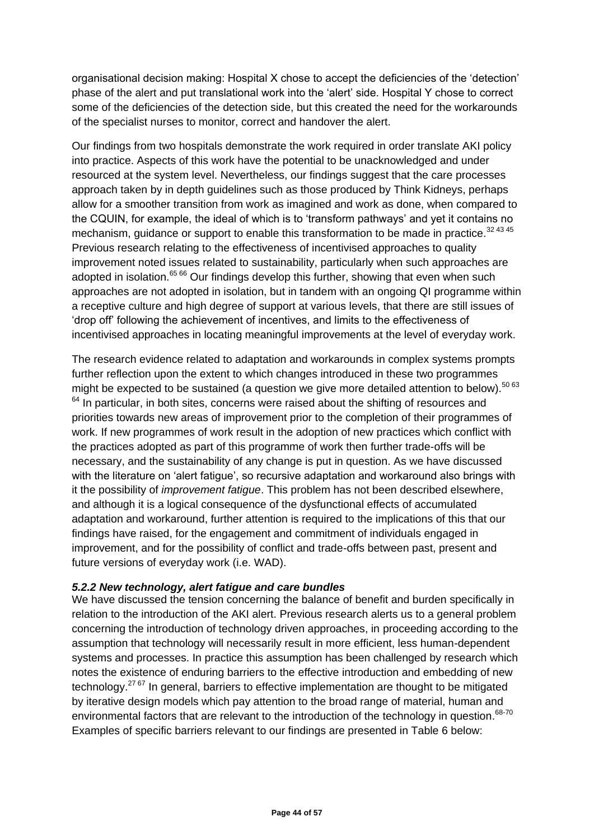organisational decision making: Hospital X chose to accept the deficiencies of the 'detection' phase of the alert and put translational work into the 'alert' side. Hospital Y chose to correct some of the deficiencies of the detection side, but this created the need for the workarounds of the specialist nurses to monitor, correct and handover the alert.

Our findings from two hospitals demonstrate the work required in order translate AKI policy into practice. Aspects of this work have the potential to be unacknowledged and under resourced at the system level. Nevertheless, our findings suggest that the care processes approach taken by in depth guidelines such as those produced by Think Kidneys, perhaps allow for a smoother transition from work as imagined and work as done, when compared to the CQUIN, for example, the ideal of which is to 'transform pathways' and yet it contains no mechanism, guidance or support to enable this transformation to be made in practice.<sup>32 43 45</sup> Previous research relating to the effectiveness of incentivised approaches to quality improvement noted issues related to sustainability, particularly when such approaches are adopted in isolation.<sup>65 66</sup> Our findings develop this further, showing that even when such approaches are not adopted in isolation, but in tandem with an ongoing QI programme within a receptive culture and high degree of support at various levels, that there are still issues of 'drop off' following the achievement of incentives, and limits to the effectiveness of incentivised approaches in locating meaningful improvements at the level of everyday work.

The research evidence related to adaptation and workarounds in complex systems prompts further reflection upon the extent to which changes introduced in these two programmes might be expected to be sustained (a question we give more detailed attention to below).  $50\,63$  $64$  In particular, in both sites, concerns were raised about the shifting of resources and priorities towards new areas of improvement prior to the completion of their programmes of work. If new programmes of work result in the adoption of new practices which conflict with the practices adopted as part of this programme of work then further trade-offs will be necessary, and the sustainability of any change is put in question. As we have discussed with the literature on 'alert fatigue', so recursive adaptation and workaround also brings with it the possibility of *improvement fatigue*. This problem has not been described elsewhere, and although it is a logical consequence of the dysfunctional effects of accumulated adaptation and workaround, further attention is required to the implications of this that our findings have raised, for the engagement and commitment of individuals engaged in improvement, and for the possibility of conflict and trade-offs between past, present and future versions of everyday work (i.e. WAD).

#### *5.2.2 New technology, alert fatigue and care bundles*

We have discussed the tension concerning the balance of benefit and burden specifically in relation to the introduction of the AKI alert. Previous research alerts us to a general problem concerning the introduction of technology driven approaches, in proceeding according to the assumption that technology will necessarily result in more efficient, less human-dependent systems and processes. In practice this assumption has been challenged by research which notes the existence of enduring barriers to the effective introduction and embedding of new technology.<sup>27 67</sup> In general, barriers to effective implementation are thought to be mitigated by iterative design models which pay attention to the broad range of material, human and environmental factors that are relevant to the introduction of the technology in question.<sup>68-70</sup> Examples of specific barriers relevant to our findings are presented in Table 6 below: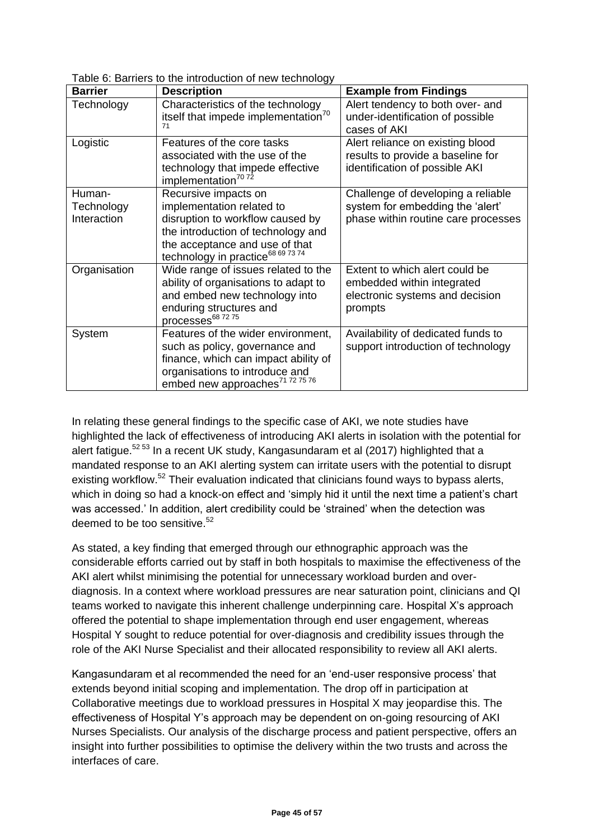| <b>Barrier</b>                      | <b>Description</b>                                                                                                                                                                                             | <b>Example from Findings</b>                                                                                  |
|-------------------------------------|----------------------------------------------------------------------------------------------------------------------------------------------------------------------------------------------------------------|---------------------------------------------------------------------------------------------------------------|
| Technology                          | Characteristics of the technology<br>itself that impede implementation <sup>70</sup><br>71                                                                                                                     | Alert tendency to both over- and<br>under-identification of possible<br>cases of AKI                          |
| Logistic                            | Features of the core tasks<br>associated with the use of the<br>technology that impede effective<br>implementation <sup>70</sup> 72                                                                            | Alert reliance on existing blood<br>results to provide a baseline for<br>identification of possible AKI       |
| Human-<br>Technology<br>Interaction | Recursive impacts on<br>implementation related to<br>disruption to workflow caused by<br>the introduction of technology and<br>the acceptance and use of that<br>technology in practice <sup>68 69 73 74</sup> | Challenge of developing a reliable<br>system for embedding the 'alert'<br>phase within routine care processes |
| Organisation                        | Wide range of issues related to the<br>ability of organisations to adapt to<br>and embed new technology into<br>enduring structures and<br>processes <sup>68 72 75</sup>                                       | Extent to which alert could be<br>embedded within integrated<br>electronic systems and decision<br>prompts    |
| System                              | Features of the wider environment,<br>such as policy, governance and<br>finance, which can impact ability of<br>organisations to introduce and<br>embed new approaches <sup>71 72 75 76</sup>                  | Availability of dedicated funds to<br>support introduction of technology                                      |

Table 6: Barriers to the introduction of new technology

In relating these general findings to the specific case of AKI, we note studies have highlighted the lack of effectiveness of introducing AKI alerts in isolation with the potential for alert fatigue.<sup>52 53</sup> In a recent UK study, Kangasundaram et al (2017) highlighted that a mandated response to an AKI alerting system can irritate users with the potential to disrupt existing workflow.<sup>52</sup> Their evaluation indicated that clinicians found ways to bypass alerts, which in doing so had a knock-on effect and 'simply hid it until the next time a patient's chart was accessed.' In addition, alert credibility could be 'strained' when the detection was deemed to be too sensitive.<sup>52</sup>

As stated, a key finding that emerged through our ethnographic approach was the considerable efforts carried out by staff in both hospitals to maximise the effectiveness of the AKI alert whilst minimising the potential for unnecessary workload burden and overdiagnosis. In a context where workload pressures are near saturation point, clinicians and QI teams worked to navigate this inherent challenge underpinning care. Hospital X's approach offered the potential to shape implementation through end user engagement, whereas Hospital Y sought to reduce potential for over-diagnosis and credibility issues through the role of the AKI Nurse Specialist and their allocated responsibility to review all AKI alerts.

Kangasundaram et al recommended the need for an 'end-user responsive process' that extends beyond initial scoping and implementation. The drop off in participation at Collaborative meetings due to workload pressures in Hospital X may jeopardise this. The effectiveness of Hospital Y's approach may be dependent on on-going resourcing of AKI Nurses Specialists. Our analysis of the discharge process and patient perspective, offers an insight into further possibilities to optimise the delivery within the two trusts and across the interfaces of care.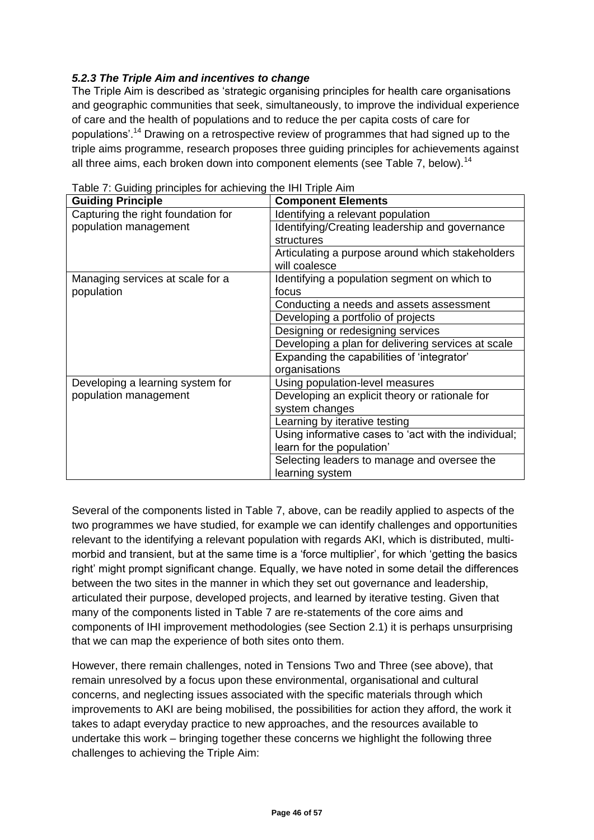#### *5.2.3 The Triple Aim and incentives to change*

The Triple Aim is described as 'strategic organising principles for health care organisations and geographic communities that seek, simultaneously, to improve the individual experience of care and the health of populations and to reduce the per capita costs of care for populations'.<sup>14</sup> Drawing on a retrospective review of programmes that had signed up to the triple aims programme, research proposes three guiding principles for achievements against all three aims, each broken down into component elements (see Table 7, below).<sup>14</sup>

| <b>Guiding Principle</b>           | <b>Component Elements</b>                            |  |
|------------------------------------|------------------------------------------------------|--|
| Capturing the right foundation for | Identifying a relevant population                    |  |
| population management              | Identifying/Creating leadership and governance       |  |
|                                    | structures                                           |  |
|                                    | Articulating a purpose around which stakeholders     |  |
|                                    | will coalesce                                        |  |
| Managing services at scale for a   | Identifying a population segment on which to         |  |
| population                         | focus                                                |  |
|                                    | Conducting a needs and assets assessment             |  |
|                                    | Developing a portfolio of projects                   |  |
|                                    | Designing or redesigning services                    |  |
|                                    | Developing a plan for delivering services at scale   |  |
|                                    | Expanding the capabilities of 'integrator'           |  |
|                                    | organisations                                        |  |
| Developing a learning system for   | Using population-level measures                      |  |
| population management              | Developing an explicit theory or rationale for       |  |
|                                    | system changes                                       |  |
|                                    | Learning by iterative testing                        |  |
|                                    | Using informative cases to 'act with the individual; |  |
|                                    | learn for the population'                            |  |
|                                    | Selecting leaders to manage and oversee the          |  |
|                                    | learning system                                      |  |

Table 7: Guiding principles for achieving the IHI Triple Aim

Several of the components listed in Table 7, above, can be readily applied to aspects of the two programmes we have studied, for example we can identify challenges and opportunities relevant to the identifying a relevant population with regards AKI, which is distributed, multimorbid and transient, but at the same time is a 'force multiplier', for which 'getting the basics right' might prompt significant change. Equally, we have noted in some detail the differences between the two sites in the manner in which they set out governance and leadership, articulated their purpose, developed projects, and learned by iterative testing. Given that many of the components listed in Table 7 are re-statements of the core aims and components of IHI improvement methodologies (see Section 2.1) it is perhaps unsurprising that we can map the experience of both sites onto them.

However, there remain challenges, noted in Tensions Two and Three (see above), that remain unresolved by a focus upon these environmental, organisational and cultural concerns, and neglecting issues associated with the specific materials through which improvements to AKI are being mobilised, the possibilities for action they afford, the work it takes to adapt everyday practice to new approaches, and the resources available to undertake this work – bringing together these concerns we highlight the following three challenges to achieving the Triple Aim: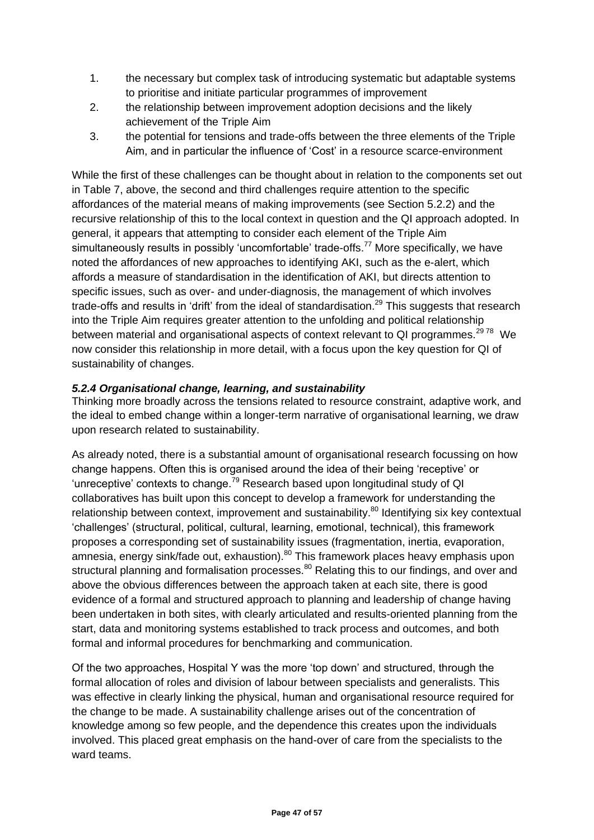- 1. the necessary but complex task of introducing systematic but adaptable systems to prioritise and initiate particular programmes of improvement
- 2. the relationship between improvement adoption decisions and the likely achievement of the Triple Aim
- 3. the potential for tensions and trade-offs between the three elements of the Triple Aim, and in particular the influence of 'Cost' in a resource scarce-environment

While the first of these challenges can be thought about in relation to the components set out in Table 7, above, the second and third challenges require attention to the specific affordances of the material means of making improvements (see Section 5.2.2) and the recursive relationship of this to the local context in question and the QI approach adopted. In general, it appears that attempting to consider each element of the Triple Aim simultaneously results in possibly 'uncomfortable' trade-offs.<sup>77</sup> More specifically, we have noted the affordances of new approaches to identifying AKI, such as the e-alert, which affords a measure of standardisation in the identification of AKI, but directs attention to specific issues, such as over- and under-diagnosis, the management of which involves trade-offs and results in 'drift' from the ideal of standardisation.<sup>29</sup> This suggests that research into the Triple Aim requires greater attention to the unfolding and political relationship between material and organisational aspects of context relevant to QI programmes.<sup>2978</sup> We now consider this relationship in more detail, with a focus upon the key question for QI of sustainability of changes.

#### *5.2.4 Organisational change, learning, and sustainability*

Thinking more broadly across the tensions related to resource constraint, adaptive work, and the ideal to embed change within a longer-term narrative of organisational learning, we draw upon research related to sustainability.

As already noted, there is a substantial amount of organisational research focussing on how change happens. Often this is organised around the idea of their being 'receptive' or 'unreceptive' contexts to change.<sup>79</sup> Research based upon longitudinal study of QI collaboratives has built upon this concept to develop a framework for understanding the relationship between context, improvement and sustainability.<sup>80</sup> Identifying six key contextual 'challenges' (structural, political, cultural, learning, emotional, technical), this framework proposes a corresponding set of sustainability issues (fragmentation, inertia, evaporation, amnesia, energy sink/fade out, exhaustion).<sup>80</sup> This framework places heavy emphasis upon structural planning and formalisation processes.<sup>80</sup> Relating this to our findings, and over and above the obvious differences between the approach taken at each site, there is good evidence of a formal and structured approach to planning and leadership of change having been undertaken in both sites, with clearly articulated and results-oriented planning from the start, data and monitoring systems established to track process and outcomes, and both formal and informal procedures for benchmarking and communication.

Of the two approaches, Hospital Y was the more 'top down' and structured, through the formal allocation of roles and division of labour between specialists and generalists. This was effective in clearly linking the physical, human and organisational resource required for the change to be made. A sustainability challenge arises out of the concentration of knowledge among so few people, and the dependence this creates upon the individuals involved. This placed great emphasis on the hand-over of care from the specialists to the ward teams.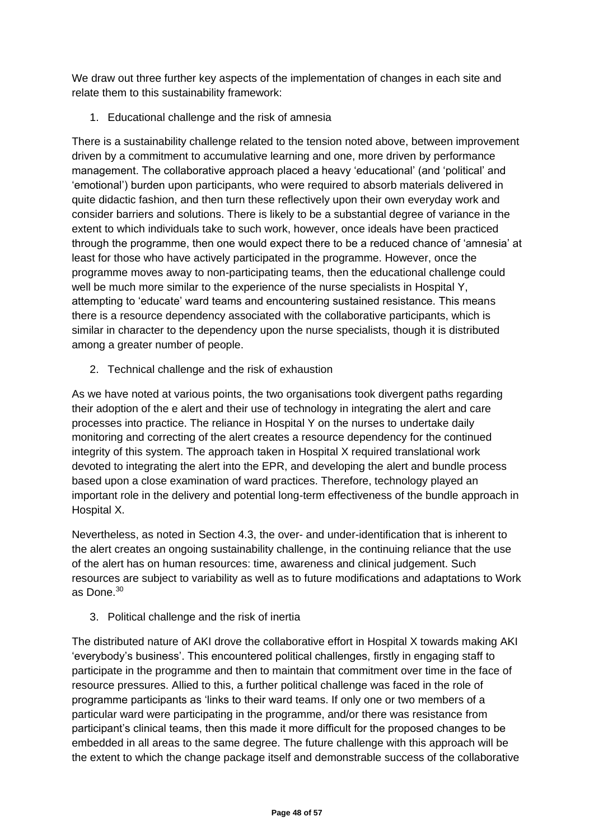We draw out three further key aspects of the implementation of changes in each site and relate them to this sustainability framework:

1. Educational challenge and the risk of amnesia

There is a sustainability challenge related to the tension noted above, between improvement driven by a commitment to accumulative learning and one, more driven by performance management. The collaborative approach placed a heavy 'educational' (and 'political' and 'emotional') burden upon participants, who were required to absorb materials delivered in quite didactic fashion, and then turn these reflectively upon their own everyday work and consider barriers and solutions. There is likely to be a substantial degree of variance in the extent to which individuals take to such work, however, once ideals have been practiced through the programme, then one would expect there to be a reduced chance of 'amnesia' at least for those who have actively participated in the programme. However, once the programme moves away to non-participating teams, then the educational challenge could well be much more similar to the experience of the nurse specialists in Hospital Y, attempting to 'educate' ward teams and encountering sustained resistance. This means there is a resource dependency associated with the collaborative participants, which is similar in character to the dependency upon the nurse specialists, though it is distributed among a greater number of people.

2. Technical challenge and the risk of exhaustion

As we have noted at various points, the two organisations took divergent paths regarding their adoption of the e alert and their use of technology in integrating the alert and care processes into practice. The reliance in Hospital Y on the nurses to undertake daily monitoring and correcting of the alert creates a resource dependency for the continued integrity of this system. The approach taken in Hospital X required translational work devoted to integrating the alert into the EPR, and developing the alert and bundle process based upon a close examination of ward practices. Therefore, technology played an important role in the delivery and potential long-term effectiveness of the bundle approach in Hospital X.

Nevertheless, as noted in Section 4.3, the over- and under-identification that is inherent to the alert creates an ongoing sustainability challenge, in the continuing reliance that the use of the alert has on human resources: time, awareness and clinical judgement. Such resources are subject to variability as well as to future modifications and adaptations to Work as Done.<sup>30</sup>

3. Political challenge and the risk of inertia

The distributed nature of AKI drove the collaborative effort in Hospital X towards making AKI 'everybody's business'. This encountered political challenges, firstly in engaging staff to participate in the programme and then to maintain that commitment over time in the face of resource pressures. Allied to this, a further political challenge was faced in the role of programme participants as 'links to their ward teams. If only one or two members of a particular ward were participating in the programme, and/or there was resistance from participant's clinical teams, then this made it more difficult for the proposed changes to be embedded in all areas to the same degree. The future challenge with this approach will be the extent to which the change package itself and demonstrable success of the collaborative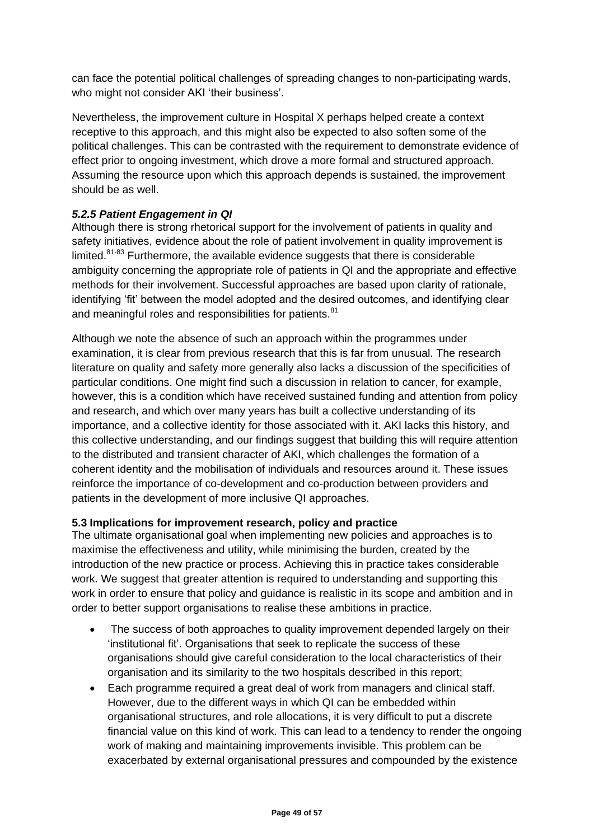can face the potential political challenges of spreading changes to non-participating wards, who might not consider AKI 'their business'.

Nevertheless, the improvement culture in Hospital X perhaps helped create a context receptive to this approach, and this might also be expected to also soften some of the political challenges. This can be contrasted with the requirement to demonstrate evidence of effect prior to ongoing investment, which drove a more formal and structured approach. Assuming the resource upon which this approach depends is sustained, the improvement should be as well.

#### *5.2.5 Patient Engagement in QI*

Although there is strong rhetorical support for the involvement of patients in quality and safety initiatives, evidence about the role of patient involvement in quality improvement is limited. $81-83$  Furthermore, the available evidence suggests that there is considerable ambiguity concerning the appropriate role of patients in QI and the appropriate and effective methods for their involvement. Successful approaches are based upon clarity of rationale, identifying 'fit' between the model adopted and the desired outcomes, and identifying clear and meaningful roles and responsibilities for patients.<sup>81</sup>

Although we note the absence of such an approach within the programmes under examination, it is clear from previous research that this is far from unusual. The research literature on quality and safety more generally also lacks a discussion of the specificities of particular conditions. One might find such a discussion in relation to cancer, for example, however, this is a condition which have received sustained funding and attention from policy and research, and which over many years has built a collective understanding of its importance, and a collective identity for those associated with it. AKI lacks this history, and this collective understanding, and our findings suggest that building this will require attention to the distributed and transient character of AKI, which challenges the formation of a coherent identity and the mobilisation of individuals and resources around it. These issues reinforce the importance of co-development and co-production between providers and patients in the development of more inclusive QI approaches.

#### **5.3 Implications for improvement research, policy and practice**

The ultimate organisational goal when implementing new policies and approaches is to maximise the effectiveness and utility, while minimising the burden, created by the introduction of the new practice or process. Achieving this in practice takes considerable work. We suggest that greater attention is required to understanding and supporting this work in order to ensure that policy and guidance is realistic in its scope and ambition and in order to better support organisations to realise these ambitions in practice.

- The success of both approaches to quality improvement depended largely on their 'institutional fit'. Organisations that seek to replicate the success of these organisations should give careful consideration to the local characteristics of their organisation and its similarity to the two hospitals described in this report;
- Each programme required a great deal of work from managers and clinical staff. However, due to the different ways in which QI can be embedded within organisational structures, and role allocations, it is very difficult to put a discrete financial value on this kind of work. This can lead to a tendency to render the ongoing work of making and maintaining improvements invisible. This problem can be exacerbated by external organisational pressures and compounded by the existence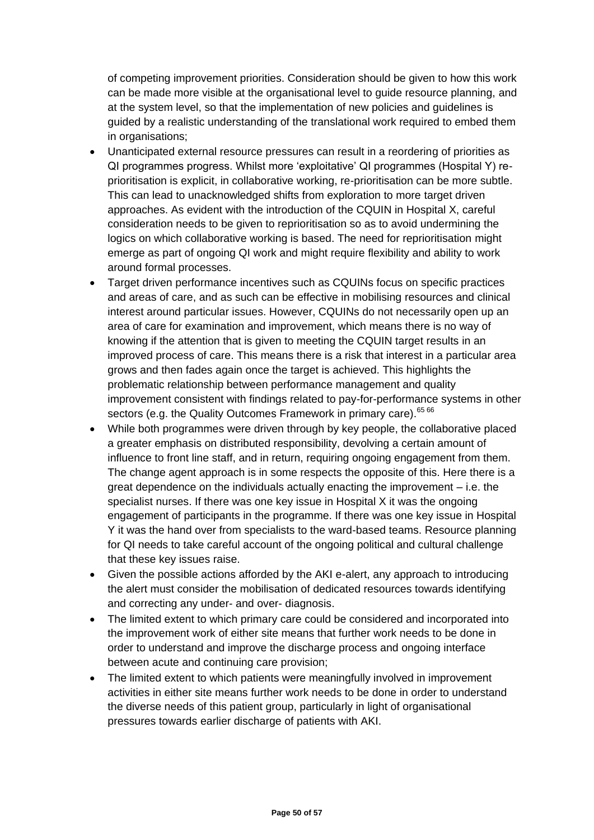of competing improvement priorities. Consideration should be given to how this work can be made more visible at the organisational level to guide resource planning, and at the system level, so that the implementation of new policies and guidelines is guided by a realistic understanding of the translational work required to embed them in organisations;

- Unanticipated external resource pressures can result in a reordering of priorities as QI programmes progress. Whilst more 'exploitative' QI programmes (Hospital Y) reprioritisation is explicit, in collaborative working, re-prioritisation can be more subtle. This can lead to unacknowledged shifts from exploration to more target driven approaches. As evident with the introduction of the CQUIN in Hospital X, careful consideration needs to be given to reprioritisation so as to avoid undermining the logics on which collaborative working is based. The need for reprioritisation might emerge as part of ongoing QI work and might require flexibility and ability to work around formal processes.
- Target driven performance incentives such as CQUINs focus on specific practices and areas of care, and as such can be effective in mobilising resources and clinical interest around particular issues. However, CQUINs do not necessarily open up an area of care for examination and improvement, which means there is no way of knowing if the attention that is given to meeting the CQUIN target results in an improved process of care. This means there is a risk that interest in a particular area grows and then fades again once the target is achieved. This highlights the problematic relationship between performance management and quality improvement consistent with findings related to pay-for-performance systems in other sectors (e.g. the Quality Outcomes Framework in primary care).<sup>65 66</sup>
- While both programmes were driven through by key people, the collaborative placed a greater emphasis on distributed responsibility, devolving a certain amount of influence to front line staff, and in return, requiring ongoing engagement from them. The change agent approach is in some respects the opposite of this. Here there is a great dependence on the individuals actually enacting the improvement – i.e. the specialist nurses. If there was one key issue in Hospital X it was the ongoing engagement of participants in the programme. If there was one key issue in Hospital Y it was the hand over from specialists to the ward-based teams. Resource planning for QI needs to take careful account of the ongoing political and cultural challenge that these key issues raise.
- Given the possible actions afforded by the AKI e-alert, any approach to introducing the alert must consider the mobilisation of dedicated resources towards identifying and correcting any under- and over- diagnosis.
- The limited extent to which primary care could be considered and incorporated into the improvement work of either site means that further work needs to be done in order to understand and improve the discharge process and ongoing interface between acute and continuing care provision;
- The limited extent to which patients were meaningfully involved in improvement activities in either site means further work needs to be done in order to understand the diverse needs of this patient group, particularly in light of organisational pressures towards earlier discharge of patients with AKI.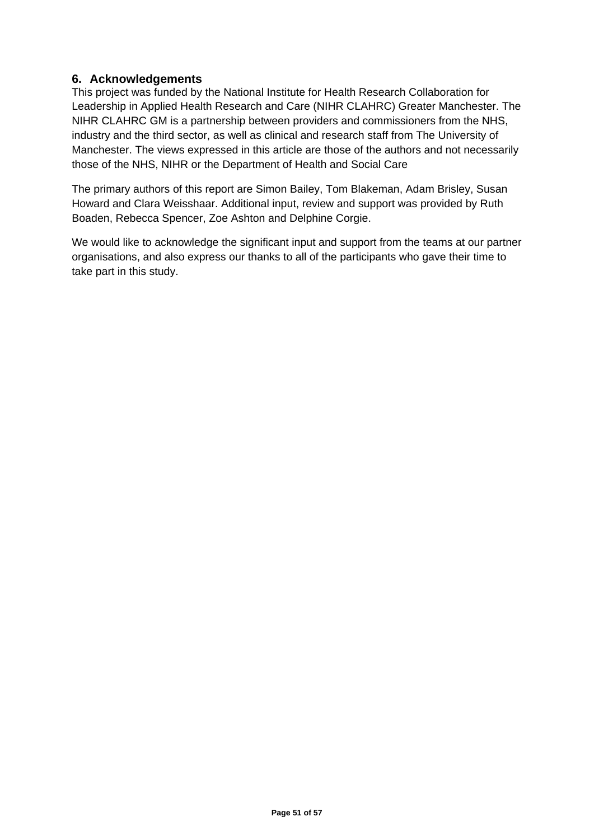#### **6. Acknowledgements**

This project was funded by the National Institute for Health Research Collaboration for Leadership in Applied Health Research and Care (NIHR CLAHRC) Greater Manchester. The NIHR CLAHRC GM is a partnership between providers and commissioners from the NHS, industry and the third sector, as well as clinical and research staff from The University of Manchester. The views expressed in this article are those of the authors and not necessarily those of the NHS, NIHR or the Department of Health and Social Care

The primary authors of this report are Simon Bailey, Tom Blakeman, Adam Brisley, Susan Howard and Clara Weisshaar. Additional input, review and support was provided by Ruth Boaden, Rebecca Spencer, Zoe Ashton and Delphine Corgie.

We would like to acknowledge the significant input and support from the teams at our partner organisations, and also express our thanks to all of the participants who gave their time to take part in this study.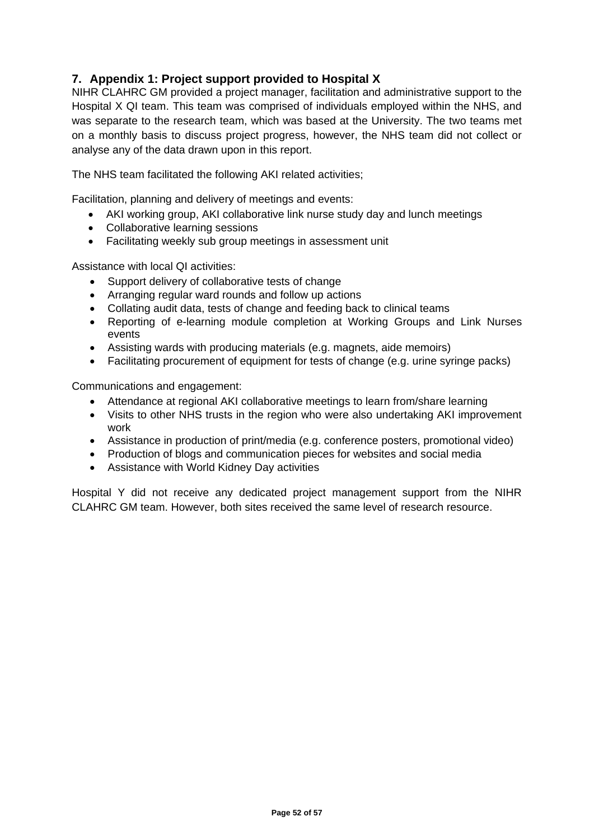#### **7. Appendix 1: Project support provided to Hospital X**

NIHR CLAHRC GM provided a project manager, facilitation and administrative support to the Hospital X QI team. This team was comprised of individuals employed within the NHS, and was separate to the research team, which was based at the University. The two teams met on a monthly basis to discuss project progress, however, the NHS team did not collect or analyse any of the data drawn upon in this report.

The NHS team facilitated the following AKI related activities;

Facilitation, planning and delivery of meetings and events:

- AKI working group, AKI collaborative link nurse study day and lunch meetings
- Collaborative learning sessions
- Facilitating weekly sub group meetings in assessment unit

Assistance with local QI activities:

- Support delivery of collaborative tests of change
- Arranging regular ward rounds and follow up actions
- Collating audit data, tests of change and feeding back to clinical teams
- Reporting of e-learning module completion at Working Groups and Link Nurses events
- Assisting wards with producing materials (e.g. magnets, aide memoirs)
- Facilitating procurement of equipment for tests of change (e.g. urine syringe packs)

Communications and engagement:

- Attendance at regional AKI collaborative meetings to learn from/share learning
- Visits to other NHS trusts in the region who were also undertaking AKI improvement work
- Assistance in production of print/media (e.g. conference posters, promotional video)
- Production of blogs and communication pieces for websites and social media
- Assistance with World Kidney Day activities

Hospital Y did not receive any dedicated project management support from the NIHR CLAHRC GM team. However, both sites received the same level of research resource.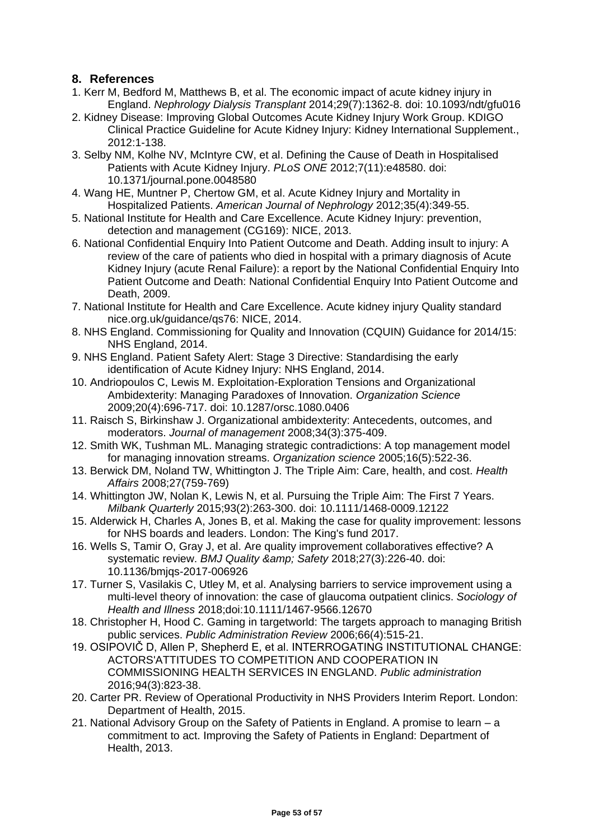#### **8. References**

- 1. Kerr M, Bedford M, Matthews B, et al. The economic impact of acute kidney injury in England. *Nephrology Dialysis Transplant* 2014;29(7):1362-8. doi: 10.1093/ndt/gfu016
- 2. Kidney Disease: Improving Global Outcomes Acute Kidney Injury Work Group. KDIGO Clinical Practice Guideline for Acute Kidney Injury: Kidney International Supplement., 2012:1-138.
- 3. Selby NM, Kolhe NV, McIntyre CW, et al. Defining the Cause of Death in Hospitalised Patients with Acute Kidney Injury. *PLoS ONE* 2012;7(11):e48580. doi: 10.1371/journal.pone.0048580
- 4. Wang HE, Muntner P, Chertow GM, et al. Acute Kidney Injury and Mortality in Hospitalized Patients. *American Journal of Nephrology* 2012;35(4):349-55.
- 5. National Institute for Health and Care Excellence. Acute Kidney Injury: prevention, detection and management (CG169): NICE, 2013.
- 6. National Confidential Enquiry Into Patient Outcome and Death. Adding insult to injury: A review of the care of patients who died in hospital with a primary diagnosis of Acute Kidney Injury (acute Renal Failure): a report by the National Confidential Enquiry Into Patient Outcome and Death: National Confidential Enquiry Into Patient Outcome and Death, 2009.
- 7. National Institute for Health and Care Excellence. Acute kidney injury Quality standard nice.org.uk/guidance/qs76: NICE, 2014.
- 8. NHS England. Commissioning for Quality and Innovation (CQUIN) Guidance for 2014/15: NHS England, 2014.
- 9. NHS England. Patient Safety Alert: Stage 3 Directive: Standardising the early identification of Acute Kidney Injury: NHS England, 2014.
- 10. Andriopoulos C, Lewis M. Exploitation-Exploration Tensions and Organizational Ambidexterity: Managing Paradoxes of Innovation. *Organization Science* 2009;20(4):696-717. doi: 10.1287/orsc.1080.0406
- 11. Raisch S, Birkinshaw J. Organizational ambidexterity: Antecedents, outcomes, and moderators. *Journal of management* 2008;34(3):375-409.
- 12. Smith WK, Tushman ML. Managing strategic contradictions: A top management model for managing innovation streams. *Organization science* 2005;16(5):522-36.
- 13. Berwick DM, Noland TW, Whittington J. The Triple Aim: Care, health, and cost. *Health Affairs* 2008;27(759-769)
- 14. Whittington JW, Nolan K, Lewis N, et al. Pursuing the Triple Aim: The First 7 Years. *Milbank Quarterly* 2015;93(2):263-300. doi: 10.1111/1468-0009.12122
- 15. Alderwick H, Charles A, Jones B, et al. Making the case for quality improvement: lessons for NHS boards and leaders. London: The King's fund 2017.
- 16. Wells S, Tamir O, Gray J, et al. Are quality improvement collaboratives effective? A systematic review. *BMJ Quality & amp; Safety* 2018;27(3):226-40. doi: 10.1136/bmjqs-2017-006926
- 17. Turner S, Vasilakis C, Utley M, et al. Analysing barriers to service improvement using a multi-level theory of innovation: the case of glaucoma outpatient clinics. *Sociology of Health and Illness* 2018;doi:10.1111/1467-9566.12670
- 18. Christopher H, Hood C. Gaming in targetworld: The targets approach to managing British public services. *Public Administration Review* 2006;66(4):515-21.
- 19. OSIPOVIČ D, Allen P, Shepherd E, et al. INTERROGATING INSTITUTIONAL CHANGE: ACTORS'ATTITUDES TO COMPETITION AND COOPERATION IN COMMISSIONING HEALTH SERVICES IN ENGLAND. *Public administration* 2016;94(3):823-38.
- 20. Carter PR. Review of Operational Productivity in NHS Providers Interim Report. London: Department of Health, 2015.
- 21. National Advisory Group on the Safety of Patients in England. A promise to learn a commitment to act. Improving the Safety of Patients in England: Department of Health, 2013.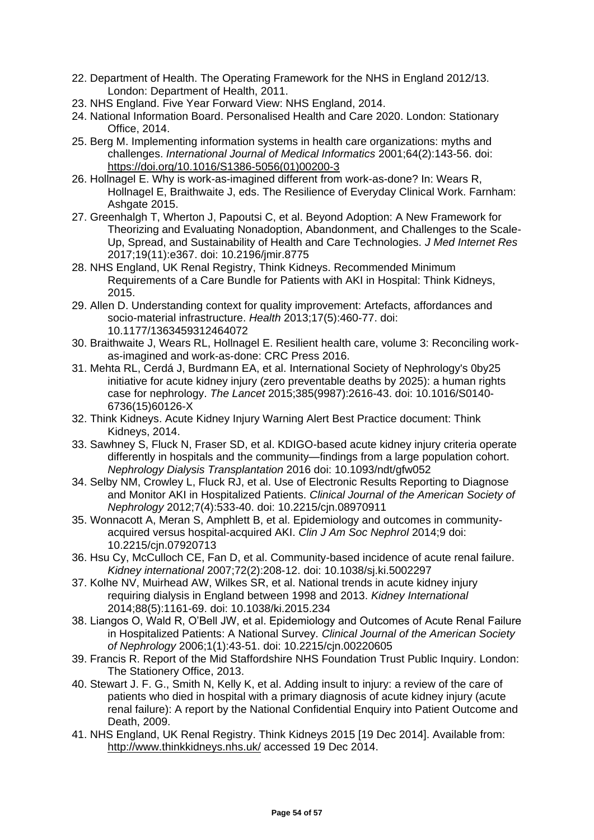- 22. Department of Health. The Operating Framework for the NHS in England 2012/13. London: Department of Health, 2011.
- 23. NHS England. Five Year Forward View: NHS England, 2014.
- 24. National Information Board. Personalised Health and Care 2020. London: Stationary Office, 2014.
- 25. Berg M. Implementing information systems in health care organizations: myths and challenges. *International Journal of Medical Informatics* 2001;64(2):143-56. doi: [https://doi.org/10.1016/S1386-5056\(01\)00200-3](https://doi.org/10.1016/S1386-5056(01)00200-3)
- 26. Hollnagel E. Why is work-as-imagined different from work-as-done? In: Wears R, Hollnagel E, Braithwaite J, eds. The Resilience of Everyday Clinical Work. Farnham: Ashgate 2015.
- 27. Greenhalgh T, Wherton J, Papoutsi C, et al. Beyond Adoption: A New Framework for Theorizing and Evaluating Nonadoption, Abandonment, and Challenges to the Scale-Up, Spread, and Sustainability of Health and Care Technologies. *J Med Internet Res* 2017;19(11):e367. doi: 10.2196/jmir.8775
- 28. NHS England, UK Renal Registry, Think Kidneys. Recommended Minimum Requirements of a Care Bundle for Patients with AKI in Hospital: Think Kidneys, 2015.
- 29. Allen D. Understanding context for quality improvement: Artefacts, affordances and socio-material infrastructure. *Health* 2013;17(5):460-77. doi: 10.1177/1363459312464072
- 30. Braithwaite J, Wears RL, Hollnagel E. Resilient health care, volume 3: Reconciling workas-imagined and work-as-done: CRC Press 2016.
- 31. Mehta RL, Cerdá J, Burdmann EA, et al. International Society of Nephrology's 0by25 initiative for acute kidney injury (zero preventable deaths by 2025): a human rights case for nephrology. *The Lancet* 2015;385(9987):2616-43. doi: 10.1016/S0140- 6736(15)60126-X
- 32. Think Kidneys. Acute Kidney Injury Warning Alert Best Practice document: Think Kidneys, 2014.
- 33. Sawhney S, Fluck N, Fraser SD, et al. KDIGO-based acute kidney injury criteria operate differently in hospitals and the community—findings from a large population cohort. *Nephrology Dialysis Transplantation* 2016 doi: 10.1093/ndt/gfw052
- 34. Selby NM, Crowley L, Fluck RJ, et al. Use of Electronic Results Reporting to Diagnose and Monitor AKI in Hospitalized Patients. *Clinical Journal of the American Society of Nephrology* 2012;7(4):533-40. doi: 10.2215/cjn.08970911
- 35. Wonnacott A, Meran S, Amphlett B, et al. Epidemiology and outcomes in communityacquired versus hospital-acquired AKI. *Clin J Am Soc Nephrol* 2014;9 doi: 10.2215/cjn.07920713
- 36. Hsu Cy, McCulloch CE, Fan D, et al. Community-based incidence of acute renal failure. *Kidney international* 2007;72(2):208-12. doi: 10.1038/sj.ki.5002297
- 37. Kolhe NV, Muirhead AW, Wilkes SR, et al. National trends in acute kidney injury requiring dialysis in England between 1998 and 2013. *Kidney International* 2014;88(5):1161-69. doi: 10.1038/ki.2015.234
- 38. Liangos O, Wald R, O'Bell JW, et al. Epidemiology and Outcomes of Acute Renal Failure in Hospitalized Patients: A National Survey. *Clinical Journal of the American Society of Nephrology* 2006;1(1):43-51. doi: 10.2215/cjn.00220605
- 39. Francis R. Report of the Mid Staffordshire NHS Foundation Trust Public Inquiry. London: The Stationery Office, 2013.
- 40. Stewart J. F. G., Smith N, Kelly K, et al. Adding insult to injury: a review of the care of patients who died in hospital with a primary diagnosis of acute kidney injury (acute renal failure): A report by the National Confidential Enquiry into Patient Outcome and Death, 2009.
- 41. NHS England, UK Renal Registry. Think Kidneys 2015 [19 Dec 2014]. Available from: <http://www.thinkkidneys.nhs.uk/> accessed 19 Dec 2014.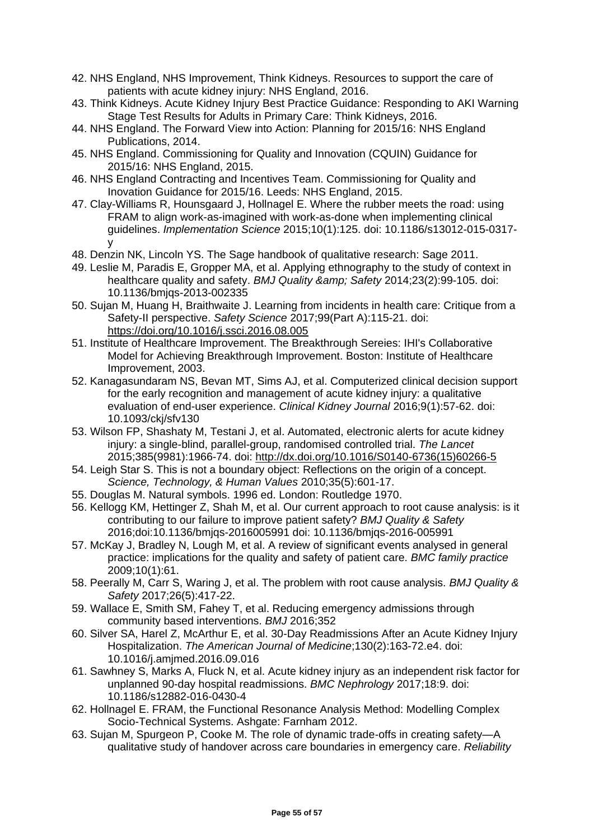- 42. NHS England, NHS Improvement, Think Kidneys. Resources to support the care of patients with acute kidney injury: NHS England, 2016.
- 43. Think Kidneys. Acute Kidney Injury Best Practice Guidance: Responding to AKI Warning Stage Test Results for Adults in Primary Care: Think Kidneys, 2016.
- 44. NHS England. The Forward View into Action: Planning for 2015/16: NHS England Publications, 2014.
- 45. NHS England. Commissioning for Quality and Innovation (CQUIN) Guidance for 2015/16: NHS England, 2015.
- 46. NHS England Contracting and Incentives Team. Commissioning for Quality and Inovation Guidance for 2015/16. Leeds: NHS England, 2015.
- 47. Clay-Williams R, Hounsgaard J, Hollnagel E. Where the rubber meets the road: using FRAM to align work-as-imagined with work-as-done when implementing clinical guidelines. *Implementation Science* 2015;10(1):125. doi: 10.1186/s13012-015-0317 y
- 48. Denzin NK, Lincoln YS. The Sage handbook of qualitative research: Sage 2011.
- 49. Leslie M, Paradis E, Gropper MA, et al. Applying ethnography to the study of context in healthcare quality and safety. *BMJ Quality & amp; Safety* 2014;23(2):99-105. doi: 10.1136/bmjqs-2013-002335
- 50. Sujan M, Huang H, Braithwaite J. Learning from incidents in health care: Critique from a Safety-II perspective. *Safety Science* 2017;99(Part A):115-21. doi: <https://doi.org/10.1016/j.ssci.2016.08.005>
- 51. Institute of Healthcare Improvement. The Breakthrough Sereies: IHI's Collaborative Model for Achieving Breakthrough Improvement. Boston: Institute of Healthcare Improvement, 2003.
- 52. Kanagasundaram NS, Bevan MT, Sims AJ, et al. Computerized clinical decision support for the early recognition and management of acute kidney injury: a qualitative evaluation of end-user experience. *Clinical Kidney Journal* 2016;9(1):57-62. doi: 10.1093/ckj/sfv130
- 53. Wilson FP, Shashaty M, Testani J, et al. Automated, electronic alerts for acute kidney injury: a single-blind, parallel-group, randomised controlled trial. *The Lancet* 2015;385(9981):1966-74. doi: [http://dx.doi.org/10.1016/S0140-6736\(15\)60266-5](http://dx.doi.org/10.1016/S0140-6736(15)60266-5)
- 54. Leigh Star S. This is not a boundary object: Reflections on the origin of a concept. *Science, Technology, & Human Values* 2010;35(5):601-17.
- 55. Douglas M. Natural symbols. 1996 ed. London: Routledge 1970.
- 56. Kellogg KM, Hettinger Z, Shah M, et al. Our current approach to root cause analysis: is it contributing to our failure to improve patient safety? *BMJ Quality & Safety* 2016;doi:10.1136/bmjqs-2016005991 doi: 10.1136/bmjqs-2016-005991
- 57. McKay J, Bradley N, Lough M, et al. A review of significant events analysed in general practice: implications for the quality and safety of patient care. *BMC family practice* 2009;10(1):61.
- 58. Peerally M, Carr S, Waring J, et al. The problem with root cause analysis. *BMJ Quality & Safety* 2017;26(5):417-22.
- 59. Wallace E, Smith SM, Fahey T, et al. Reducing emergency admissions through community based interventions. *BMJ* 2016;352
- 60. Silver SA, Harel Z, McArthur E, et al. 30-Day Readmissions After an Acute Kidney Injury Hospitalization. *The American Journal of Medicine*;130(2):163-72.e4. doi: 10.1016/j.amjmed.2016.09.016
- 61. Sawhney S, Marks A, Fluck N, et al. Acute kidney injury as an independent risk factor for unplanned 90-day hospital readmissions. *BMC Nephrology* 2017;18:9. doi: 10.1186/s12882-016-0430-4
- 62. Hollnagel E. FRAM, the Functional Resonance Analysis Method: Modelling Complex Socio-Technical Systems. Ashgate: Farnham 2012.
- 63. Sujan M, Spurgeon P, Cooke M. The role of dynamic trade-offs in creating safety—A qualitative study of handover across care boundaries in emergency care. *Reliability*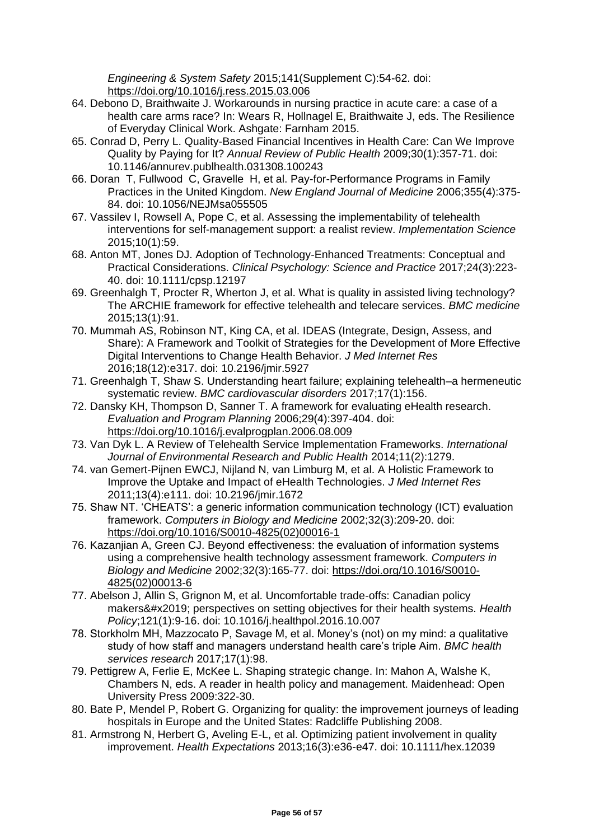*Engineering & System Safety* 2015;141(Supplement C):54-62. doi: <https://doi.org/10.1016/j.ress.2015.03.006>

- 64. Debono D, Braithwaite J. Workarounds in nursing practice in acute care: a case of a health care arms race? In: Wears R, Hollnagel E, Braithwaite J, eds. The Resilience of Everyday Clinical Work. Ashgate: Farnham 2015.
- 65. Conrad D, Perry L. Quality-Based Financial Incentives in Health Care: Can We Improve Quality by Paying for It? *Annual Review of Public Health* 2009;30(1):357-71. doi: 10.1146/annurev.publhealth.031308.100243
- 66. Doran T, Fullwood C, Gravelle H, et al. Pay-for-Performance Programs in Family Practices in the United Kingdom. *New England Journal of Medicine* 2006;355(4):375- 84. doi: 10.1056/NEJMsa055505
- 67. Vassilev I, Rowsell A, Pope C, et al. Assessing the implementability of telehealth interventions for self-management support: a realist review. *Implementation Science* 2015;10(1):59.
- 68. Anton MT, Jones DJ. Adoption of Technology-Enhanced Treatments: Conceptual and Practical Considerations. *Clinical Psychology: Science and Practice* 2017;24(3):223- 40. doi: 10.1111/cpsp.12197
- 69. Greenhalgh T, Procter R, Wherton J, et al. What is quality in assisted living technology? The ARCHIE framework for effective telehealth and telecare services. *BMC medicine* 2015;13(1):91.
- 70. Mummah AS, Robinson NT, King CA, et al. IDEAS (Integrate, Design, Assess, and Share): A Framework and Toolkit of Strategies for the Development of More Effective Digital Interventions to Change Health Behavior. *J Med Internet Res* 2016;18(12):e317. doi: 10.2196/jmir.5927
- 71. Greenhalgh T, Shaw S. Understanding heart failure; explaining telehealth–a hermeneutic systematic review. *BMC cardiovascular disorders* 2017;17(1):156.
- 72. Dansky KH, Thompson D, Sanner T. A framework for evaluating eHealth research. *Evaluation and Program Planning* 2006;29(4):397-404. doi: <https://doi.org/10.1016/j.evalprogplan.2006.08.009>
- 73. Van Dyk L. A Review of Telehealth Service Implementation Frameworks. *International Journal of Environmental Research and Public Health* 2014;11(2):1279.
- 74. van Gemert-Pijnen EWCJ, Nijland N, van Limburg M, et al. A Holistic Framework to Improve the Uptake and Impact of eHealth Technologies. *J Med Internet Res* 2011;13(4):e111. doi: 10.2196/jmir.1672
- 75. Shaw NT. 'CHEATS': a generic information communication technology (ICT) evaluation framework. *Computers in Biology and Medicine* 2002;32(3):209-20. doi: [https://doi.org/10.1016/S0010-4825\(02\)00016-1](https://doi.org/10.1016/S0010-4825(02)00016-1)
- 76. Kazanjian A, Green CJ. Beyond effectiveness: the evaluation of information systems using a comprehensive health technology assessment framework. *Computers in Biology and Medicine* 2002;32(3):165-77. doi: [https://doi.org/10.1016/S0010-](https://doi.org/10.1016/S0010-4825(02)00013-6) [4825\(02\)00013-6](https://doi.org/10.1016/S0010-4825(02)00013-6)
- 77. Abelson J, Allin S, Grignon M, et al. Uncomfortable trade-offs: Canadian policy makers' perspectives on setting objectives for their health systems. *Health Policy*;121(1):9-16. doi: 10.1016/j.healthpol.2016.10.007
- 78. Storkholm MH, Mazzocato P, Savage M, et al. Money's (not) on my mind: a qualitative study of how staff and managers understand health care's triple Aim. *BMC health services research* 2017;17(1):98.
- 79. Pettigrew A, Ferlie E, McKee L. Shaping strategic change. In: Mahon A, Walshe K, Chambers N, eds. A reader in health policy and management. Maidenhead: Open University Press 2009:322-30.
- 80. Bate P, Mendel P, Robert G. Organizing for quality: the improvement journeys of leading hospitals in Europe and the United States: Radcliffe Publishing 2008.
- 81. Armstrong N, Herbert G, Aveling E-L, et al. Optimizing patient involvement in quality improvement. *Health Expectations* 2013;16(3):e36-e47. doi: 10.1111/hex.12039